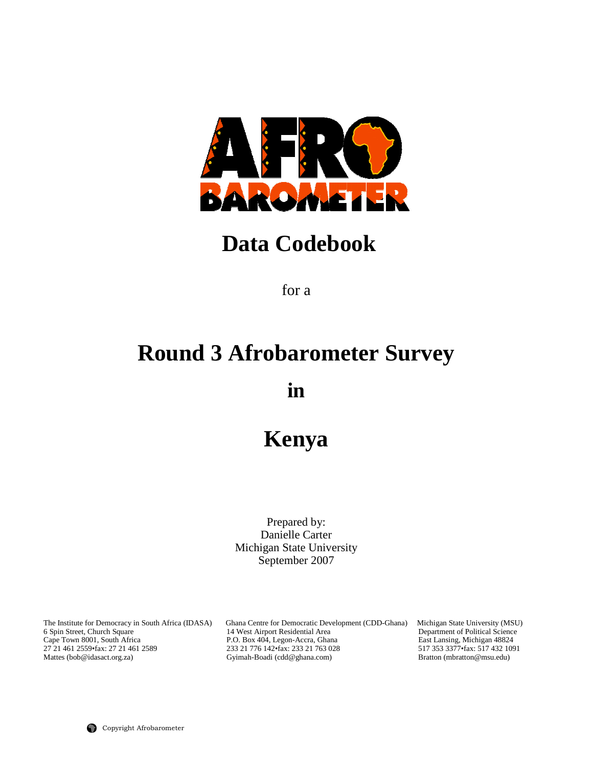

## **Data Codebook**

for a

# **Round 3 Afrobarometer Survey**

**in** 

## **Kenya**

Prepared by: Danielle Carter Michigan State University September 2007

The Institute for Democracy in South Africa (IDASA) Ghana Centre for Democratic Development (CDD-Ghana) Michigan State University (MSU) 6 Spin Street, Church Square 14 West Airport Residential Area Department of Political 6 Spin Street, Church Square 14 West Airport Residential Area Department of Political Science<br>
Cape Town 8001, South Africa P.O. Box 404, Legon-Accra, Ghana East Lansing, Michigan 48824<br>
27 21 461 2559 fax: 27 21 461 2559 Cape Town 8001, South Africa P.O. Box 404, Legon-Accra, Ghana East Lansing, Michigan 48824 27 21 461 2559•fax: 27 21 461 2589 233 21 776 142•fax: 233 21 763 028 517 353 3377•fax: 517 432 1091 Mattes (bob@idasact.org.za) Gyimah-Boadi (cdd@ghana.com) Bratton (mbratton@msu.edu)

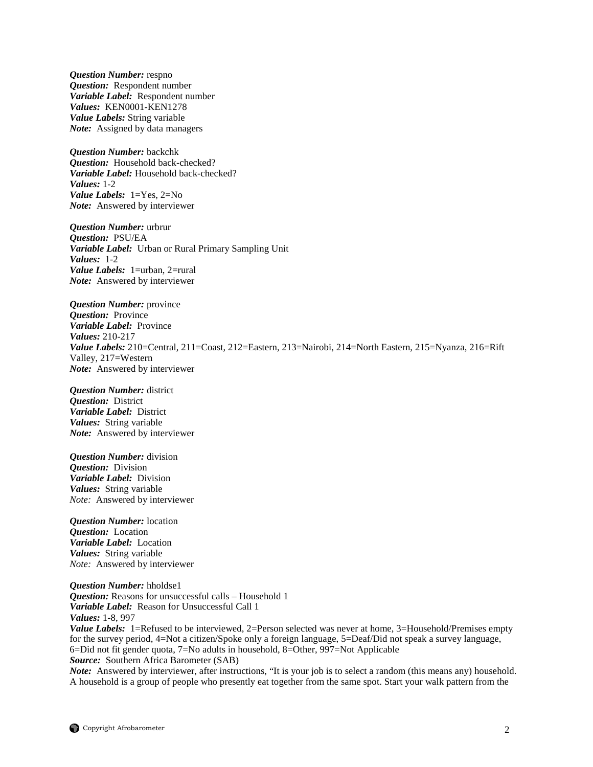*Question Number:* respno *Question:* Respondent number *Variable Label:* Respondent number *Values:* KEN0001-KEN1278 *Value Labels:* String variable *Note:* Assigned by data managers

*Question Number:* backchk *Question:* Household back-checked? *Variable Label:* Household back-checked? *Values:* 1-2 *Value Labels:* 1=Yes, 2=No *Note:* Answered by interviewer

*Question Number:* urbrur *Question:* PSU/EA *Variable Label:* Urban or Rural Primary Sampling Unit *Values:* 1-2 *Value Labels:* 1=urban, 2=rural *Note:* Answered by interviewer

*Question Number:* province *Question:* Province *Variable Label:* Province *Values:* 210-217 *Value Labels:* 210=Central, 211=Coast, 212=Eastern, 213=Nairobi, 214=North Eastern, 215=Nyanza, 216=Rift Valley, 217=Western *Note:* Answered by interviewer

*Question Number:* district *Question:* District *Variable Label:* District *Values:* String variable *Note:* Answered by interviewer

*Question Number:* division *Question:* Division *Variable Label:* Division *Values:* String variable *Note:*Answered by interviewer

*Question Number:* location *Question:* Location *Variable Label:* Location *Values:* String variable *Note:*Answered by interviewer

*Question Number:* hholdse1 *Question:* Reasons for unsuccessful calls – Household 1 *Variable Label:* Reason for Unsuccessful Call 1 *Values:* 1-8, 997

*Value Labels:* 1=Refused to be interviewed, 2=Person selected was never at home, 3=Household/Premises empty for the survey period, 4=Not a citizen/Spoke only a foreign language, 5=Deaf/Did not speak a survey language, 6=Did not fit gender quota, 7=No adults in household, 8=Other, 997=Not Applicable *Source:* Southern Africa Barometer (SAB)

*Note:* Answered by interviewer, after instructions, "It is your job is to select a random (this means any) household. A household is a group of people who presently eat together from the same spot. Start your walk pattern from the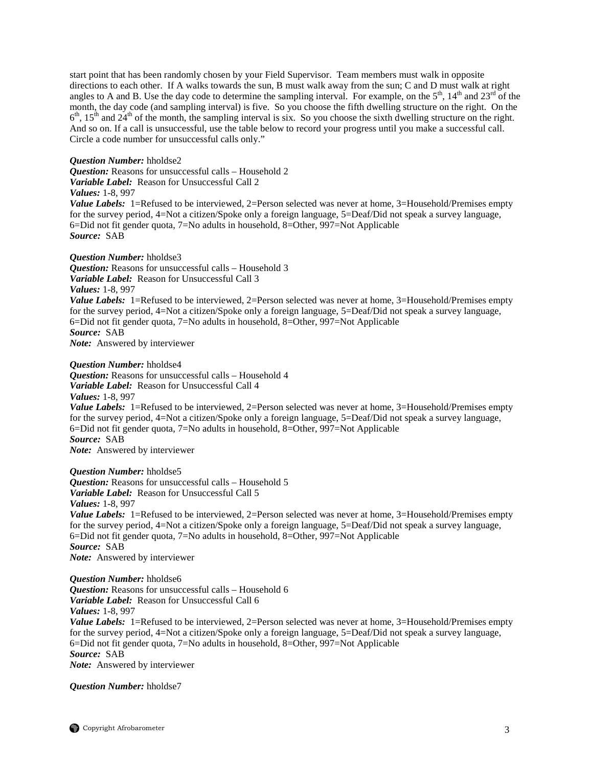start point that has been randomly chosen by your Field Supervisor. Team members must walk in opposite directions to each other. If A walks towards the sun, B must walk away from the sun; C and D must walk at right angles to A and B. Use the day code to determine the sampling interval. For example, on the  $5<sup>th</sup>$ ,  $14<sup>th</sup>$  and  $23<sup>rd</sup>$  of the month, the day code (and sampling interval) is five. So you choose the fifth dwelling structure on the right. On the  $6<sup>th</sup>$ ,  $15<sup>th</sup>$  and  $24<sup>th</sup>$  of the month, the sampling interval is six. So you choose the sixth dwelling structure on the right. And so on. If a call is unsuccessful, use the table below to record your progress until you make a successful call. Circle a code number for unsuccessful calls only."

## *Question Number:* hholdse2

*Question:* Reasons for unsuccessful calls – Household 2 *Variable Label:* Reason for Unsuccessful Call 2

*Values:* 1-8, 997

*Value Labels:* 1=Refused to be interviewed, 2=Person selected was never at home, 3=Household/Premises empty for the survey period, 4=Not a citizen/Spoke only a foreign language, 5=Deaf/Did not speak a survey language, 6=Did not fit gender quota, 7=No adults in household, 8=Other, 997=Not Applicable *Source:* SAB

## *Question Number:* hholdse3

*Question:* Reasons for unsuccessful calls – Household 3 *Variable Label:* Reason for Unsuccessful Call 3

*Values:* 1-8, 997

*Value Labels:* 1=Refused to be interviewed, 2=Person selected was never at home, 3=Household/Premises empty for the survey period, 4=Not a citizen/Spoke only a foreign language, 5=Deaf/Did not speak a survey language, 6=Did not fit gender quota, 7=No adults in household, 8=Other, 997=Not Applicable *Source:* SAB

*Note:* Answered by interviewer

## *Question Number:* hholdse4

*Question:* Reasons for unsuccessful calls – Household 4 *Variable Label:* Reason for Unsuccessful Call 4 *Values:* 1-8, 997 *Value Labels:* 1=Refused to be interviewed, 2=Person selected was never at home, 3=Household/Premises empty for the survey period, 4=Not a citizen/Spoke only a foreign language, 5=Deaf/Did not speak a survey language, 6=Did not fit gender quota, 7=No adults in household, 8=Other, 997=Not Applicable *Source:* SAB *Note:* Answered by interviewer

*Question Number:* hholdse5 *Question:* Reasons for unsuccessful calls – Household 5 *Variable Label:* Reason for Unsuccessful Call 5 *Values:* 1-8, 997 *Value Labels:* 1=Refused to be interviewed, 2=Person selected was never at home, 3=Household/Premises empty for the survey period, 4=Not a citizen/Spoke only a foreign language, 5=Deaf/Did not speak a survey language, 6=Did not fit gender quota, 7=No adults in household, 8=Other, 997=Not Applicable *Source:* SAB *Note:* Answered by interviewer

*Question Number:* hholdse6 *Question:* Reasons for unsuccessful calls – Household 6 *Variable Label:* Reason for Unsuccessful Call 6 *Values:* 1-8, 997 Value Labels: 1=Refused to be interviewed, 2=Person selected was never at home, 3=Household/Premises empty for the survey period, 4=Not a citizen/Spoke only a foreign language, 5=Deaf/Did not speak a survey language, 6=Did not fit gender quota, 7=No adults in household, 8=Other, 997=Not Applicable *Source:* SAB

*Note:* Answered by interviewer

*Question Number:* hholdse7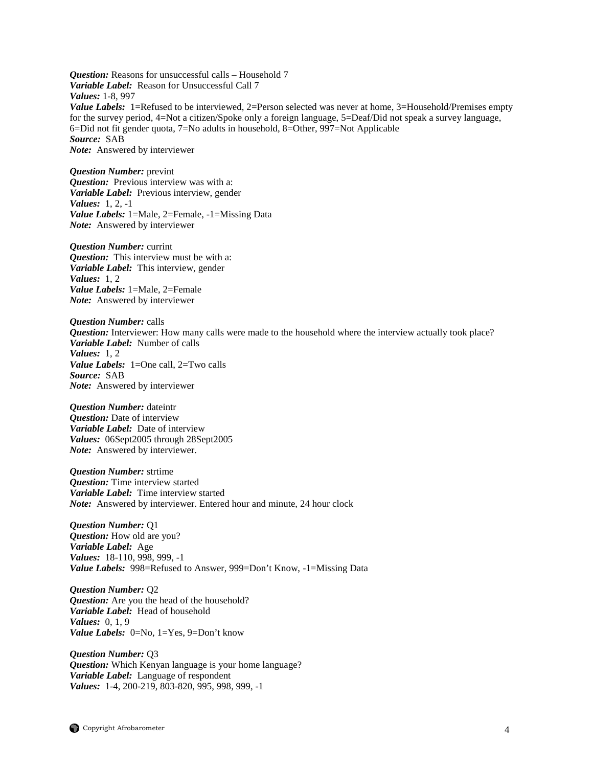*Question:* Reasons for unsuccessful calls – Household 7 *Variable Label:* Reason for Unsuccessful Call 7 *Values:* 1-8, 997 *Value Labels:* 1=Refused to be interviewed, 2=Person selected was never at home, 3=Household/Premises empty for the survey period, 4=Not a citizen/Spoke only a foreign language, 5=Deaf/Did not speak a survey language, 6=Did not fit gender quota, 7=No adults in household, 8=Other, 997=Not Applicable *Source:* SAB *Note:* Answered by interviewer

*Question Number:* prevint *Question:* Previous interview was with a: *Variable Label:* Previous interview, gender *Values:* 1, 2, -1 *Value Labels:* 1=Male, 2=Female, -1=Missing Data *Note:* Answered by interviewer

*Question Number:* currint *Question:* This interview must be with a: *Variable Label:* This interview, gender *Values:* 1, 2 *Value Labels:* 1=Male, 2=Female *Note:* Answered by interviewer

*Question Number:* calls *Question:* Interviewer: How many calls were made to the household where the interview actually took place? *Variable Label:* Number of calls *Values:* 1, 2 *Value Labels:* 1=One call, 2=Two calls *Source:* SAB *Note:* Answered by interviewer

*Question Number:* dateintr *Question:* Date of interview *Variable Label:* Date of interview *Values:* 06Sept2005 through 28Sept2005 *Note:* Answered by interviewer.

*Question Number:* strtime *Question:* Time interview started *Variable Label:* Time interview started *Note:* Answered by interviewer. Entered hour and minute, 24 hour clock

*Question Number:* Q1 *Question:* How old are you? *Variable Label:* Age *Values:* 18-110, 998, 999, -1 *Value Labels:* 998=Refused to Answer, 999=Don't Know, -1=Missing Data

*Question Number:* Q2 *Question:* Are you the head of the household? *Variable Label:* Head of household *Values:* 0, 1, 9 *Value Labels:* 0=No, 1=Yes, 9=Don't know

*Question Number:* Q3 *Question:* Which Kenyan language is your home language? *Variable Label:* Language of respondent *Values:* 1-4, 200-219, 803-820, 995, 998, 999, -1

Copyright Afrobarometer 4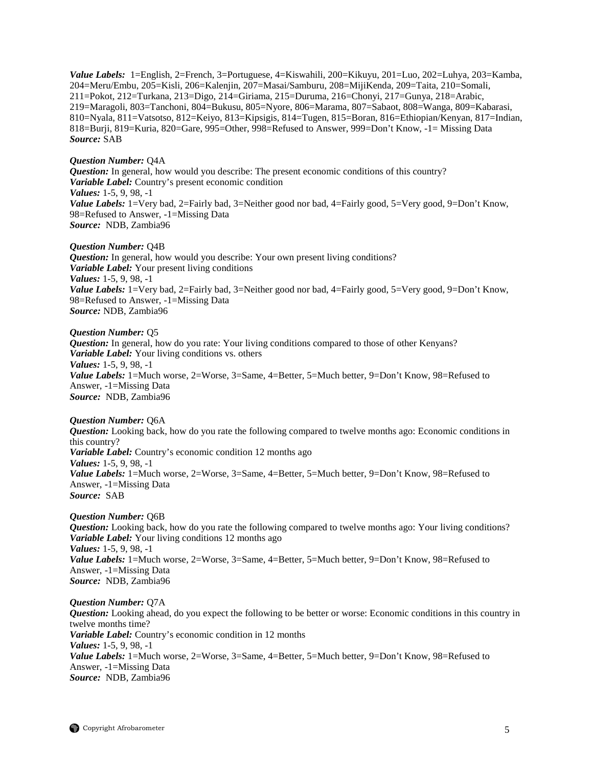*Value Labels:* 1=English, 2=French, 3=Portuguese, 4=Kiswahili, 200=Kikuyu, 201=Luo, 202=Luhya, 203=Kamba, 204=Meru/Embu, 205=Kisli, 206=Kalenjin, 207=Masai/Samburu, 208=MijiKenda, 209=Taita, 210=Somali, 211=Pokot, 212=Turkana, 213=Digo, 214=Giriama, 215=Duruma, 216=Chonyi, 217=Gunya, 218=Arabic, 219=Maragoli, 803=Tanchoni, 804=Bukusu, 805=Nyore, 806=Marama, 807=Sabaot, 808=Wanga, 809=Kabarasi, 810=Nyala, 811=Vatsotso, 812=Keiyo, 813=Kipsigis, 814=Tugen, 815=Boran, 816=Ethiopian/Kenyan, 817=Indian, 818=Burji, 819=Kuria, 820=Gare, 995=Other, 998=Refused to Answer, 999=Don't Know*,* -1= Missing Data *Source:* SAB

#### *Question Number:* Q4A

*Question:* In general, how would you describe: The present economic conditions of this country? *Variable Label:* Country's present economic condition *Values:* 1-5, 9, 98, -1 *Value Labels:* 1=Very bad, 2=Fairly bad, 3=Neither good nor bad, 4=Fairly good, 5=Very good, 9=Don't Know, 98=Refused to Answer, -1=Missing Data *Source:* NDB, Zambia96

#### *Question Number:* Q4B

*Question:* In general, how would you describe: Your own present living conditions? *Variable Label:* Your present living conditions *Values:* 1-5, 9, 98, -1 *Value Labels:* 1=Very bad, 2=Fairly bad, 3=Neither good nor bad, 4=Fairly good, 5=Very good, 9=Don't Know, 98=Refused to Answer, -1=Missing Data *Source:* NDB, Zambia96

## *Question Number:* Q5

*Question:* In general, how do you rate: Your living conditions compared to those of other Kenyans? *Variable Label:* Your living conditions vs. others *Values:* 1-5, 9, 98, -1 *Value Labels:* 1=Much worse, 2=Worse, 3=Same, 4=Better, 5=Much better, 9=Don't Know, 98=Refused to Answer, -1=Missing Data *Source:* NDB, Zambia96

#### *Question Number:* Q6A

*Question:* Looking back, how do you rate the following compared to twelve months ago: Economic conditions in this country? *Variable Label:* Country's economic condition 12 months ago *Values:* 1-5, 9, 98, -1 Value Labels: 1=Much worse, 2=Worse, 3=Same, 4=Better, 5=Much better, 9=Don't Know, 98=Refused to Answer, -1=Missing Data *Source:* SAB

#### *Question Number:* Q6B

*Question:* Looking back, how do you rate the following compared to twelve months ago: Your living conditions? *Variable Label:* Your living conditions 12 months ago *Values:* 1-5, 9, 98, -1 *Value Labels:* 1=Much worse, 2=Worse, 3=Same, 4=Better, 5=Much better, 9=Don't Know, 98=Refused to Answer, -1=Missing Data *Source:* NDB, Zambia96

## *Question Number:* Q7A *Question:* Looking ahead, do you expect the following to be better or worse: Economic conditions in this country in twelve months time? *Variable Label:* Country's economic condition in 12 months *Values:* 1-5, 9, 98, -1 *Value Labels:* 1=Much worse, 2=Worse, 3=Same, 4=Better, 5=Much better, 9=Don't Know, 98=Refused to Answer, -1=Missing Data *Source:* NDB, Zambia96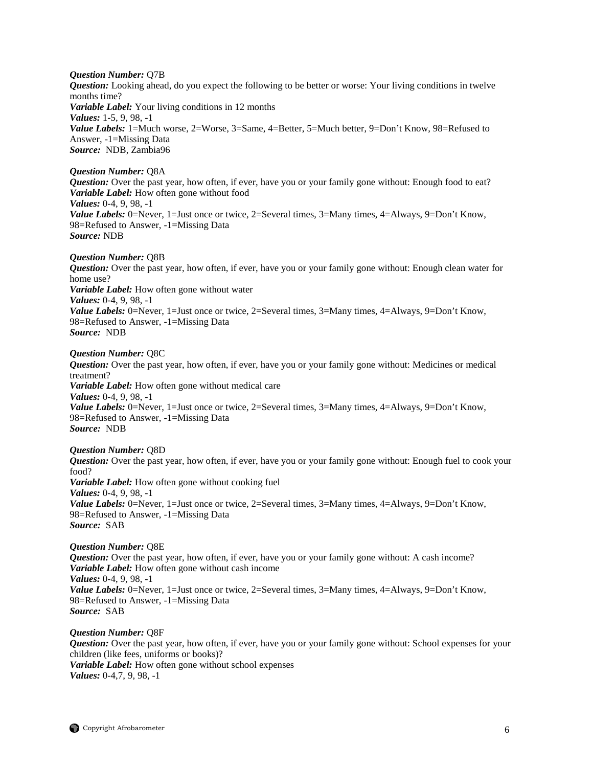*Question Number:* Q7B *Question:* Looking ahead, do you expect the following to be better or worse: Your living conditions in twelve months time? *Variable Label:* Your living conditions in 12 months *Values:* 1-5, 9, 98, -1 Value Labels: 1=Much worse, 2=Worse, 3=Same, 4=Better, 5=Much better, 9=Don't Know, 98=Refused to Answer, -1=Missing Data *Source:* NDB, Zambia96

#### *Question Number:* Q8A

*Question:* Over the past year, how often, if ever, have you or your family gone without: Enough food to eat? *Variable Label:* How often gone without food *Values:* 0-4, 9, 98, -1 *Value Labels:* 0=Never, 1=Just once or twice, 2=Several times, 3=Many times, 4=Always, 9=Don't Know, 98=Refused to Answer, -1=Missing Data *Source:* NDB

#### *Question Number:* Q8B

*Question:* Over the past year, how often, if ever, have you or your family gone without: Enough clean water for home use? *Variable Label:* How often gone without water *Values:* 0-4, 9, 98, -1 *Value Labels:* 0=Never, 1=Just once or twice, 2=Several times, 3=Many times, 4=Always, 9=Don't Know, 98=Refused to Answer, -1=Missing Data *Source:* NDB

#### *Question Number:* Q8C

*Question:* Over the past year, how often, if ever, have you or your family gone without: Medicines or medical treatment? *Variable Label:* How often gone without medical care *Values:* 0-4, 9, 98, -1 *Value Labels:* 0=Never, 1=Just once or twice, 2=Several times, 3=Many times, 4=Always, 9=Don't Know, 98=Refused to Answer, -1=Missing Data *Source:* NDB

## *Question Number:* Q8D

*Question:* Over the past year, how often, if ever, have you or your family gone without: Enough fuel to cook your food? *Variable Label:* How often gone without cooking fuel *Values:* 0-4, 9, 98, -1 *Value Labels:* 0=Never, 1=Just once or twice, 2=Several times, 3=Many times, 4=Always, 9=Don't Know, 98=Refused to Answer, -1=Missing Data *Source:* SAB

*Question Number:* Q8E *Question:* Over the past year, how often, if ever, have you or your family gone without: A cash income? *Variable Label:* How often gone without cash income *Values:* 0-4, 9, 98, -1 *Value Labels:* 0=Never, 1=Just once or twice, 2=Several times, 3=Many times, 4=Always, 9=Don't Know, 98=Refused to Answer, -1=Missing Data *Source:* SAB

#### *Question Number:* Q8F

*Question:* Over the past year, how often, if ever, have you or your family gone without: School expenses for your children (like fees, uniforms or books)? *Variable Label:* How often gone without school expenses *Values:* 0-4,7, 9, 98, -1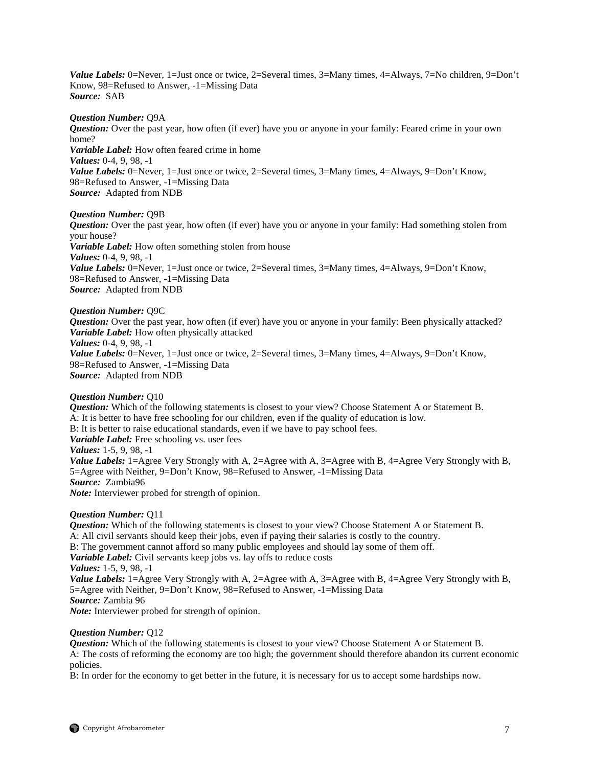*Value Labels:* 0=Never, 1=Just once or twice, 2=Several times, 3=Many times, 4=Always, 7=No children, 9=Don't Know, 98=Refused to Answer, -1=Missing Data *Source:* SAB

## *Question Number:* Q9A

*Question:* Over the past year, how often (if ever) have you or anyone in your family: Feared crime in your own home? *Variable Label:* How often feared crime in home *Values:* 0-4, 9, 98, -1 *Value Labels:* 0=Never, 1=Just once or twice, 2=Several times, 3=Many times, 4=Always, 9=Don't Know, 98=Refused to Answer, -1=Missing Data *Source:* Adapted from NDB

## *Question Number:* Q9B

*Question:* Over the past year, how often (if ever) have you or anyone in your family: Had something stolen from your house? *Variable Label:* How often something stolen from house

*Values:* 0-4, 9, 98, -1 *Value Labels:* 0=Never, 1=Just once or twice, 2=Several times, 3=Many times, 4=Always, 9=Don't Know, 98=Refused to Answer, -1=Missing Data *Source:* Adapted from NDB

## *Question Number:* Q9C

*Question:* Over the past year, how often (if ever) have you or anyone in your family: Been physically attacked? *Variable Label:* How often physically attacked *Values:* 0-4, 9, 98, -1 *Value Labels:* 0=Never, 1=Just once or twice, 2=Several times, 3=Many times, 4=Always, 9=Don't Know, 98=Refused to Answer, -1=Missing Data *Source:* Adapted from NDB

## *Question Number:* Q10

*Question:* Which of the following statements is closest to your view? Choose Statement A or Statement B. A: It is better to have free schooling for our children, even if the quality of education is low. B: It is better to raise educational standards, even if we have to pay school fees. *Variable Label:* Free schooling vs. user fees *Values:* 1-5, 9, 98, -1 *Value Labels:* 1=Agree Very Strongly with A, 2=Agree with A, 3=Agree with B, 4=Agree Very Strongly with B, 5=Agree with Neither, 9=Don't Know, 98=Refused to Answer, -1=Missing Data *Source:* Zambia96 *Note:* Interviewer probed for strength of opinion.

## *Question Number:* Q11

*Question:* Which of the following statements is closest to your view? Choose Statement A or Statement B. A: All civil servants should keep their jobs, even if paying their salaries is costly to the country. B: The government cannot afford so many public employees and should lay some of them off. *Variable Label:* Civil servants keep jobs vs. lay offs to reduce costs *Values:* 1-5, 9, 98, -1 *Value Labels:* 1=Agree Very Strongly with A, 2=Agree with A, 3=Agree with B, 4=Agree Very Strongly with B, 5=Agree with Neither, 9=Don't Know, 98=Refused to Answer, -1=Missing Data *Source:* Zambia 96 *Note:* Interviewer probed for strength of opinion.

## *Question Number:* Q12

*Question:* Which of the following statements is closest to your view? Choose Statement A or Statement B. A: The costs of reforming the economy are too high; the government should therefore abandon its current economic policies.

B: In order for the economy to get better in the future, it is necessary for us to accept some hardships now.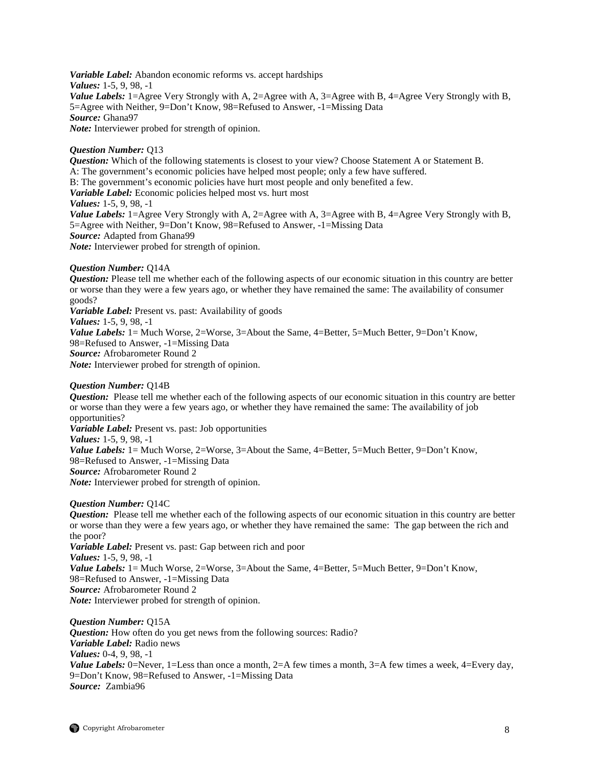*Variable Label:* Abandon economic reforms vs. accept hardships *Values:* 1-5, 9, 98, -1 *Value Labels:* 1=Agree Very Strongly with A, 2=Agree with A, 3=Agree with B, 4=Agree Very Strongly with B, 5=Agree with Neither, 9=Don't Know, 98=Refused to Answer, -1=Missing Data *Source:* Ghana97 *Note:* Interviewer probed for strength of opinion.

## *Question Number:* Q13

*Question:* Which of the following statements is closest to your view? Choose Statement A or Statement B. A: The government's economic policies have helped most people; only a few have suffered. B: The government's economic policies have hurt most people and only benefited a few. *Variable Label:* Economic policies helped most vs. hurt most *Values:* 1-5, 9, 98, -1 *Value Labels:* 1=Agree Very Strongly with A, 2=Agree with A, 3=Agree with B, 4=Agree Very Strongly with B, 5=Agree with Neither, 9=Don't Know, 98=Refused to Answer, -1=Missing Data *Source:* Adapted from Ghana99 *Note:* Interviewer probed for strength of opinion.

## *Question Number:* Q14A

*Question:* Please tell me whether each of the following aspects of our economic situation in this country are better or worse than they were a few years ago, or whether they have remained the same: The availability of consumer goods?

*Variable Label:* Present vs. past: Availability of goods *Values:* 1-5, 9, 98, -1 *Value Labels:* 1= Much Worse, 2=Worse, 3=About the Same, 4=Better, 5=Much Better, 9=Don't Know, 98=Refused to Answer, -1=Missing Data *Source:* Afrobarometer Round 2 *Note:* Interviewer probed for strength of opinion.

## *Question Number:* Q14B

*Question:* Please tell me whether each of the following aspects of our economic situation in this country are better or worse than they were a few years ago, or whether they have remained the same: The availability of job opportunities? *Variable Label:* Present vs. past: Job opportunities

*Values:* 1-5, 9, 98, -1

*Value Labels:* 1= Much Worse, 2=Worse, 3=About the Same, 4=Better, 5=Much Better, 9=Don't Know, 98=Refused to Answer, -1=Missing Data *Source:* Afrobarometer Round 2 *Note:* Interviewer probed for strength of opinion.

## *Question Number:* Q14C

*Question:* Please tell me whether each of the following aspects of our economic situation in this country are better or worse than they were a few years ago, or whether they have remained the same: The gap between the rich and the poor? *Variable Label:* Present vs. past: Gap between rich and poor *Values:* 1-5, 9, 98, -1 *Value Labels:* 1 = Much Worse, 2=Worse, 3=About the Same, 4=Better, 5=Much Better, 9=Don't Know, 98=Refused to Answer, -1=Missing Data *Source:* Afrobarometer Round 2 *Note:* Interviewer probed for strength of opinion.

*Question Number:* Q15A *Question:* How often do you get news from the following sources: Radio? *Variable Label:* Radio news *Values:* 0-4, 9, 98, -1 *Value Labels:* 0=Never, 1=Less than once a month, 2=A few times a month, 3=A few times a week, 4=Every day, 9=Don't Know, 98=Refused to Answer, -1=Missing Data *Source:* Zambia96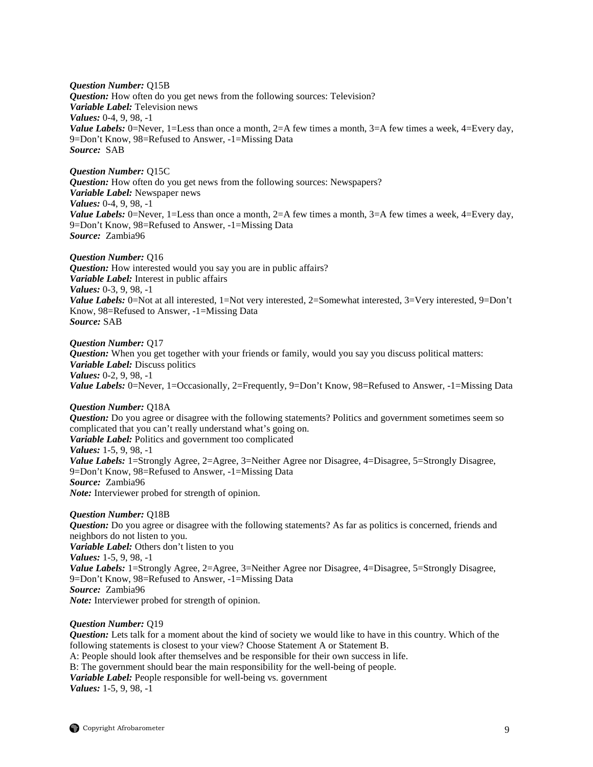*Question Number:* Q15B *Question:* How often do you get news from the following sources: Television? *Variable Label:* Television news *Values:* 0-4, 9, 98, -1 *Value Labels:* 0=Never, 1=Less than once a month, 2=A few times a month, 3=A few times a week, 4=Every day, 9=Don't Know, 98=Refused to Answer, -1=Missing Data *Source:* SAB

*Question Number:* Q15C *Question:* How often do you get news from the following sources: Newspapers? *Variable Label:* Newspaper news *Values:* 0-4, 9, 98, -1 *Value Labels:* 0=Never, 1=Less than once a month,  $2=A$  few times a month,  $3=A$  few times a week,  $4=Every$  day, 9=Don't Know, 98=Refused to Answer, -1=Missing Data *Source:* Zambia96

*Question Number:* Q16 *Question:* How interested would you say you are in public affairs? *Variable Label:* Interest in public affairs *Values:* 0-3, 9, 98, -1 *Value Labels:* 0=Not at all interested, 1=Not very interested, 2=Somewhat interested, 3=Very interested, 9=Don't Know, 98=Refused to Answer, -1=Missing Data *Source:* SAB

*Question Number:* Q17 *Question:* When you get together with your friends or family, would you say you discuss political matters: *Variable Label:* Discuss politics *Values:* 0-2, 9, 98, -1 *Value Labels:* 0=Never, 1=Occasionally, 2=Frequently, 9=Don't Know, 98=Refused to Answer, -1=Missing Data

*Question Number:* Q18A *Question:* Do you agree or disagree with the following statements? Politics and government sometimes seem so complicated that you can't really understand what's going on. *Variable Label:* Politics and government too complicated *Values:* 1-5, 9, 98, -1 *Value Labels:* 1=Strongly Agree, 2=Agree, 3=Neither Agree nor Disagree, 4=Disagree, 5=Strongly Disagree, 9=Don't Know, 98=Refused to Answer, -1=Missing Data *Source:* Zambia96 *Note:* Interviewer probed for strength of opinion.

## *Question Number:* Q18B

*Question:* Do you agree or disagree with the following statements? As far as politics is concerned, friends and neighbors do not listen to you. *Variable Label:* Others don't listen to you *Values:* 1-5, 9, 98, -1 *Value Labels:* 1=Strongly Agree, 2=Agree, 3=Neither Agree nor Disagree, 4=Disagree, 5=Strongly Disagree, 9=Don't Know, 98=Refused to Answer, -1=Missing Data *Source:* Zambia96 *Note:* Interviewer probed for strength of opinion.

## *Question Number:* Q19

*Question:* Lets talk for a moment about the kind of society we would like to have in this country. Which of the following statements is closest to your view? Choose Statement A or Statement B. A: People should look after themselves and be responsible for their own success in life. B: The government should bear the main responsibility for the well-being of people. *Variable Label:* People responsible for well-being vs. government *Values:* 1-5, 9, 98, -1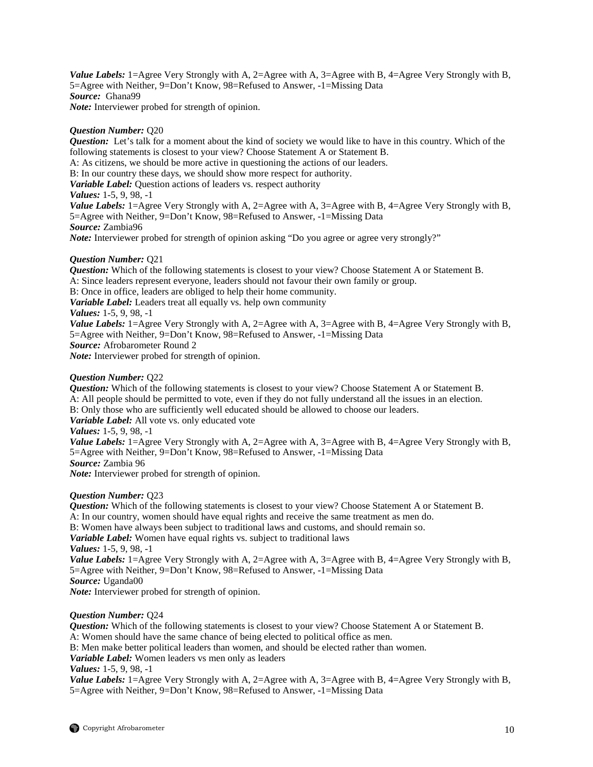*Value Labels:* 1=Agree Very Strongly with A, 2=Agree with A, 3=Agree with B, 4=Agree Very Strongly with B, 5=Agree with Neither, 9=Don't Know, 98=Refused to Answer, -1=Missing Data *Source:* Ghana99 *Note:* Interviewer probed for strength of opinion.

## *Question Number:* Q20

*Question:* Let's talk for a moment about the kind of society we would like to have in this country. Which of the following statements is closest to your view? Choose Statement A or Statement B. A: As citizens, we should be more active in questioning the actions of our leaders. B: In our country these days, we should show more respect for authority. *Variable Label:* Question actions of leaders vs. respect authority *Values:* 1-5, 9, 98, -1 *Value Labels:* 1=Agree Very Strongly with A, 2=Agree with A, 3=Agree with B, 4=Agree Very Strongly with B, 5=Agree with Neither, 9=Don't Know, 98=Refused to Answer, -1=Missing Data *Source:* Zambia96 *Note:* Interviewer probed for strength of opinion asking "Do you agree or agree very strongly?"

## *Question Number:* Q21

*Question:* Which of the following statements is closest to your view? Choose Statement A or Statement B. A: Since leaders represent everyone, leaders should not favour their own family or group. B: Once in office, leaders are obliged to help their home community. *Variable Label:* Leaders treat all equally vs. help own community *Values:* 1-5, 9, 98, -1 *Value Labels:* 1=Agree Very Strongly with A, 2=Agree with A, 3=Agree with B, 4=Agree Very Strongly with B, 5=Agree with Neither, 9=Don't Know, 98=Refused to Answer, -1=Missing Data *Source:* Afrobarometer Round 2 *Note:* Interviewer probed for strength of opinion.

## *Question Number:* Q22

*Question:* Which of the following statements is closest to your view? Choose Statement A or Statement B. A: All people should be permitted to vote, even if they do not fully understand all the issues in an election. B: Only those who are sufficiently well educated should be allowed to choose our leaders. *Variable Label:* All vote vs. only educated vote *Values:* 1-5, 9, 98, -1 *Value Labels:* 1=Agree Very Strongly with A, 2=Agree with A, 3=Agree with B, 4=Agree Very Strongly with B, 5=Agree with Neither, 9=Don't Know, 98=Refused to Answer, -1=Missing Data *Source:* Zambia 96 *Note:* Interviewer probed for strength of opinion. *Question Number:* Q23 *Question:* Which of the following statements is closest to your view? Choose Statement A or Statement B.

A: In our country, women should have equal rights and receive the same treatment as men do. B: Women have always been subject to traditional laws and customs, and should remain so. *Variable Label:* Women have equal rights vs. subject to traditional laws *Values:* 1-5, 9, 98, -1 *Value Labels:* 1=Agree Very Strongly with A, 2=Agree with A, 3=Agree with B, 4=Agree Very Strongly with B, 5=Agree with Neither, 9=Don't Know, 98=Refused to Answer, -1=Missing Data *Source:* Uganda00 *Note:* Interviewer probed for strength of opinion.

*Question Number:* Q24

*Question:* Which of the following statements is closest to your view? Choose Statement A or Statement B. A: Women should have the same chance of being elected to political office as men. B: Men make better political leaders than women, and should be elected rather than women. *Variable Label:* Women leaders vs men only as leaders *Values:* 1-5, 9, 98, -1 *Value Labels:* 1=Agree Very Strongly with A, 2=Agree with A, 3=Agree with B, 4=Agree Very Strongly with B, 5=Agree with Neither, 9=Don't Know, 98=Refused to Answer, -1=Missing Data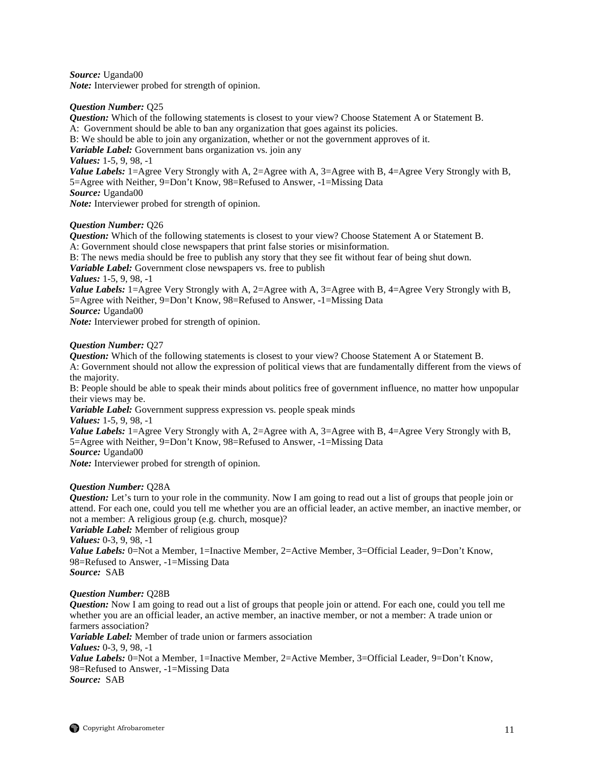*Source:* Uganda00 *Note:* Interviewer probed for strength of opinion.

## *Question Number:* Q25

*Question:* Which of the following statements is closest to your view? Choose Statement A or Statement B.

A: Government should be able to ban any organization that goes against its policies.

B: We should be able to join any organization, whether or not the government approves of it.

*Variable Label:* Government bans organization vs. join any

*Values:* 1-5, 9, 98, -1

*Value Labels:* 1=Agree Very Strongly with A, 2=Agree with A, 3=Agree with B, 4=Agree Very Strongly with B, 5=Agree with Neither, 9=Don't Know, 98=Refused to Answer, -1=Missing Data *Source:* Uganda00

*Note:* Interviewer probed for strength of opinion.

## *Question Number:* Q26

*Question:* Which of the following statements is closest to your view? Choose Statement A or Statement B. A: Government should close newspapers that print false stories or misinformation.

B: The news media should be free to publish any story that they see fit without fear of being shut down.

*Variable Label:* Government close newspapers vs. free to publish

*Values:* 1-5, 9, 98, -1

*Value Labels:* 1=Agree Very Strongly with A, 2=Agree with A, 3=Agree with B, 4=Agree Very Strongly with B, 5=Agree with Neither, 9=Don't Know, 98=Refused to Answer, -1=Missing Data

*Source:* Uganda00

*Note:* Interviewer probed for strength of opinion.

## *Question Number:* Q27

*Question:* Which of the following statements is closest to your view? Choose Statement A or Statement B.

A: Government should not allow the expression of political views that are fundamentally different from the views of the majority.

B: People should be able to speak their minds about politics free of government influence, no matter how unpopular their views may be.

*Variable Label:* Government suppress expression vs. people speak minds

*Values:* 1-5, 9, 98, -1

*Value Labels:* 1=Agree Very Strongly with A, 2=Agree with A, 3=Agree with B, 4=Agree Very Strongly with B, 5=Agree with Neither, 9=Don't Know, 98=Refused to Answer, -1=Missing Data

*Source:* Uganda00

*Note:* Interviewer probed for strength of opinion.

## *Question Number:* Q28A

*Question:* Let's turn to your role in the community. Now I am going to read out a list of groups that people join or attend. For each one, could you tell me whether you are an official leader, an active member, an inactive member, or not a member: A religious group (e.g. church, mosque)?

*Variable Label:* Member of religious group *Values:* 0-3, 9, 98, -1

*Value Labels:* 0=Not a Member, 1=Inactive Member, 2=Active Member, 3=Official Leader, 9=Don't Know, 98=Refused to Answer, -1=Missing Data *Source:* SAB

## *Question Number:* Q28B

*Question:* Now I am going to read out a list of groups that people join or attend. For each one, could you tell me whether you are an official leader, an active member, an inactive member, or not a member: A trade union or farmers association?

*Variable Label:* Member of trade union or farmers association

*Values:* 0-3, 9, 98, -1

*Value Labels:* 0=Not a Member, 1=Inactive Member, 2=Active Member, 3=Official Leader, 9=Don't Know, 98=Refused to Answer, -1=Missing Data *Source:* SAB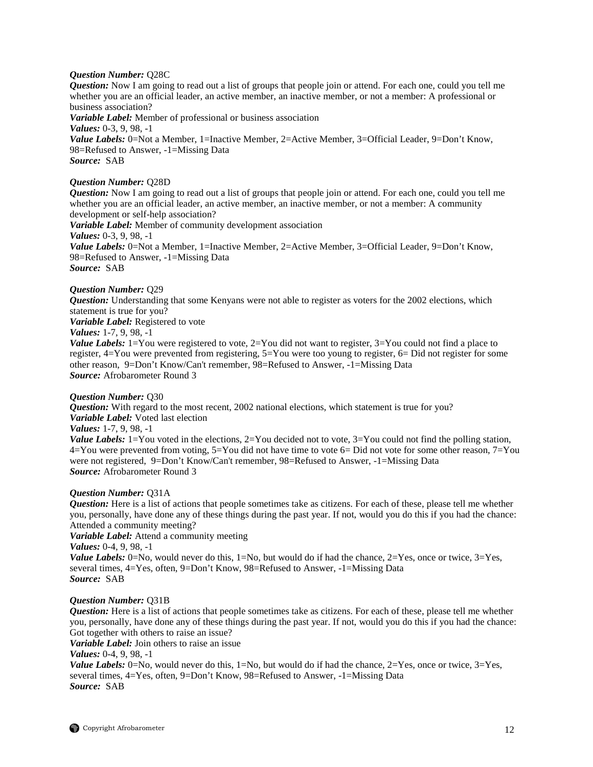## *Question Number:* Q28C

*Question:* Now I am going to read out a list of groups that people join or attend. For each one, could you tell me whether you are an official leader, an active member, an inactive member, or not a member: A professional or business association?

*Variable Label:* Member of professional or business association *Values:* 0-3, 9, 98, -1 *Value Labels:* 0=Not a Member, 1=Inactive Member, 2=Active Member, 3=Official Leader, 9=Don't Know, 98=Refused to Answer, -1=Missing Data *Source:* SAB

## *Question Number:* Q28D

*Question:* Now I am going to read out a list of groups that people join or attend. For each one, could you tell me whether you are an official leader, an active member, an inactive member, or not a member: A community development or self-help association?

*Variable Label:* Member of community development association *Values:* 0-3, 9, 98, -1 *Value Labels:* 0=Not a Member, 1=Inactive Member, 2=Active Member, 3=Official Leader, 9=Don't Know, 98=Refused to Answer, -1=Missing Data

*Source:* SAB

## *Question Number:* Q29

*Question:* Understanding that some Kenyans were not able to register as voters for the 2002 elections, which statement is true for you?

*Variable Label:* Registered to vote

## *Values:* 1-7, 9, 98, -1

*Value Labels:* 1=You were registered to vote, 2=You did not want to register, 3=You could not find a place to register, 4=You were prevented from registering, 5=You were too young to register, 6= Did not register for some other reason, 9=Don't Know/Can't remember, 98=Refused to Answer, -1=Missing Data *Source:* Afrobarometer Round 3

## *Question Number:* Q30

*Question:* With regard to the most recent, 2002 national elections, which statement is true for you? *Variable Label:* Voted last election

## *Values:* 1-7, 9, 98, -1

*Value Labels:*  $1 = You$  voted in the elections,  $2 = You$  decided not to vote,  $3 = You$  could not find the polling station, 4=You were prevented from voting, 5=You did not have time to vote 6= Did not vote for some other reason, 7=You were not registered, 9=Don't Know/Can't remember, 98=Refused to Answer, -1=Missing Data *Source:* Afrobarometer Round 3

## *Question Number:* Q31A

*Question:* Here is a list of actions that people sometimes take as citizens. For each of these, please tell me whether you, personally, have done any of these things during the past year. If not, would you do this if you had the chance: Attended a community meeting?

*Variable Label:* Attend a community meeting

*Values:* 0-4, 9, 98, -1

*Value Labels:*  $0 = No$ , would never do this,  $1 = No$ , but would do if had the chance,  $2 = Yes$ , once or twice,  $3 = Yes$ , several times, 4=Yes, often, 9=Don't Know, 98=Refused to Answer, -1=Missing Data *Source:* SAB

## *Question Number:* Q31B

*Question:* Here is a list of actions that people sometimes take as citizens. For each of these, please tell me whether you, personally, have done any of these things during the past year. If not, would you do this if you had the chance: Got together with others to raise an issue?

*Variable Label:* Join others to raise an issue

*Values:* 0-4, 9, 98, -1

*Value Labels:*  $0 = No$ , would never do this,  $1 = No$ , but would do if had the chance,  $2 = Yes$ , once or twice,  $3 = Yes$ , several times, 4=Yes, often, 9=Don't Know, 98=Refused to Answer, -1=Missing Data *Source:* SAB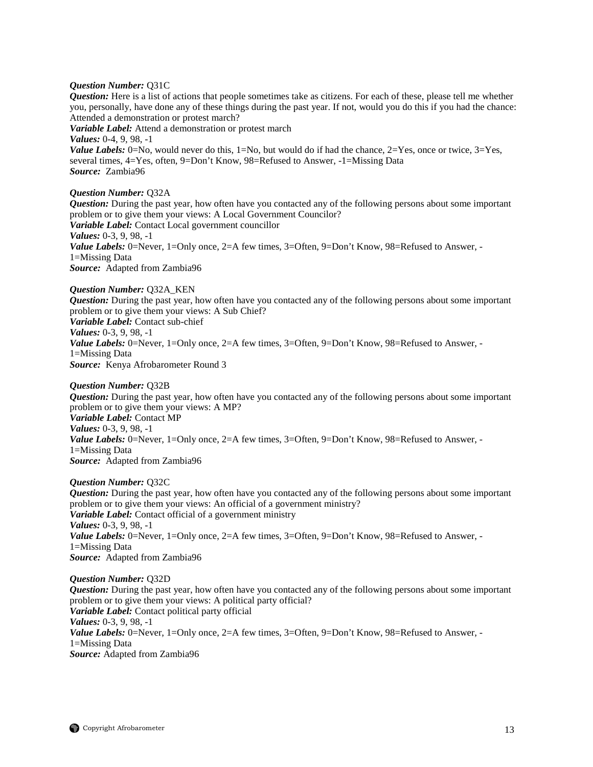## *Question Number:* Q31C

*Question:* Here is a list of actions that people sometimes take as citizens. For each of these, please tell me whether you, personally, have done any of these things during the past year. If not, would you do this if you had the chance: Attended a demonstration or protest march?

*Variable Label:* Attend a demonstration or protest march

*Values:* 0-4, 9, 98, -1

*Value Labels:* 0=No, would never do this,  $1=N_0$ , but would do if had the chance,  $2=Y$ es, once or twice,  $3=Yes$ , several times, 4=Yes, often, 9=Don't Know, 98=Refused to Answer, -1=Missing Data *Source:* Zambia96

## *Question Number:* Q32A

*Question:* During the past year, how often have you contacted any of the following persons about some important problem or to give them your views: A Local Government Councilor? *Variable Label:* Contact Local government councillor *Values:* 0-3, 9, 98, -1 *Value Labels:* 0=Never, 1=Only once, 2=A few times, 3=Often, 9=Don't Know, 98=Refused to Answer, -1=Missing Data *Source:* Adapted from Zambia96

## *Question Number:* Q32A\_KEN

*Question:* During the past year, how often have you contacted any of the following persons about some important problem or to give them your views: A Sub Chief? *Variable Label:* Contact sub-chief *Values:* 0-3, 9, 98, -1

Value Labels: 0=Never, 1=Only once, 2=A few times, 3=Often, 9=Don't Know, 98=Refused to Answer, -1=Missing Data *Source:* Kenya Afrobarometer Round 3

## *Question Number:* Q32B

*Question:* During the past year, how often have you contacted any of the following persons about some important problem or to give them your views: A MP? *Variable Label:* Contact MP *Values:* 0-3, 9, 98, -1 *Value Labels:* 0=Never, 1=Only once, 2=A few times, 3=Often, 9=Don't Know, 98=Refused to Answer, -1=Missing Data *Source:* Adapted from Zambia96

## *Question Number:* Q32C

*Question:* During the past year, how often have you contacted any of the following persons about some important problem or to give them your views: An official of a government ministry? *Variable Label:* Contact official of a government ministry *Values:* 0-3, 9, 98, -1 *Value Labels:* 0=Never, 1=Only once, 2=A few times, 3=Often, 9=Don't Know, 98=Refused to Answer, -1=Missing Data *Source:* Adapted from Zambia96

*Question Number:* Q32D

*Question:* During the past year, how often have you contacted any of the following persons about some important problem or to give them your views: A political party official? *Variable Label:* Contact political party official *Values:* 0-3, 9, 98, -1 *Value Labels:* 0=Never, 1=Only once, 2=A few times, 3=Often, 9=Don't Know, 98=Refused to Answer, -1=Missing Data *Source:* Adapted from Zambia96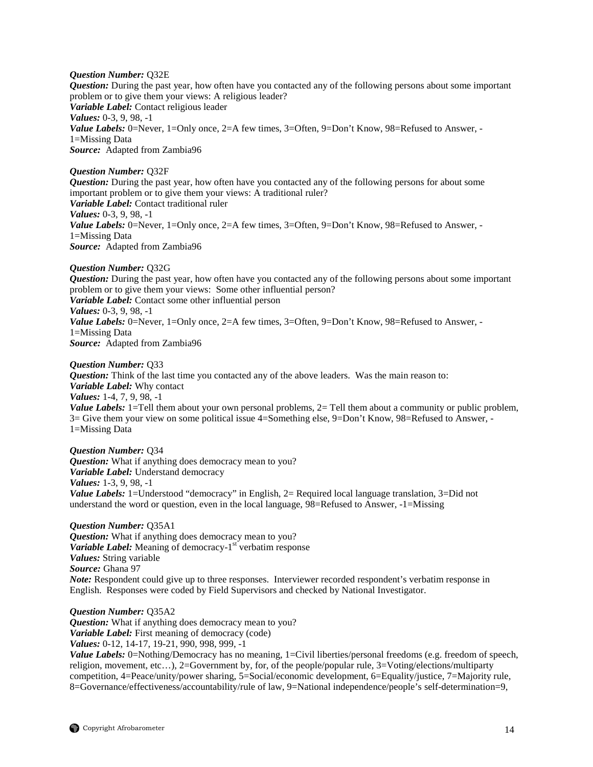## *Question Number:* Q32E

*Question:* During the past year, how often have you contacted any of the following persons about some important problem or to give them your views: A religious leader? *Variable Label:* Contact religious leader *Values:* 0-3, 9, 98, -1 Value Labels: 0=Never, 1=Only once, 2=A few times, 3=Often, 9=Don't Know, 98=Refused to Answer, -1=Missing Data *Source:* Adapted from Zambia96

## *Question Number:* Q32F

*Question:* During the past year, how often have you contacted any of the following persons for about some important problem or to give them your views: A traditional ruler? *Variable Label:* Contact traditional ruler *Values:* 0-3, 9, 98, -1 *Value Labels:* 0=Never, 1=Only once, 2=A few times, 3=Often, 9=Don't Know, 98=Refused to Answer, -1=Missing Data *Source:* Adapted from Zambia96

#### *Question Number:* Q32G

*Question:* During the past year, how often have you contacted any of the following persons about some important problem or to give them your views: Some other influential person? *Variable Label:* Contact some other influential person *Values:* 0-3, 9, 98, -1 *Value Labels:* 0=Never, 1=Only once, 2=A few times, 3=Often, 9=Don't Know, 98=Refused to Answer, -1=Missing Data *Source:* Adapted from Zambia96

#### *Question Number:* Q33

*Question:* Think of the last time you contacted any of the above leaders. Was the main reason to: *Variable Label:* Why contact *Values:* 1-4, 7, 9, 98, -1 *Value Labels:* 1=Tell them about your own personal problems, 2= Tell them about a community or public problem, 3= Give them your view on some political issue 4=Something else, 9=Don't Know, 98=Refused to Answer, - 1=Missing Data

*Question Number:* Q34 *Question:* What if anything does democracy mean to you? *Variable Label:* Understand democracy *Values:* 1-3, 9, 98, -1 *Value Labels:* 1=Understood "democracy" in English, 2= Required local language translation, 3=Did not understand the word or question, even in the local language, 98=Refused to Answer, -1=Missing

*Question Number:* Q35A1 *Question:* What if anything does democracy mean to you? *Variable Label:* Meaning of democracy-1<sup>st</sup> verbatim response *Values:* String variable *Source:* Ghana 97 *Note:* Respondent could give up to three responses. Interviewer recorded respondent's verbatim response in English. Responses were coded by Field Supervisors and checked by National Investigator.

## *Question Number:* Q35A2

*Question:* What if anything does democracy mean to you? *Variable Label:* First meaning of democracy (code) *Values:* 0-12, 14-17, 19-21, 990, 998, 999, -1

*Value Labels:* 0=Nothing/Democracy has no meaning, 1=Civil liberties/personal freedoms (e.g. freedom of speech, religion, movement, etc…), 2=Government by, for, of the people/popular rule, 3=Voting/elections/multiparty competition, 4=Peace/unity/power sharing, 5=Social/economic development, 6=Equality/justice, 7=Majority rule, 8=Governance/effectiveness/accountability/rule of law, 9=National independence/people's self-determination=9,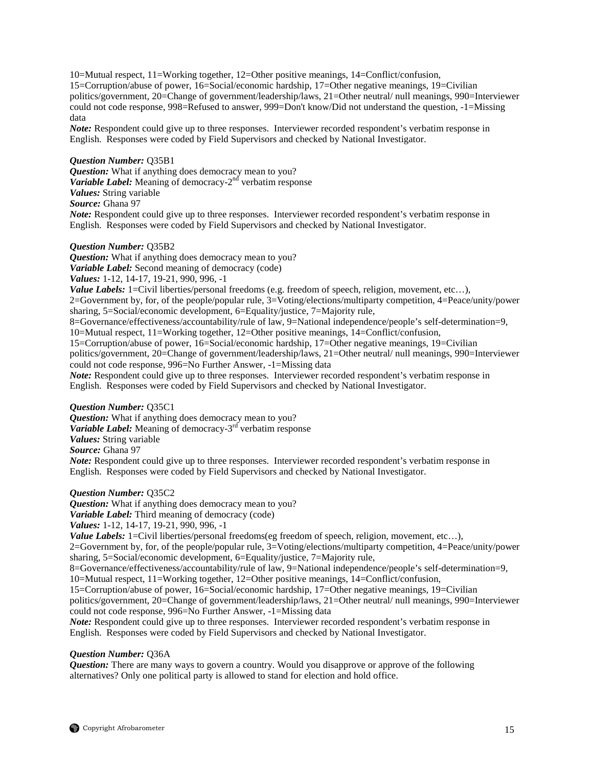10=Mutual respect, 11=Working together, 12=Other positive meanings, 14=Conflict/confusion, 15=Corruption/abuse of power, 16=Social/economic hardship, 17=Other negative meanings, 19=Civilian politics/government, 20=Change of government/leadership/laws, 21=Other neutral/ null meanings, 990=Interviewer could not code response, 998=Refused to answer, 999=Don't know/Did not understand the question, -1=Missing data

*Note:* Respondent could give up to three responses. Interviewer recorded respondent's verbatim response in English. Responses were coded by Field Supervisors and checked by National Investigator.

## *Question Number:* Q35B1

*Question:* What if anything does democracy mean to you? *Variable Label:* Meaning of democracy-2<sup>nd</sup> verbatim response *Values:* String variable *Source:* Ghana 97 *Note:* Respondent could give up to three responses. Interviewer recorded respondent's verbatim response in English. Responses were coded by Field Supervisors and checked by National Investigator.

## *Question Number:* Q35B2

*Question:* What if anything does democracy mean to you? *Variable Label:* Second meaning of democracy (code)

*Values:* 1-12, 14-17, 19-21, 990, 996, -1

*Value Labels:* 1=Civil liberties/personal freedoms (e.g. freedom of speech, religion, movement, etc...),

2=Government by, for, of the people/popular rule, 3=Voting/elections/multiparty competition, 4=Peace/unity/power sharing, 5=Social/economic development, 6=Equality/justice, 7=Majority rule,

8=Governance/effectiveness/accountability/rule of law, 9=National independence/people's self-determination=9,

10=Mutual respect, 11=Working together, 12=Other positive meanings, 14=Conflict/confusion, 15=Corruption/abuse of power, 16=Social/economic hardship, 17=Other negative meanings, 19=Civilian

politics/government, 20=Change of government/leadership/laws, 21=Other neutral/ null meanings, 990=Interviewer could not code response, 996=No Further Answer, -1=Missing data

*Note:* Respondent could give up to three responses. Interviewer recorded respondent's verbatim response in English. Responses were coded by Field Supervisors and checked by National Investigator.

## *Question Number:* Q35C1

*Question:* What if anything does democracy mean to you? *Variable Label:* Meaning of democracy-3<sup>rd</sup> verbatim response *Values:* String variable *Source:* Ghana 97

*Note:* Respondent could give up to three responses. Interviewer recorded respondent's verbatim response in English. Responses were coded by Field Supervisors and checked by National Investigator.

## *Question Number:* Q35C2

*Question:* What if anything does democracy mean to you?

*Variable Label:* Third meaning of democracy (code)

*Values:* 1-12, 14-17, 19-21, 990, 996, -1

*Value Labels:* 1=Civil liberties/personal freedoms(eg freedom of speech, religion, movement, etc...),

2=Government by, for, of the people/popular rule, 3=Voting/elections/multiparty competition, 4=Peace/unity/power sharing, 5=Social/economic development, 6=Equality/justice, 7=Majority rule,

8=Governance/effectiveness/accountability/rule of law, 9=National independence/people's self-determination=9,

10=Mutual respect, 11=Working together, 12=Other positive meanings, 14=Conflict/confusion,

15=Corruption/abuse of power, 16=Social/economic hardship, 17=Other negative meanings, 19=Civilian politics/government, 20=Change of government/leadership/laws, 21=Other neutral/ null meanings, 990=Interviewer could not code response, 996=No Further Answer, -1=Missing data

*Note:* Respondent could give up to three responses. Interviewer recorded respondent's verbatim response in English. Responses were coded by Field Supervisors and checked by National Investigator.

## *Question Number:* Q36A

*Question:* There are many ways to govern a country. Would you disapprove or approve of the following alternatives? Only one political party is allowed to stand for election and hold office.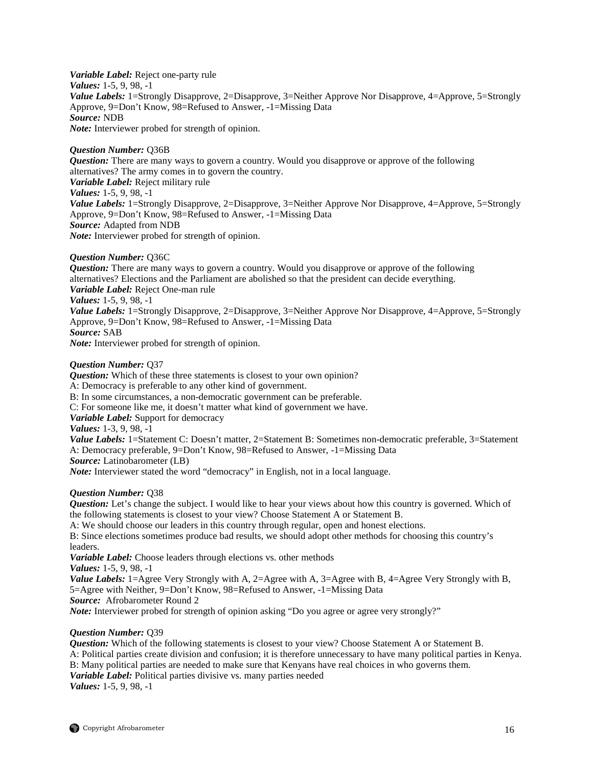*Variable Label:* Reject one-party rule *Values:* 1-5, 9, 98, -1 *Value Labels:* 1=Strongly Disapprove, 2=Disapprove, 3=Neither Approve Nor Disapprove, 4=Approve, 5=Strongly Approve, 9=Don't Know, 98=Refused to Answer, -1=Missing Data *Source:* NDB *Note:* Interviewer probed for strength of opinion.

#### *Question Number:* Q36B

*Question:* There are many ways to govern a country. Would you disapprove or approve of the following alternatives? The army comes in to govern the country. *Variable Label:* Reject military rule *Values:* 1-5, 9, 98, -1 *Value Labels:* 1=Strongly Disapprove, 2=Disapprove, 3=Neither Approve Nor Disapprove, 4=Approve, 5=Strongly Approve, 9=Don't Know, 98=Refused to Answer, -1=Missing Data *Source:* Adapted from NDB *Note:* Interviewer probed for strength of opinion.

## *Question Number:* Q36C

*Question:* There are many ways to govern a country. Would you disapprove or approve of the following alternatives? Elections and the Parliament are abolished so that the president can decide everything. *Variable Label:* Reject One-man rule *Values:* 1-5, 9, 98, -1 *Value Labels:* 1=Strongly Disapprove, 2=Disapprove, 3=Neither Approve Nor Disapprove, 4=Approve, 5=Strongly Approve, 9=Don't Know, 98=Refused to Answer, -1=Missing Data *Source:* SAB *Note:* Interviewer probed for strength of opinion.

#### *Question Number:* Q37

*Question:* Which of these three statements is closest to your own opinion? A: Democracy is preferable to any other kind of government. B: In some circumstances, a non-democratic government can be preferable. C: For someone like me, it doesn't matter what kind of government we have. *Variable Label:* Support for democracy *Values:* 1-3, 9, 98, -1 *Value Labels:* 1=Statement C: Doesn't matter, 2=Statement B: Sometimes non-democratic preferable, 3=Statement A: Democracy preferable, 9=Don't Know, 98=Refused to Answer, -1=Missing Data *Source:* Latinobarometer (LB) *Note:* Interviewer stated the word "democracy" in English, not in a local language.

## *Question Number:* Q38

*Question:* Let's change the subject. I would like to hear your views about how this country is governed. Which of the following statements is closest to your view? Choose Statement A or Statement B.

A: We should choose our leaders in this country through regular, open and honest elections.

B: Since elections sometimes produce bad results, we should adopt other methods for choosing this country's leaders.

*Variable Label:* Choose leaders through elections vs. other methods

*Values:* 1-5, 9, 98, -1

*Value Labels:* 1=Agree Very Strongly with A, 2=Agree with A, 3=Agree with B, 4=Agree Very Strongly with B, 5=Agree with Neither, 9=Don't Know, 98=Refused to Answer, -1=Missing Data

*Source:* Afrobarometer Round 2

*Note:* Interviewer probed for strength of opinion asking "Do you agree or agree very strongly?"

## *Question Number:* Q39

*Question:* Which of the following statements is closest to your view? Choose Statement A or Statement B. A: Political parties create division and confusion; it is therefore unnecessary to have many political parties in Kenya. B: Many political parties are needed to make sure that Kenyans have real choices in who governs them. *Variable Label:* Political parties divisive vs. many parties needed *Values:* 1-5, 9, 98, -1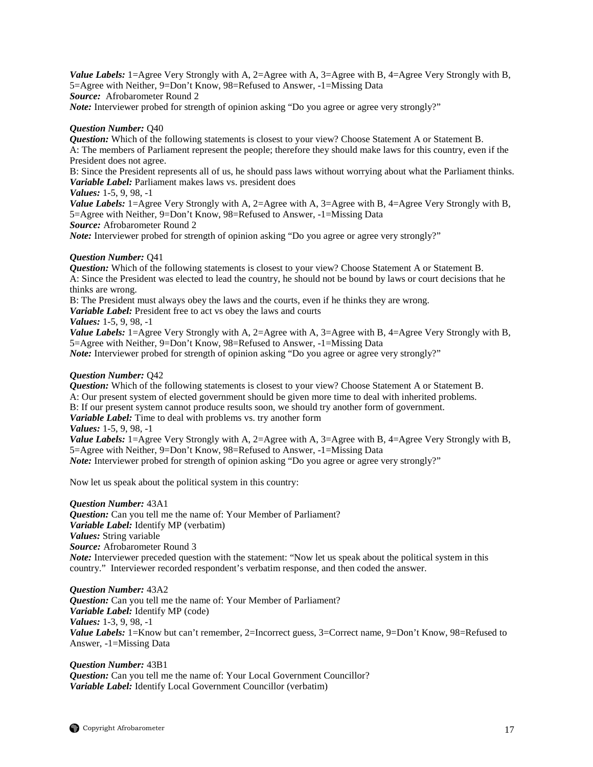*Value Labels:* 1=Agree Very Strongly with A, 2=Agree with A, 3=Agree with B, 4=Agree Very Strongly with B, 5=Agree with Neither, 9=Don't Know, 98=Refused to Answer, -1=Missing Data *Source:* Afrobarometer Round 2

*Note:* Interviewer probed for strength of opinion asking "Do you agree or agree very strongly?"

## *Question Number:* Q40

*Question:* Which of the following statements is closest to your view? Choose Statement A or Statement B. A: The members of Parliament represent the people; therefore they should make laws for this country, even if the President does not agree.

B: Since the President represents all of us, he should pass laws without worrying about what the Parliament thinks. *Variable Label:* Parliament makes laws vs. president does

*Values:* 1-5, 9, 98, -1

*Value Labels:* 1=Agree Very Strongly with A, 2=Agree with A, 3=Agree with B, 4=Agree Very Strongly with B, 5=Agree with Neither, 9=Don't Know, 98=Refused to Answer, -1=Missing Data

*Source:* Afrobarometer Round 2

*Note:* Interviewer probed for strength of opinion asking "Do you agree or agree very strongly?"

## *Question Number:* Q41

*Question:* Which of the following statements is closest to your view? Choose Statement A or Statement B. A: Since the President was elected to lead the country, he should not be bound by laws or court decisions that he thinks are wrong.

B: The President must always obey the laws and the courts, even if he thinks they are wrong.

*Variable Label:* President free to act vs obey the laws and courts

*Values:* 1-5, 9, 98, -1

*Value Labels:* 1=Agree Very Strongly with A, 2=Agree with A, 3=Agree with B, 4=Agree Very Strongly with B, 5=Agree with Neither, 9=Don't Know, 98=Refused to Answer, -1=Missing Data *Note:* Interviewer probed for strength of opinion asking "Do you agree or agree very strongly?"

## *Question Number:* Q42

*Question:* Which of the following statements is closest to your view? Choose Statement A or Statement B. A: Our present system of elected government should be given more time to deal with inherited problems.

B: If our present system cannot produce results soon, we should try another form of government.

*Variable Label:* Time to deal with problems vs. try another form

*Values:* 1-5, 9, 98, -1

*Value Labels:* 1=Agree Very Strongly with A, 2=Agree with A, 3=Agree with B, 4=Agree Very Strongly with B, 5=Agree with Neither, 9=Don't Know, 98=Refused to Answer, -1=Missing Data *Note:* Interviewer probed for strength of opinion asking "Do you agree or agree very strongly?"

Now let us speak about the political system in this country:

## *Question Number:* 43A1

*Question:* Can you tell me the name of: Your Member of Parliament? *Variable Label:* Identify MP (verbatim) *Values:* String variable *Source:* Afrobarometer Round 3 *Note:* Interviewer preceded question with the statement: "Now let us speak about the political system in this country." Interviewer recorded respondent's verbatim response, and then coded the answer.

*Question Number:* 43A2 *Question:* Can you tell me the name of: Your Member of Parliament? *Variable Label:* Identify MP (code) *Values:* 1-3, 9, 98, -1 *Value Labels:* 1=Know but can't remember, 2=Incorrect guess, 3=Correct name, 9=Don't Know, 98=Refused to Answer, -1=Missing Data

## *Question Number:* 43B1 *Question:* Can you tell me the name of: Your Local Government Councillor? *Variable Label:* Identify Local Government Councillor (verbatim)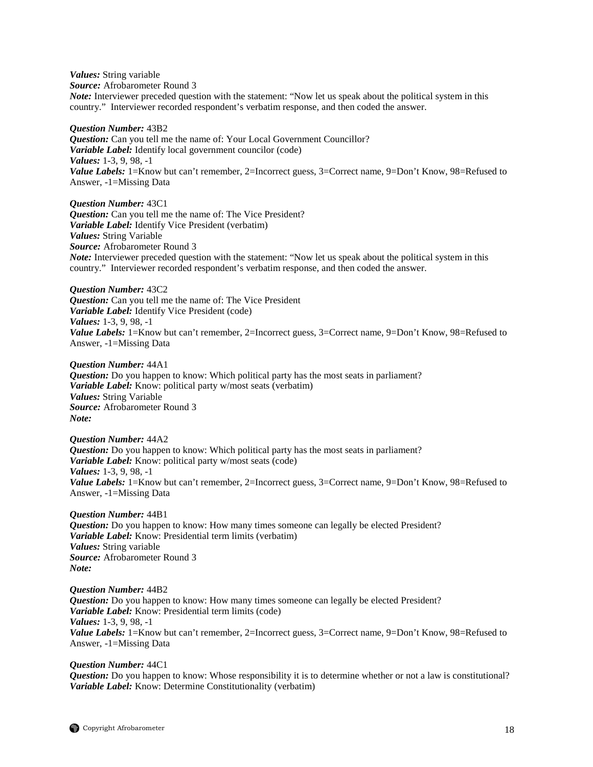*Values:* String variable *Source:* Afrobarometer Round 3 *Note:* Interviewer preceded question with the statement: "Now let us speak about the political system in this country." Interviewer recorded respondent's verbatim response, and then coded the answer.

*Question Number:* 43B2 *Question:* Can you tell me the name of: Your Local Government Councillor? *Variable Label:* Identify local government councilor (code) *Values:* 1-3, 9, 98, -1 *Value Labels:* 1=Know but can't remember, 2=Incorrect guess, 3=Correct name, 9=Don't Know, 98=Refused to Answer, -1=Missing Data

*Question Number:* 43C1 *Question:* Can you tell me the name of: The Vice President? *Variable Label:* Identify Vice President (verbatim) *Values:* String Variable *Source:* Afrobarometer Round 3 *Note:* Interviewer preceded question with the statement: "Now let us speak about the political system in this country." Interviewer recorded respondent's verbatim response, and then coded the answer.

*Question Number:* 43C2 *Question:* Can you tell me the name of: The Vice President *Variable Label:* Identify Vice President (code) *Values:* 1-3, 9, 98, -1 *Value Labels:* 1=Know but can't remember, 2=Incorrect guess, 3=Correct name, 9=Don't Know, 98=Refused to Answer, -1=Missing Data

*Question Number:* 44A1 *Question:* Do you happen to know: Which political party has the most seats in parliament? *Variable Label:* Know: political party w/most seats (verbatim) *Values:* String Variable *Source:* Afrobarometer Round 3 *Note:*

*Question Number:* 44A2 *Question:* Do you happen to know: Which political party has the most seats in parliament? *Variable Label:* Know: political party w/most seats (code) *Values:* 1-3, 9, 98, -1 *Value Labels:* 1=Know but can't remember, 2=Incorrect guess, 3=Correct name, 9=Don't Know, 98=Refused to Answer, -1=Missing Data

*Question Number:* 44B1 *Question:* Do you happen to know: How many times someone can legally be elected President? *Variable Label:* Know: Presidential term limits (verbatim) *Values:* String variable *Source:* Afrobarometer Round 3 *Note:*

*Question Number:* 44B2 *Question:* Do you happen to know: How many times someone can legally be elected President? *Variable Label:* Know: Presidential term limits (code) *Values:* 1-3, 9, 98, -1 *Value Labels:* 1=Know but can't remember, 2=Incorrect guess, 3=Correct name, 9=Don't Know, 98=Refused to Answer, -1=Missing Data

*Question Number:* 44C1 *Question:* Do you happen to know: Whose responsibility it is to determine whether or not a law is constitutional? *Variable Label:* Know: Determine Constitutionality (verbatim)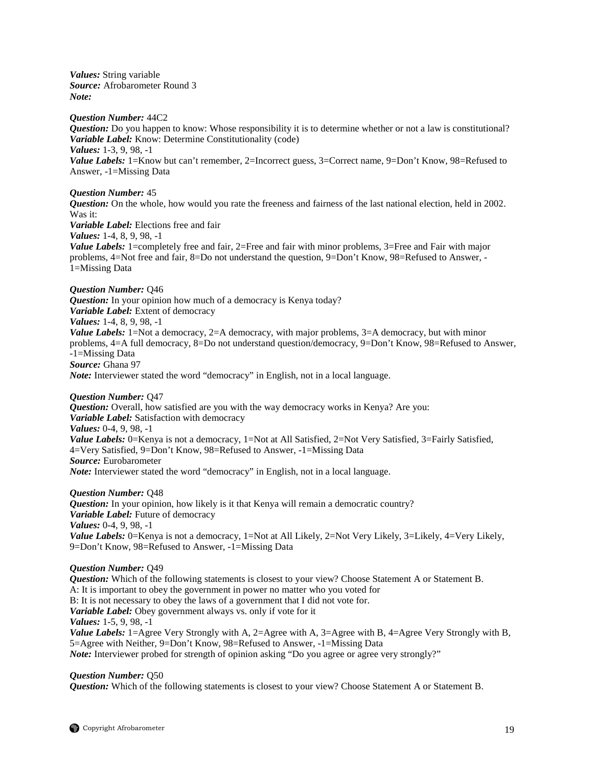*Values:* String variable *Source:* Afrobarometer Round 3 *Note:*

*Question Number:* 44C2 *Question:* Do you happen to know: Whose responsibility it is to determine whether or not a law is constitutional? *Variable Label:* Know: Determine Constitutionality (code) *Values:* 1-3, 9, 98, -1 *Value Labels:* 1=Know but can't remember, 2=Incorrect guess, 3=Correct name, 9=Don't Know, 98=Refused to Answer, -1=Missing Data

*Question Number:* 45

*Question:* On the whole, how would you rate the freeness and fairness of the last national election, held in 2002. Was it:

*Variable Label:* Elections free and fair

*Values:* 1-4, 8, 9, 98, -1

*Value Labels:* 1=completely free and fair, 2=Free and fair with minor problems, 3=Free and Fair with major problems, 4=Not free and fair, 8=Do not understand the question, 9=Don't Know, 98=Refused to Answer, - 1=Missing Data

*Question Number:* Q46 *Question:* In your opinion how much of a democracy is Kenya today? *Variable Label:* Extent of democracy *Values:* 1-4, 8, 9, 98, -1 *Value Labels:* 1=Not a democracy, 2=A democracy, with major problems, 3=A democracy, but with minor problems, 4=A full democracy, 8=Do not understand question/democracy, 9=Don't Know, 98=Refused to Answer, -1=Missing Data *Source:* Ghana 97 *Note:* Interviewer stated the word "democracy" in English, not in a local language.

*Question Number:* Q47

*Question:* Overall, how satisfied are you with the way democracy works in Kenya? Are you: *Variable Label:* Satisfaction with democracy *Values:* 0-4, 9, 98, -1 *Value Labels:* 0=Kenya is not a democracy, 1=Not at All Satisfied, 2=Not Very Satisfied, 3=Fairly Satisfied, 4=Very Satisfied, 9=Don't Know, 98=Refused to Answer, -1=Missing Data *Source:* Eurobarometer *Note:* Interviewer stated the word "democracy" in English, not in a local language.

*Question Number:* Q48 *Question:* In your opinion, how likely is it that Kenya will remain a democratic country? *Variable Label:* Future of democracy *Values:* 0-4, 9, 98, -1 *Value Labels:* 0=Kenya is not a democracy, 1=Not at All Likely, 2=Not Very Likely, 3=Likely, 4=Very Likely, 9=Don't Know, 98=Refused to Answer, -1=Missing Data

## *Question Number:* Q49

*Question:* Which of the following statements is closest to your view? Choose Statement A or Statement B. A: It is important to obey the government in power no matter who you voted for B: It is not necessary to obey the laws of a government that I did not vote for. *Variable Label:* Obey government always vs. only if vote for it *Values:* 1-5, 9, 98, -1 *Value Labels:* 1=Agree Very Strongly with A, 2=Agree with A, 3=Agree with B, 4=Agree Very Strongly with B, 5=Agree with Neither, 9=Don't Know, 98=Refused to Answer, -1=Missing Data *Note:* Interviewer probed for strength of opinion asking "Do you agree or agree very strongly?"

## *Question Number:* Q50

*Question:* Which of the following statements is closest to your view? Choose Statement A or Statement B.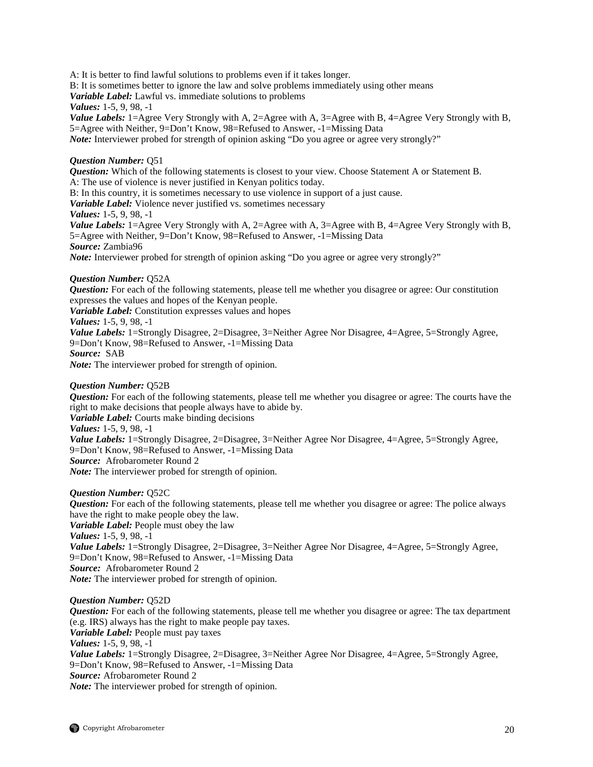A: It is better to find lawful solutions to problems even if it takes longer.

B: It is sometimes better to ignore the law and solve problems immediately using other means

*Variable Label:* Lawful vs. immediate solutions to problems

*Values:* 1-5, 9, 98, -1

*Value Labels:* 1=Agree Very Strongly with A, 2=Agree with A, 3=Agree with B, 4=Agree Very Strongly with B, 5=Agree with Neither, 9=Don't Know, 98=Refused to Answer, -1=Missing Data

*Note:* Interviewer probed for strength of opinion asking "Do you agree or agree very strongly?"

## *Question Number:* Q51

*Question:* Which of the following statements is closest to your view. Choose Statement A or Statement B. A: The use of violence is never justified in Kenyan politics today.

B: In this country, it is sometimes necessary to use violence in support of a just cause.

*Variable Label:* Violence never justified vs. sometimes necessary

*Values:* 1-5, 9, 98, -1

*Value Labels:* 1=Agree Very Strongly with A, 2=Agree with A, 3=Agree with B, 4=Agree Very Strongly with B, 5=Agree with Neither, 9=Don't Know, 98=Refused to Answer, -1=Missing Data *Source:* Zambia96

*Note:* Interviewer probed for strength of opinion asking "Do you agree or agree very strongly?"

## *Question Number:* Q52A

*Question:* For each of the following statements, please tell me whether you disagree or agree: Our constitution expresses the values and hopes of the Kenyan people.

*Variable Label:* Constitution expresses values and hopes

*Values:* 1-5, 9, 98, -1

*Value Labels:* 1=Strongly Disagree, 2=Disagree, 3=Neither Agree Nor Disagree, 4=Agree, 5=Strongly Agree, 9=Don't Know, 98=Refused to Answer, -1=Missing Data *Source:* SAB

*Note:* The interviewer probed for strength of opinion.

## *Question Number:* Q52B

*Question:* For each of the following statements, please tell me whether you disagree or agree: The courts have the right to make decisions that people always have to abide by.

*Variable Label:* Courts make binding decisions *Values:* 1-5, 9, 98, -1

*Value Labels:* 1=Strongly Disagree, 2=Disagree, 3=Neither Agree Nor Disagree, 4=Agree, 5=Strongly Agree, 9=Don't Know, 98=Refused to Answer, -1=Missing Data *Source:* Afrobarometer Round 2

*Note:* The interviewer probed for strength of opinion.

## *Question Number:* Q52C

*Question:* For each of the following statements, please tell me whether you disagree or agree: The police always have the right to make people obey the law.

*Variable Label:* People must obey the law *Values:* 1-5, 9, 98, -1 *Value Labels:* 1=Strongly Disagree, 2=Disagree, 3=Neither Agree Nor Disagree, 4=Agree, 5=Strongly Agree,

9=Don't Know, 98=Refused to Answer, -1=Missing Data

*Source:* Afrobarometer Round 2

*Note:* The interviewer probed for strength of opinion.

## *Question Number:* Q52D

*Question:* For each of the following statements, please tell me whether you disagree or agree: The tax department (e.g. IRS) always has the right to make people pay taxes. *Variable Label:* People must pay taxes *Values:* 1-5, 9, 98, -1 *Value Labels:* 1=Strongly Disagree, 2=Disagree, 3=Neither Agree Nor Disagree, 4=Agree, 5=Strongly Agree, 9=Don't Know, 98=Refused to Answer, -1=Missing Data *Source:* Afrobarometer Round 2 *Note:* The interviewer probed for strength of opinion.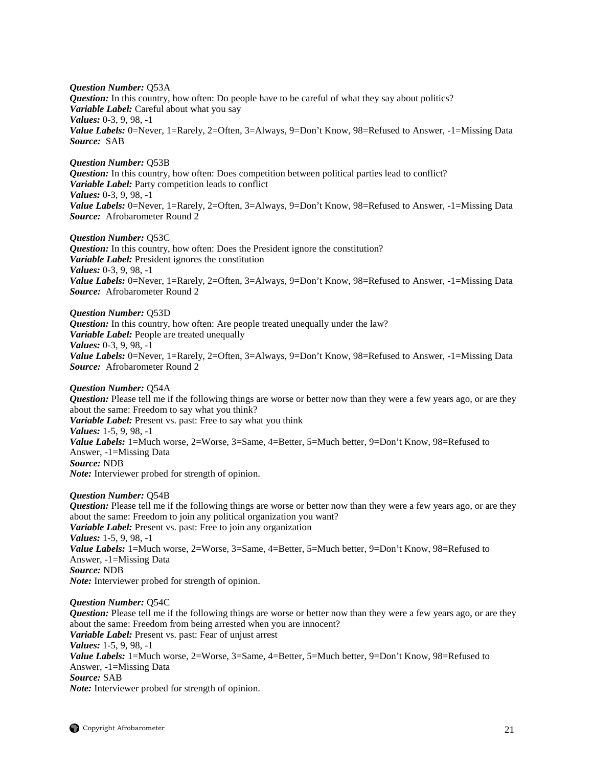*Question Number:* Q53A *Question:* In this country, how often: Do people have to be careful of what they say about politics? *Variable Label:* Careful about what you say *Values:* 0-3, 9, 98, -1 *Value Labels:* 0=Never, 1=Rarely, 2=Often, 3=Always, 9=Don't Know, 98=Refused to Answer, -1=Missing Data *Source:* SAB

*Question Number:* Q53B *Question:* In this country, how often: Does competition between political parties lead to conflict? *Variable Label:* Party competition leads to conflict *Values:* 0-3, 9, 98, -1 Value Labels: 0=Never, 1=Rarely, 2=Often, 3=Always, 9=Don't Know, 98=Refused to Answer, -1=Missing Data *Source:* Afrobarometer Round 2

*Question Number:* Q53C *Question:* In this country, how often: Does the President ignore the constitution? *Variable Label:* President ignores the constitution *Values:* 0-3, 9, 98, -1 *Value Labels:* 0=Never, 1=Rarely, 2=Often, 3=Always, 9=Don't Know, 98=Refused to Answer, -1=Missing Data *Source:* Afrobarometer Round 2

*Question Number:* Q53D *Question:* In this country, how often: Are people treated unequally under the law? *Variable Label:* People are treated unequally *Values:* 0-3, 9, 98, -1 *Value Labels:* 0=Never, 1=Rarely, 2=Often, 3=Always, 9=Don't Know, 98=Refused to Answer, -1=Missing Data *Source:* Afrobarometer Round 2

*Question Number:* Q54A *Question:* Please tell me if the following things are worse or better now than they were a few years ago, or are they about the same: Freedom to say what you think? *Variable Label:* Present vs. past: Free to say what you think *Values:* 1-5, 9, 98, -1 Value Labels: 1=Much worse, 2=Worse, 3=Same, 4=Better, 5=Much better, 9=Don't Know, 98=Refused to Answer, -1=Missing Data *Source:* NDB *Note:* Interviewer probed for strength of opinion.

*Question Number:* Q54B *Question:* Please tell me if the following things are worse or better now than they were a few years ago, or are they about the same: Freedom to join any political organization you want? *Variable Label:* Present vs. past: Free to join any organization *Values:* 1-5, 9, 98, -1 Value Labels: 1=Much worse, 2=Worse, 3=Same, 4=Better, 5=Much better, 9=Don't Know, 98=Refused to Answer, -1=Missing Data *Source:* NDB *Note:* Interviewer probed for strength of opinion.

*Question Number:* Q54C *Question:* Please tell me if the following things are worse or better now than they were a few years ago, or are they about the same: Freedom from being arrested when you are innocent? *Variable Label:* Present vs. past: Fear of unjust arrest *Values:* 1-5, 9, 98, -1 *Value Labels:* 1=Much worse, 2=Worse, 3=Same, 4=Better, 5=Much better, 9=Don't Know, 98=Refused to Answer, -1=Missing Data *Source:* SAB *Note:* Interviewer probed for strength of opinion.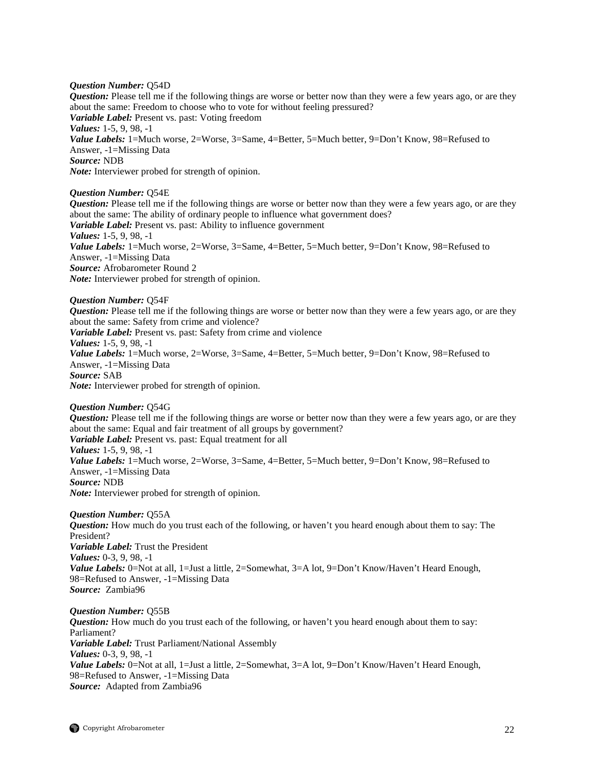## *Question Number:* Q54D

*Question:* Please tell me if the following things are worse or better now than they were a few years ago, or are they about the same: Freedom to choose who to vote for without feeling pressured? *Variable Label:* Present vs. past: Voting freedom *Values:* 1-5, 9, 98, -1 Value Labels: 1=Much worse, 2=Worse, 3=Same, 4=Better, 5=Much better, 9=Don't Know, 98=Refused to Answer, -1=Missing Data *Source:* NDB *Note:* Interviewer probed for strength of opinion.

*Question Number:* Q54E

*Question:* Please tell me if the following things are worse or better now than they were a few years ago, or are they about the same: The ability of ordinary people to influence what government does? *Variable Label:* Present vs. past: Ability to influence government *Values:* 1-5, 9, 98, -1 Value Labels: 1=Much worse, 2=Worse, 3=Same, 4=Better, 5=Much better, 9=Don't Know, 98=Refused to Answer, -1=Missing Data *Source:* Afrobarometer Round 2 *Note:* Interviewer probed for strength of opinion.

*Question Number:* Q54F *Question:* Please tell me if the following things are worse or better now than they were a few years ago, or are they about the same: Safety from crime and violence? *Variable Label:* Present vs. past: Safety from crime and violence *Values:* 1-5, 9, 98, -1 *Value Labels:* 1=Much worse, 2=Worse, 3=Same, 4=Better, 5=Much better, 9=Don't Know, 98=Refused to Answer, -1=Missing Data *Source:* SAB *Note:* Interviewer probed for strength of opinion.

*Question Number:* Q54G *Question:* Please tell me if the following things are worse or better now than they were a few years ago, or are they about the same: Equal and fair treatment of all groups by government? *Variable Label:* Present vs. past: Equal treatment for all *Values:* 1-5, 9, 98, -1 *Value Labels:* 1=Much worse, 2=Worse, 3=Same, 4=Better, 5=Much better, 9=Don't Know, 98=Refused to Answer, -1=Missing Data *Source:* NDB *Note:* Interviewer probed for strength of opinion.

*Question Number:* Q55A *Question:* How much do you trust each of the following, or haven't you heard enough about them to say: The President? *Variable Label:* Trust the President *Values:* 0-3, 9, 98, -1 Value Labels: 0=Not at all, 1=Just a little, 2=Somewhat, 3=A lot, 9=Don't Know/Haven't Heard Enough, 98=Refused to Answer, -1=Missing Data *Source:* Zambia96

*Question Number:* Q55B *Question:* How much do you trust each of the following, or haven't you heard enough about them to say: Parliament? *Variable Label:* Trust Parliament/National Assembly *Values:* 0-3, 9, 98, -1 *Value Labels:* 0=Not at all, 1=Just a little, 2=Somewhat, 3=A lot, 9=Don't Know/Haven't Heard Enough, 98=Refused to Answer, -1=Missing Data *Source:* Adapted from Zambia96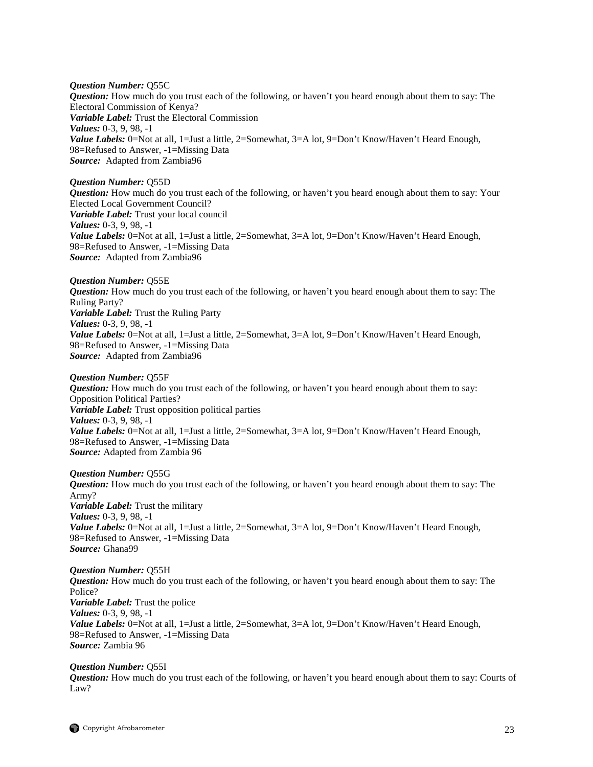*Question Number:* Q55C *Question:* How much do you trust each of the following, or haven't you heard enough about them to say: The Electoral Commission of Kenya? *Variable Label:* Trust the Electoral Commission *Values:* 0-3, 9, 98, -1 Value Labels: 0=Not at all, 1=Just a little, 2=Somewhat, 3=A lot, 9=Don't Know/Haven't Heard Enough, 98=Refused to Answer, -1=Missing Data *Source:* Adapted from Zambia96

## *Question Number:* Q55D

*Question:* How much do you trust each of the following, or haven't you heard enough about them to say: Your Elected Local Government Council? *Variable Label:* Trust your local council *Values:* 0-3, 9, 98, -1 *Value Labels:* 0=Not at all, 1=Just a little, 2=Somewhat, 3=A lot, 9=Don't Know/Haven't Heard Enough, 98=Refused to Answer, -1=Missing Data *Source:* Adapted from Zambia96

*Question Number:* Q55E *Question:* How much do you trust each of the following, or haven't you heard enough about them to say: The Ruling Party? *Variable Label:* Trust the Ruling Party *Values:* 0-3, 9, 98, -1 *Value Labels:* 0=Not at all, 1=Just a little, 2=Somewhat, 3=A lot, 9=Don't Know/Haven't Heard Enough, 98=Refused to Answer, -1=Missing Data *Source:* Adapted from Zambia96

#### *Question Number:* Q55F

*Question:* How much do you trust each of the following, or haven't you heard enough about them to say: Opposition Political Parties? *Variable Label:* Trust opposition political parties *Values:* 0-3, 9, 98, -1 *Value Labels:* 0=Not at all, 1=Just a little, 2=Somewhat, 3=A lot, 9=Don't Know/Haven't Heard Enough, 98=Refused to Answer, -1=Missing Data *Source:* Adapted from Zambia 96

## *Question Number:* Q55G

*Question:* How much do you trust each of the following, or haven't you heard enough about them to say: The Army? *Variable Label:* Trust the military *Values:* 0-3, 9, 98, -1 Value Labels: 0=Not at all, 1=Just a little, 2=Somewhat, 3=A lot, 9=Don't Know/Haven't Heard Enough, 98=Refused to Answer, -1=Missing Data *Source:* Ghana99

*Question Number:* Q55H *Question:* How much do you trust each of the following, or haven't you heard enough about them to say: The Police? *Variable Label:* Trust the police *Values:* 0-3, 9, 98, -1 *Value Labels:* 0=Not at all, 1=Just a little, 2=Somewhat, 3=A lot, 9=Don't Know/Haven't Heard Enough, 98=Refused to Answer, -1=Missing Data *Source:* Zambia 96

#### *Question Number:* Q55I

*Question:* How much do you trust each of the following, or haven't you heard enough about them to say: Courts of Law?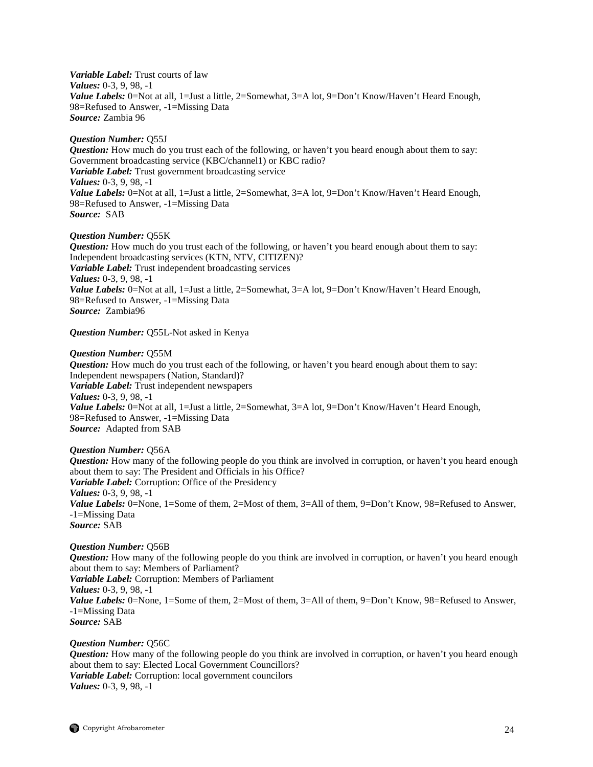*Variable Label:* Trust courts of law *Values:* 0-3, 9, 98, -1 Value Labels: 0=Not at all, 1=Just a little, 2=Somewhat, 3=A lot, 9=Don't Know/Haven't Heard Enough, 98=Refused to Answer, -1=Missing Data *Source:* Zambia 96

## *Question Number:* Q55J

*Question:* How much do you trust each of the following, or haven't you heard enough about them to say: Government broadcasting service (KBC/channel1) or KBC radio? *Variable Label:* Trust government broadcasting service *Values:* 0-3, 9, 98, -1 *Value Labels:* 0=Not at all, 1=Just a little, 2=Somewhat, 3=A lot, 9=Don't Know/Haven't Heard Enough, 98=Refused to Answer, -1=Missing Data *Source:* SAB

## *Question Number:* Q55K

*Question:* How much do you trust each of the following, or haven't you heard enough about them to say: Independent broadcasting services (KTN, NTV, CITIZEN)? *Variable Label:* Trust independent broadcasting services *Values:* 0-3, 9, 98, -1 *Value Labels:* 0=Not at all, 1=Just a little, 2=Somewhat, 3=A lot, 9=Don't Know/Haven't Heard Enough, 98=Refused to Answer, -1=Missing Data *Source:* Zambia96

*Question Number:* Q55L-Not asked in Kenya

## *Question Number:* Q55M

*Question:* How much do you trust each of the following, or haven't you heard enough about them to say: Independent newspapers (Nation, Standard)? *Variable Label:* Trust independent newspapers *Values:* 0-3, 9, 98, -1 *Value Labels:* 0=Not at all, 1=Just a little, 2=Somewhat, 3=A lot, 9=Don't Know/Haven't Heard Enough, 98=Refused to Answer, -1=Missing Data *Source:* Adapted from SAB

## *Question Number:* Q56A

*Question:* How many of the following people do you think are involved in corruption, or haven't you heard enough about them to say: The President and Officials in his Office? *Variable Label:* Corruption: Office of the Presidency *Values:* 0-3, 9, 98, -1 *Value Labels:* 0=None, 1=Some of them, 2=Most of them, 3=All of them, 9=Don't Know, 98=Refused to Answer, -1=Missing Data *Source:* SAB

## *Question Number:* Q56B

*Question:* How many of the following people do you think are involved in corruption, or haven't you heard enough about them to say: Members of Parliament? *Variable Label:* Corruption: Members of Parliament *Values:* 0-3, 9, 98, -1 *Value Labels:* 0=None, 1=Some of them, 2=Most of them, 3=All of them, 9=Don't Know, 98=Refused to Answer, -1=Missing Data *Source:* SAB

## *Question Number:* Q56C

*Question:* How many of the following people do you think are involved in corruption, or haven't you heard enough about them to say: Elected Local Government Councillors? *Variable Label:* Corruption: local government councilors *Values:* 0-3, 9, 98, -1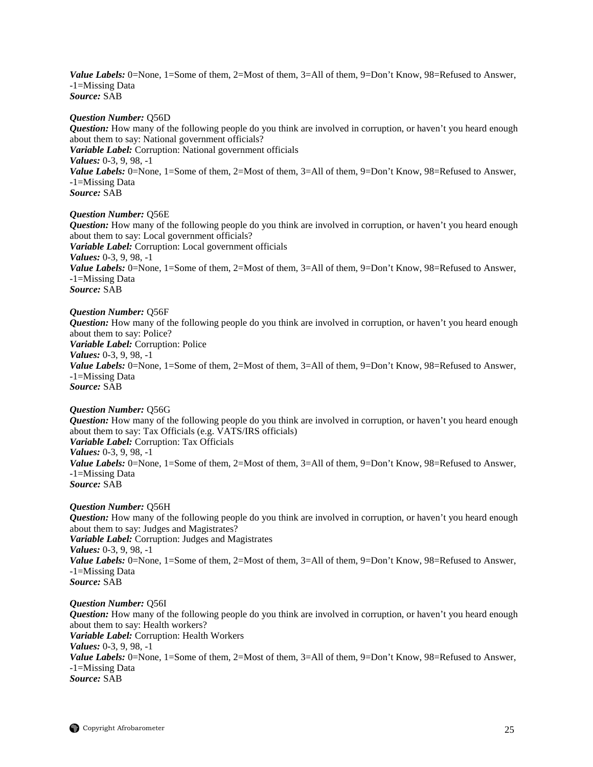*Value Labels:* 0=None, 1=Some of them, 2=Most of them, 3=All of them, 9=Don't Know, 98=Refused to Answer, -1=Missing Data *Source:* SAB

#### *Question Number:* Q56D

*Question:* How many of the following people do you think are involved in corruption, or haven't you heard enough about them to say: National government officials? *Variable Label:* Corruption: National government officials *Values:* 0-3, 9, 98, -1 Value Labels: 0=None, 1=Some of them, 2=Most of them, 3=All of them, 9=Don't Know, 98=Refused to Answer, -1=Missing Data *Source:* SAB

## *Question Number:* Q56E

*Question:* How many of the following people do you think are involved in corruption, or haven't you heard enough about them to say: Local government officials? *Variable Label:* Corruption: Local government officials *Values:* 0-3, 9, 98, -1 *Value Labels:* 0=None, 1=Some of them, 2=Most of them, 3=All of them, 9=Don't Know, 98=Refused to Answer, -1=Missing Data *Source:* SAB

#### *Question Number:* Q56F

*Question:* How many of the following people do you think are involved in corruption, or haven't you heard enough about them to say: Police? *Variable Label:* Corruption: Police *Values:* 0-3, 9, 98, -1 *Value Labels:* 0=None, 1=Some of them, 2=Most of them, 3=All of them, 9=Don't Know, 98=Refused to Answer, -1=Missing Data *Source:* SAB

#### *Question Number:* Q56G

*Question:* How many of the following people do you think are involved in corruption, or haven't you heard enough about them to say: Tax Officials (e.g. VATS/IRS officials) *Variable Label:* Corruption: Tax Officials *Values:* 0-3, 9, 98, -1 *Value Labels:* 0=None, 1=Some of them, 2=Most of them, 3=All of them, 9=Don't Know, 98=Refused to Answer, -1=Missing Data *Source:* SAB

#### *Question Number:* Q56H

*Question:* How many of the following people do you think are involved in corruption, or haven't you heard enough about them to say: Judges and Magistrates? *Variable Label:* Corruption: Judges and Magistrates *Values:* 0-3, 9, 98, -1 *Value Labels:* 0=None, 1=Some of them, 2=Most of them, 3=All of them, 9=Don't Know, 98=Refused to Answer, -1=Missing Data *Source:* SAB

*Question Number:* Q56I *Question:* How many of the following people do you think are involved in corruption, or haven't you heard enough about them to say: Health workers? *Variable Label:* Corruption: Health Workers *Values:* 0-3, 9, 98, -1 *Value Labels:* 0=None, 1=Some of them, 2=Most of them, 3=All of them, 9=Don't Know, 98=Refused to Answer, -1=Missing Data *Source:* SAB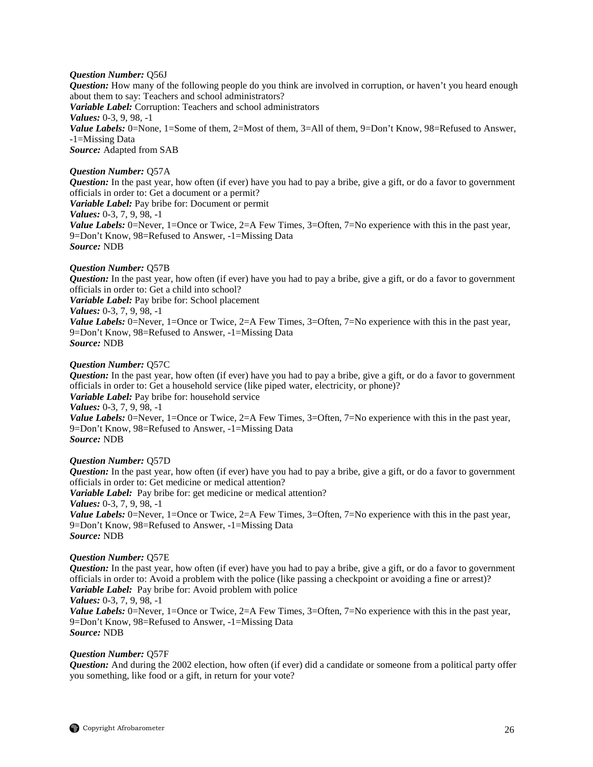## *Question Number:* Q56J

*Question:* How many of the following people do you think are involved in corruption, or haven't you heard enough about them to say: Teachers and school administrators? *Variable Label:* Corruption: Teachers and school administrators *Values:* 0-3, 9, 98, -1 Value Labels: 0=None, 1=Some of them, 2=Most of them, 3=All of them, 9=Don't Know, 98=Refused to Answer, -1=Missing Data *Source:* Adapted from SAB

## *Question Number:* Q57A

*Question:* In the past year, how often (if ever) have you had to pay a bribe, give a gift, or do a favor to government officials in order to: Get a document or a permit?

*Variable Label:* Pay bribe for: Document or permit

*Values:* 0-3, 7, 9, 98, -1

*Value Labels:* 0=Never, 1=Once or Twice, 2=A Few Times, 3=Often, 7=No experience with this in the past year, 9=Don't Know, 98=Refused to Answer, -1=Missing Data *Source:* NDB

## *Question Number:* Q57B

*Question:* In the past year, how often (if ever) have you had to pay a bribe, give a gift, or do a favor to government officials in order to: Get a child into school?

*Variable Label:* Pay bribe for: School placement

*Values:* 0-3, 7, 9, 98, -1

*Value Labels:* 0=Never, 1=Once or Twice, 2=A Few Times, 3=Often, 7=No experience with this in the past year, 9=Don't Know, 98=Refused to Answer, -1=Missing Data *Source:* NDB

## *Question Number:* Q57C

*Question:* In the past year, how often (if ever) have you had to pay a bribe, give a gift, or do a favor to government officials in order to: Get a household service (like piped water, electricity, or phone)? *Variable Label:* Pay bribe for: household service *Values:* 0-3, 7, 9, 98, -1 *Value Labels:* 0=Never, 1=Once or Twice, 2=A Few Times, 3=Often, 7=No experience with this in the past year, 9=Don't Know, 98=Refused to Answer, -1=Missing Data *Source:* NDB

## *Question Number:* Q57D

*Question:* In the past year, how often (if ever) have you had to pay a bribe, give a gift, or do a favor to government officials in order to: Get medicine or medical attention? *Variable Label:* Pay bribe for: get medicine or medical attention? *Values:* 0-3, 7, 9, 98, -1 *Value Labels:* 0=Never, 1=Once or Twice, 2=A Few Times, 3=Often, 7=No experience with this in the past year, 9=Don't Know, 98=Refused to Answer, -1=Missing Data *Source:* NDB

## *Question Number:* Q57E

*Question:* In the past year, how often (if ever) have you had to pay a bribe, give a gift, or do a favor to government officials in order to: Avoid a problem with the police (like passing a checkpoint or avoiding a fine or arrest)? *Variable Label:* Pay bribe for: Avoid problem with police *Values:* 0-3, 7, 9, 98, -1

*Value Labels:* 0=Never, 1=Once or Twice, 2=A Few Times, 3=Often, 7=No experience with this in the past year, 9=Don't Know, 98=Refused to Answer, -1=Missing Data *Source:* NDB

## *Question Number:* Q57F

*Question:* And during the 2002 election, how often (if ever) did a candidate or someone from a political party offer you something, like food or a gift, in return for your vote?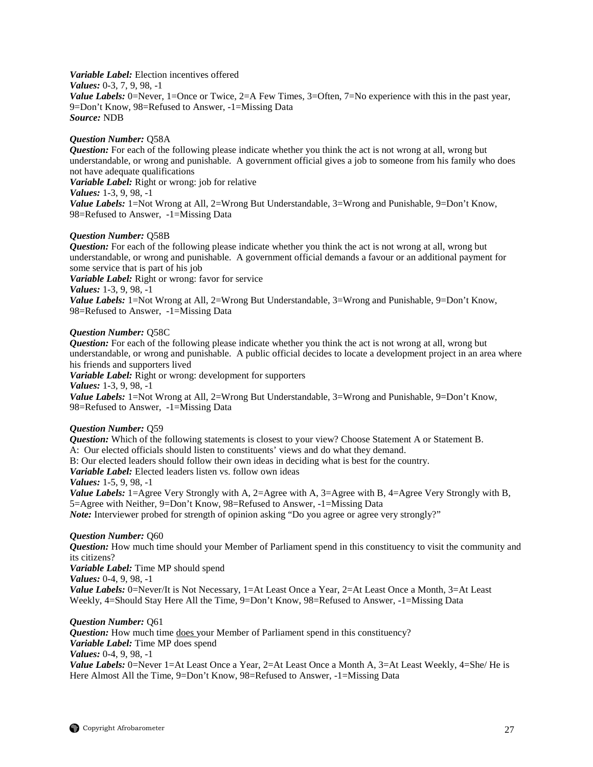*Variable Label:* Election incentives offered *Values:* 0-3, 7, 9, 98, -1 *Value Labels:* 0=Never, 1=Once or Twice, 2=A Few Times, 3=Often, 7=No experience with this in the past year, 9=Don't Know, 98=Refused to Answer, -1=Missing Data *Source:* NDB

#### *Question Number:* Q58A

*Question:* For each of the following please indicate whether you think the act is not wrong at all, wrong but understandable, or wrong and punishable. A government official gives a job to someone from his family who does not have adequate qualifications

*Variable Label:* Right or wrong: job for relative

*Values:* 1-3, 9, 98, -1

*Value Labels:* 1=Not Wrong at All, 2=Wrong But Understandable, 3=Wrong and Punishable, 9=Don't Know, 98=Refused to Answer, -1=Missing Data

## *Question Number:* Q58B

*Question:* For each of the following please indicate whether you think the act is not wrong at all, wrong but understandable, or wrong and punishable. A government official demands a favour or an additional payment for some service that is part of his job

*Variable Label:* Right or wrong: favor for service

*Values:* 1-3, 9, 98, -1

*Value Labels:* 1=Not Wrong at All, 2=Wrong But Understandable, 3=Wrong and Punishable, 9=Don't Know, 98=Refused to Answer, -1=Missing Data

## *Question Number:* Q58C

*Question:* For each of the following please indicate whether you think the act is not wrong at all, wrong but understandable, or wrong and punishable. A public official decides to locate a development project in an area where his friends and supporters lived

*Variable Label:* Right or wrong: development for supporters

*Values:* 1-3, 9, 98, -1

*Value Labels:* 1=Not Wrong at All, 2=Wrong But Understandable, 3=Wrong and Punishable, 9=Don't Know, 98=Refused to Answer, -1=Missing Data

## *Question Number:* Q59

*Question:* Which of the following statements is closest to your view? Choose Statement A or Statement B. A: Our elected officials should listen to constituents' views and do what they demand. B: Our elected leaders should follow their own ideas in deciding what is best for the country. *Variable Label:* Elected leaders listen vs. follow own ideas *Values:* 1-5, 9, 98, -1 *Value Labels:* 1=Agree Very Strongly with A, 2=Agree with A, 3=Agree with B, 4=Agree Very Strongly with B, 5=Agree with Neither, 9=Don't Know, 98=Refused to Answer, -1=Missing Data

*Note:* Interviewer probed for strength of opinion asking "Do you agree or agree very strongly?"

## *Question Number:* Q60

*Question:* How much time should your Member of Parliament spend in this constituency to visit the community and its citizens?

*Variable Label:* Time MP should spend

*Values:* 0-4, 9, 98, -1

*Value Labels:* 0=Never/It is Not Necessary, 1=At Least Once a Year, 2=At Least Once a Month, 3=At Least Weekly, 4=Should Stay Here All the Time, 9=Don't Know, 98=Refused to Answer, -1=Missing Data

## *Question Number:* Q61

*Question:* How much time does your Member of Parliament spend in this constituency? *Variable Label:* Time MP does spend *Values:* 0-4, 9, 98, -1 *Value Labels:* 0=Never 1=At Least Once a Year, 2=At Least Once a Month A, 3=At Least Weekly, 4=She/ He is Here Almost All the Time, 9=Don't Know, 98=Refused to Answer, -1=Missing Data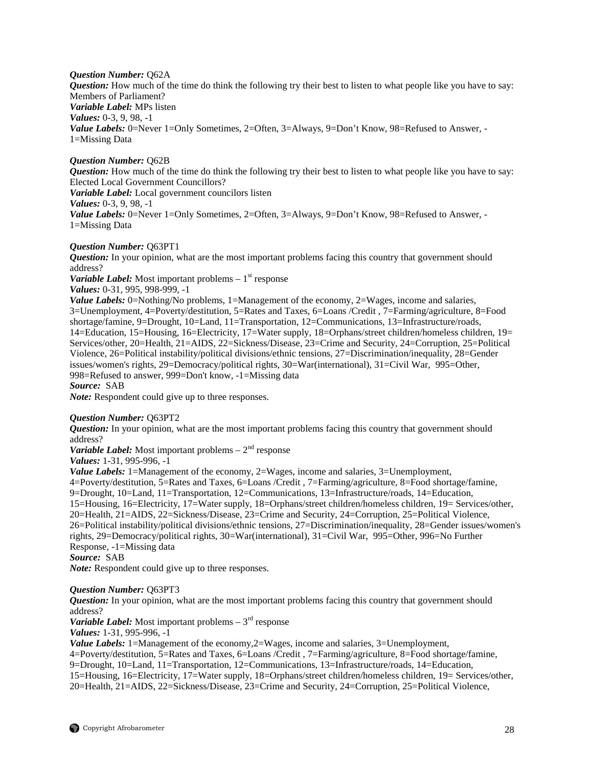*Question Number:* Q62A

*Question:* How much of the time do think the following try their best to listen to what people like you have to say: Members of Parliament? *Variable Label:* MPs listen *Values:* 0-3, 9, 98, -1 Value Labels: 0=Never 1=Only Sometimes, 2=Often, 3=Always, 9=Don't Know, 98=Refused to Answer. -1=Missing Data

## *Question Number:* Q62B

*Question:* How much of the time do think the following try their best to listen to what people like you have to say: Elected Local Government Councillors?

*Variable Label:* Local government councilors listen

*Values:* 0-3, 9, 98, -1

*Value Labels:* 0=Never 1=Only Sometimes, 2=Often, 3=Always, 9=Don't Know, 98=Refused to Answer, -1=Missing Data

## *Question Number:* Q63PT1

*Question:* In your opinion, what are the most important problems facing this country that government should address?

*Variable Label:* Most important problems  $-1$ <sup>st</sup> response

*Values:* 0-31, 995, 998-999, -1

*Value Labels:* 0=Nothing/No problems, 1=Management of the economy, 2=Wages, income and salaries, 3=Unemployment, 4=Poverty/destitution, 5=Rates and Taxes, 6=Loans /Credit , 7=Farming/agriculture, 8=Food shortage/famine, 9=Drought, 10=Land, 11=Transportation, 12=Communications, 13=Infrastructure/roads, 14=Education, 15=Housing, 16=Electricity, 17=Water supply, 18=Orphans/street children/homeless children, 19= Services/other, 20=Health, 21=AIDS, 22=Sickness/Disease, 23=Crime and Security, 24=Corruption, 25=Political Violence, 26=Political instability/political divisions/ethnic tensions, 27=Discrimination/inequality, 28=Gender issues/women's rights, 29=Democracy/political rights, 30=War(international), 31=Civil War, 995=Other, 998=Refused to answer, 999=Don't know, -1=Missing data

*Source:* SAB

*Note:* Respondent could give up to three responses.

## *Question Number:* Q63PT2

*Question:* In your opinion, what are the most important problems facing this country that government should address?

*Variable Label:* Most important problems  $-2<sup>nd</sup>$  response

*Values:* 1-31, 995-996, -1

*Value Labels:* 1=Management of the economy, 2=Wages, income and salaries, 3=Unemployment,

4=Poverty/destitution, 5=Rates and Taxes, 6=Loans /Credit , 7=Farming/agriculture, 8=Food shortage/famine,

9=Drought, 10=Land, 11=Transportation, 12=Communications, 13=Infrastructure/roads, 14=Education,

15=Housing, 16=Electricity, 17=Water supply, 18=Orphans/street children/homeless children, 19= Services/other, 20=Health, 21=AIDS, 22=Sickness/Disease, 23=Crime and Security, 24=Corruption, 25=Political Violence, 26=Political instability/political divisions/ethnic tensions, 27=Discrimination/inequality, 28=Gender issues/women's rights, 29=Democracy/political rights, 30=War(international), 31=Civil War, 995=Other, 996=No Further

Response, -1=Missing data

*Source:* SAB

*Note:* Respondent could give up to three responses.

## *Question Number:* Q63PT3

*Question:* In your opinion, what are the most important problems facing this country that government should address?

*Variable Label:* Most important problems  $-3^{rd}$  response

*Values:* 1-31, 995-996, -1

*Value Labels:* 1=Management of the economy,2=Wages, income and salaries, 3=Unemployment, 4=Poverty/destitution, 5=Rates and Taxes, 6=Loans /Credit , 7=Farming/agriculture, 8=Food shortage/famine,

9=Drought, 10=Land, 11=Transportation, 12=Communications, 13=Infrastructure/roads, 14=Education,

15=Housing, 16=Electricity, 17=Water supply, 18=Orphans/street children/homeless children, 19= Services/other, 20=Health, 21=AIDS, 22=Sickness/Disease, 23=Crime and Security, 24=Corruption, 25=Political Violence,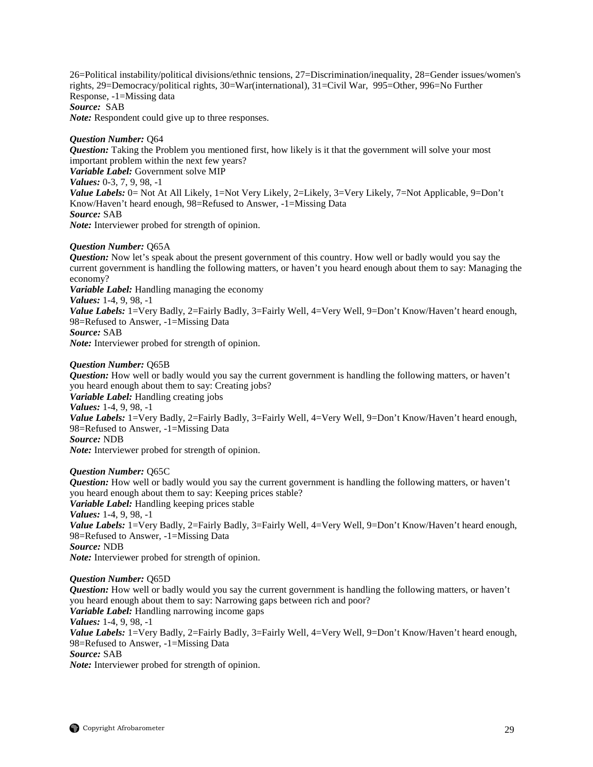26=Political instability/political divisions/ethnic tensions, 27=Discrimination/inequality, 28=Gender issues/women's rights, 29=Democracy/political rights, 30=War(international), 31=Civil War, 995=Other, 996=No Further Response, -1=Missing data *Source:* SAB *Note:* Respondent could give up to three responses.

*Question Number:* Q64

*Question:* Taking the Problem you mentioned first, how likely is it that the government will solve your most important problem within the next few years? *Variable Label:* Government solve MIP *Values:* 0-3, 7, 9, 98, -1 *Value Labels:* 0= Not At All Likely, 1=Not Very Likely, 2=Likely, 3=Very Likely, 7=Not Applicable, 9=Don't Know/Haven't heard enough, 98=Refused to Answer, -1=Missing Data *Source:* SAB *Note:* Interviewer probed for strength of opinion.

## *Question Number:* Q65A

*Question:* Now let's speak about the present government of this country. How well or badly would you say the current government is handling the following matters, or haven't you heard enough about them to say: Managing the economy?

*Variable Label:* Handling managing the economy

*Values:* 1-4, 9, 98, -1

*Value Labels:* 1=Very Badly, 2=Fairly Badly, 3=Fairly Well, 4=Very Well, 9=Don't Know/Haven't heard enough, 98=Refused to Answer, -1=Missing Data

## *Source:* SAB

*Note:* Interviewer probed for strength of opinion.

## *Question Number:* Q65B

*Question:* How well or badly would you say the current government is handling the following matters, or haven't you heard enough about them to say: Creating jobs? *Variable Label:* Handling creating jobs *Values:* 1-4, 9, 98, -1 *Value Labels:* 1=Very Badly, 2=Fairly Badly, 3=Fairly Well, 4=Very Well, 9=Don't Know/Haven't heard enough, 98=Refused to Answer, -1=Missing Data *Source:* NDB *Note:* Interviewer probed for strength of opinion.

## *Question Number:* Q65C

*Question:* How well or badly would you say the current government is handling the following matters, or haven't you heard enough about them to say: Keeping prices stable? *Variable Label:* Handling keeping prices stable *Values:* 1-4, 9, 98, -1 *Value Labels:* 1=Very Badly, 2=Fairly Badly, 3=Fairly Well, 4=Very Well, 9=Don't Know/Haven't heard enough, 98=Refused to Answer, -1=Missing Data *Source:* NDB

*Note:* Interviewer probed for strength of opinion.

*Question Number:* Q65D

*Question:* How well or badly would you say the current government is handling the following matters, or haven't you heard enough about them to say: Narrowing gaps between rich and poor? *Variable Label:* Handling narrowing income gaps *Values:* 1-4, 9, 98, -1 *Value Labels:* 1=Very Badly, 2=Fairly Badly, 3=Fairly Well, 4=Very Well, 9=Don't Know/Haven't heard enough, 98=Refused to Answer, -1=Missing Data *Source:* SAB *Note:* Interviewer probed for strength of opinion.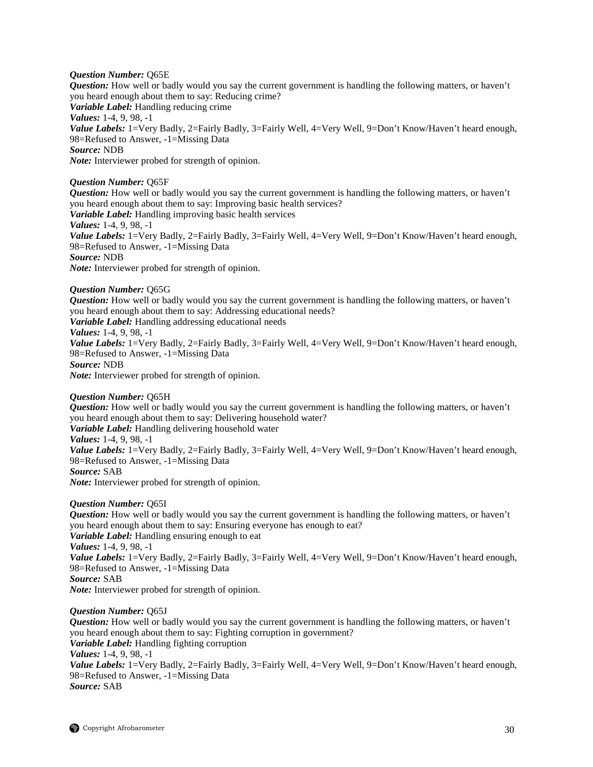## *Question Number:* Q65E

*Question:* How well or badly would you say the current government is handling the following matters, or haven't you heard enough about them to say: Reducing crime? *Variable Label:* Handling reducing crime *Values:* 1-4, 9, 98, -1 Value Labels: 1=Very Badly, 2=Fairly Badly, 3=Fairly Well, 4=Very Well, 9=Don't Know/Haven't heard enough, 98=Refused to Answer, -1=Missing Data *Source:* NDB *Note:* Interviewer probed for strength of opinion.

## *Question Number:* Q65F

*Question:* How well or badly would you say the current government is handling the following matters, or haven't you heard enough about them to say: Improving basic health services? *Variable Label:* Handling improving basic health services *Values:* 1-4, 9, 98, -1 *Value Labels:* 1=Very Badly, 2=Fairly Badly, 3=Fairly Well, 4=Very Well, 9=Don't Know/Haven't heard enough, 98=Refused to Answer, -1=Missing Data *Source:* NDB *Note:* Interviewer probed for strength of opinion.

*Question Number:* Q65G *Question:* How well or badly would you say the current government is handling the following matters, or haven't you heard enough about them to say: Addressing educational needs? *Variable Label:* Handling addressing educational needs *Values:* 1-4, 9, 98, -1 Value Labels: 1=Very Badly, 2=Fairly Badly, 3=Fairly Well, 4=Very Well, 9=Don't Know/Haven't heard enough, 98=Refused to Answer, -1=Missing Data *Source:* NDB *Note:* Interviewer probed for strength of opinion.

*Question Number:* Q65H *Question:* How well or badly would you say the current government is handling the following matters, or haven't you heard enough about them to say: Delivering household water? *Variable Label:* Handling delivering household water *Values:* 1-4, 9, 98, -1 *Value Labels:* 1=Very Badly, 2=Fairly Badly, 3=Fairly Well, 4=Very Well, 9=Don't Know/Haven't heard enough, 98=Refused to Answer, -1=Missing Data *Source:* SAB *Note:* Interviewer probed for strength of opinion.

## *Question Number:* Q65I

*Question:* How well or badly would you say the current government is handling the following matters, or haven't you heard enough about them to say: Ensuring everyone has enough to eat? *Variable Label:* Handling ensuring enough to eat *Values:* 1-4, 9, 98, -1 *Value Labels:* 1=Very Badly, 2=Fairly Badly, 3=Fairly Well, 4=Very Well, 9=Don't Know/Haven't heard enough, 98=Refused to Answer, -1=Missing Data *Source:* SAB *Note:* Interviewer probed for strength of opinion.

*Question Number:* Q65J

*Question:* How well or badly would you say the current government is handling the following matters, or haven't you heard enough about them to say: Fighting corruption in government? *Variable Label:* Handling fighting corruption *Values:* 1-4, 9, 98, -1 *Value Labels:* 1=Very Badly, 2=Fairly Badly, 3=Fairly Well, 4=Very Well, 9=Don't Know/Haven't heard enough, 98=Refused to Answer, -1=Missing Data *Source:* SAB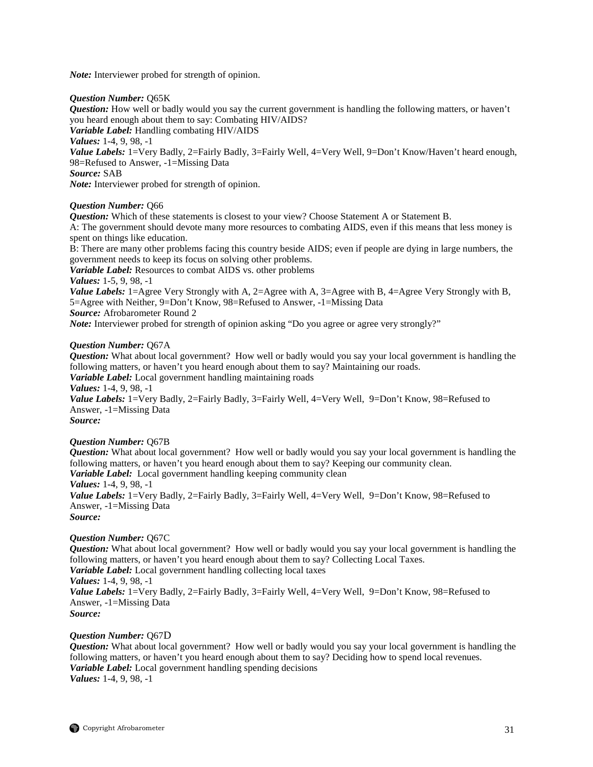*Note:* Interviewer probed for strength of opinion.

## *Question Number:* Q65K

*Question:* How well or badly would you say the current government is handling the following matters, or haven't you heard enough about them to say: Combating HIV/AIDS?

*Variable Label:* Handling combating HIV/AIDS

*Values:* 1-4, 9, 98, -1

*Value Labels:* 1=Very Badly, 2=Fairly Badly, 3=Fairly Well, 4=Very Well, 9=Don't Know/Haven't heard enough, 98=Refused to Answer, -1=Missing Data

*Source:* SAB

*Note:* Interviewer probed for strength of opinion.

## *Question Number:* Q66

*Question:* Which of these statements is closest to your view? Choose Statement A or Statement B.

A: The government should devote many more resources to combating AIDS, even if this means that less money is spent on things like education.

B: There are many other problems facing this country beside AIDS; even if people are dying in large numbers, the government needs to keep its focus on solving other problems.

*Variable Label:* Resources to combat AIDS vs. other problems

*Values:* 1-5, 9, 98, -1

*Value Labels:* 1=Agree Very Strongly with A, 2=Agree with A, 3=Agree with B, 4=Agree Very Strongly with B, 5=Agree with Neither, 9=Don't Know, 98=Refused to Answer, -1=Missing Data

*Source:* Afrobarometer Round 2

*Note:* Interviewer probed for strength of opinion asking "Do you agree or agree very strongly?"

## *Question Number:* Q67A

*Question:* What about local government? How well or badly would you say your local government is handling the following matters, or haven't you heard enough about them to say? Maintaining our roads.

*Variable Label:* Local government handling maintaining roads

*Values:* 1-4, 9, 98, -1

Value Labels: 1=Very Badly, 2=Fairly Badly, 3=Fairly Well, 4=Very Well, 9=Don't Know, 98=Refused to Answer, -1=Missing Data

*Source:*

## *Question Number:* Q67B

*Question:* What about local government? How well or badly would you say your local government is handling the following matters, or haven't you heard enough about them to say? Keeping our community clean. *Variable Label:* Local government handling keeping community clean *Values:* 1-4, 9, 98, -1

Value Labels: 1=Very Badly, 2=Fairly Badly, 3=Fairly Well, 4=Very Well, 9=Don't Know, 98=Refused to Answer, -1=Missing Data

*Source:*

## *Question Number:* Q67C

*Question:* What about local government? How well or badly would you say your local government is handling the following matters, or haven't you heard enough about them to say? Collecting Local Taxes. *Variable Label:* Local government handling collecting local taxes

*Values:* 1-4, 9, 98, -1

Value Labels: 1=Very Badly, 2=Fairly Badly, 3=Fairly Well, 4=Very Well, 9=Don't Know, 98=Refused to Answer, -1=Missing Data

*Source:*

## *Question Number:* Q67D

*Question:* What about local government? How well or badly would you say your local government is handling the following matters, or haven't you heard enough about them to say? Deciding how to spend local revenues. *Variable Label:* Local government handling spending decisions *Values:* 1-4, 9, 98, -1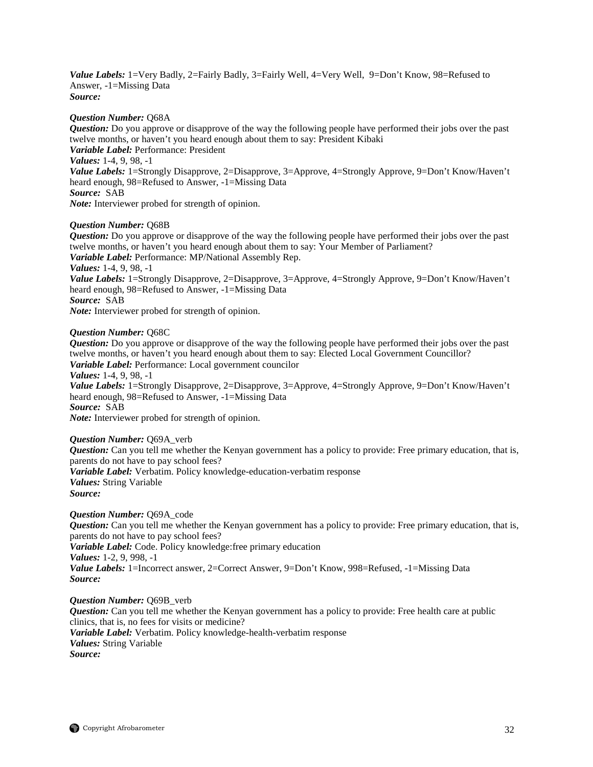Value Labels: 1=Very Badly, 2=Fairly Badly, 3=Fairly Well, 4=Very Well, 9=Don't Know, 98=Refused to Answer, -1=Missing Data *Source:*

## *Question Number:* Q68A

*Question:* Do you approve or disapprove of the way the following people have performed their jobs over the past twelve months, or haven't you heard enough about them to say: President Kibaki *Variable Label:* Performance: President *Values:* 1-4, 9, 98, -1 *Value Labels:* 1=Strongly Disapprove, 2=Disapprove, 3=Approve, 4=Strongly Approve, 9=Don't Know/Haven't heard enough, 98=Refused to Answer, -1=Missing Data *Source:* SAB

*Note:* Interviewer probed for strength of opinion.

## *Question Number:* Q68B

*Question:* Do you approve or disapprove of the way the following people have performed their jobs over the past twelve months, or haven't you heard enough about them to say: Your Member of Parliament? *Variable Label:* Performance: MP/National Assembly Rep. *Values:* 1-4, 9, 98, -1 *Value Labels:* 1=Strongly Disapprove, 2=Disapprove, 3=Approve, 4=Strongly Approve, 9=Don't Know/Haven't heard enough, 98=Refused to Answer, -1=Missing Data *Source:* SAB *Note:* Interviewer probed for strength of opinion.

## *Question Number:* Q68C

*Question:* Do you approve or disapprove of the way the following people have performed their jobs over the past twelve months, or haven't you heard enough about them to say: Elected Local Government Councillor? *Variable Label:* Performance: Local government councilor *Values:* 1-4, 9, 98, -1 *Value Labels:* 1=Strongly Disapprove, 2=Disapprove, 3=Approve, 4=Strongly Approve, 9=Don't Know/Haven't heard enough, 98=Refused to Answer, -1=Missing Data *Source:* SAB *Note:* Interviewer probed for strength of opinion.

## *Question Number:* Q69A\_verb

*Question:* Can you tell me whether the Kenyan government has a policy to provide: Free primary education, that is, parents do not have to pay school fees? *Variable Label:* Verbatim. Policy knowledge-education-verbatim response *Values:* String Variable

*Source:*

*Question Number:* Q69A\_code *Question:* Can you tell me whether the Kenyan government has a policy to provide: Free primary education, that is, parents do not have to pay school fees? *Variable Label:* Code. Policy knowledge:free primary education *Values:* 1-2, 9, 998, -1 *Value Labels:* 1=Incorrect answer, 2=Correct Answer, 9=Don't Know, 998=Refused, -1=Missing Data *Source:* 

*Question Number:* Q69B\_verb *Question:* Can you tell me whether the Kenyan government has a policy to provide: Free health care at public clinics, that is, no fees for visits or medicine? *Variable Label:* Verbatim. Policy knowledge-health-verbatim response *Values:* String Variable *Source:*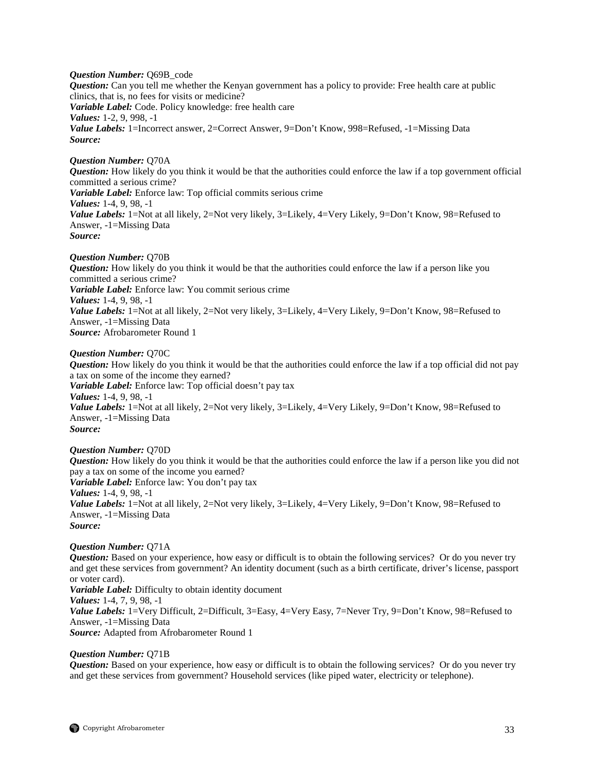*Question Number:* Q69B\_code *Question:* Can you tell me whether the Kenyan government has a policy to provide: Free health care at public clinics, that is, no fees for visits or medicine? *Variable Label:* Code. Policy knowledge: free health care *Values:* 1-2, 9, 998, -1 Value Labels: 1=Incorrect answer, 2=Correct Answer, 9=Don't Know, 998=Refused, -1=Missing Data *Source:*

*Question Number:* Q70A *Question:* How likely do you think it would be that the authorities could enforce the law if a top government official committed a serious crime? *Variable Label:* Enforce law: Top official commits serious crime *Values:* 1-4, 9, 98, -1 *Value Labels:* 1=Not at all likely, 2=Not very likely, 3=Likely, 4=Very Likely, 9=Don't Know, 98=Refused to Answer, -1=Missing Data *Source:*

*Question Number:* Q70B *Question:* How likely do you think it would be that the authorities could enforce the law if a person like you committed a serious crime? *Variable Label:* Enforce law: You commit serious crime *Values:* 1-4, 9, 98, -1 *Value Labels:* 1=Not at all likely, 2=Not very likely, 3=Likely, 4=Very Likely, 9=Don't Know, 98=Refused to Answer, -1=Missing Data *Source:* Afrobarometer Round 1

#### *Question Number:* Q70C

*Question:* How likely do you think it would be that the authorities could enforce the law if a top official did not pay a tax on some of the income they earned? *Variable Label:* Enforce law: Top official doesn't pay tax *Values:* 1-4, 9, 98, -1 *Value Labels:* 1=Not at all likely, 2=Not very likely, 3=Likely, 4=Very Likely, 9=Don't Know, 98=Refused to Answer, -1=Missing Data *Source:*

#### *Question Number:* Q70D

*Question:* How likely do you think it would be that the authorities could enforce the law if a person like you did not pay a tax on some of the income you earned? *Variable Label:* Enforce law: You don't pay tax *Values:* 1-4, 9, 98, -1 *Value Labels:* 1=Not at all likely, 2=Not very likely, 3=Likely, 4=Very Likely, 9=Don't Know, 98=Refused to Answer, -1=Missing Data *Source:*

## *Question Number:* Q71A

*Question:* Based on your experience, how easy or difficult is to obtain the following services? Or do you never try and get these services from government? An identity document (such as a birth certificate, driver's license, passport or voter card). *Variable Label:* Difficulty to obtain identity document *Values:* 1-4, 7, 9, 98, -1 Value Labels: 1=Very Difficult, 2=Difficult, 3=Easy, 4=Very Easy, 7=Never Try, 9=Don't Know, 98=Refused to Answer, -1=Missing Data *Source:* Adapted from Afrobarometer Round 1

## *Question Number:* Q71B

*Question:* Based on your experience, how easy or difficult is to obtain the following services? Or do you never try and get these services from government? Household services (like piped water, electricity or telephone).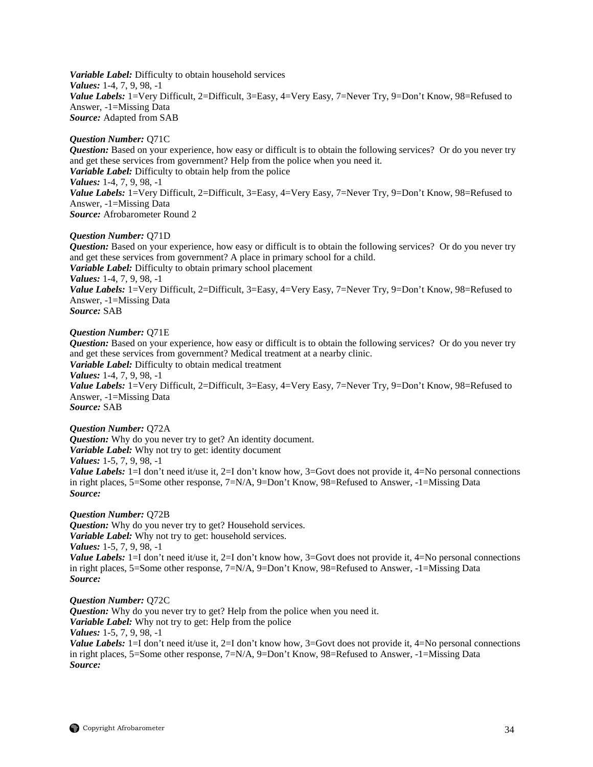*Variable Label:* Difficulty to obtain household services *Values:* 1-4, 7, 9, 98, -1 Value Labels: 1=Very Difficult, 2=Difficult, 3=Easy, 4=Very Easy, 7=Never Try, 9=Don't Know, 98=Refused to Answer, -1=Missing Data *Source:* Adapted from SAB

## *Question Number:* Q71C

*Question:* Based on your experience, how easy or difficult is to obtain the following services? Or do you never try and get these services from government? Help from the police when you need it. *Variable Label:* Difficulty to obtain help from the police *Values:* 1-4, 7, 9, 98, -1 *Value Labels:* 1=Very Difficult, 2=Difficult, 3=Easy, 4=Very Easy, 7=Never Try, 9=Don't Know, 98=Refused to Answer, -1=Missing Data *Source:* Afrobarometer Round 2

## *Question Number:* Q71D

*Question:* Based on your experience, how easy or difficult is to obtain the following services? Or do you never try and get these services from government? A place in primary school for a child. *Variable Label:* Difficulty to obtain primary school placement *Values:* 1-4, 7, 9, 98, -1 *Value Labels:* 1=Very Difficult, 2=Difficult, 3=Easy, 4=Very Easy, 7=Never Try, 9=Don't Know, 98=Refused to Answer, -1=Missing Data *Source:* SAB

## *Question Number:* Q71E

*Question:* Based on your experience, how easy or difficult is to obtain the following services? Or do you never try and get these services from government? Medical treatment at a nearby clinic. *Variable Label:* Difficulty to obtain medical treatment *Values:* 1-4, 7, 9, 98, -1 *Value Labels:* 1=Very Difficult, 2=Difficult, 3=Easy, 4=Very Easy, 7=Never Try, 9=Don't Know, 98=Refused to Answer, -1=Missing Data *Source:* SAB

*Question Number:* Q72A *Question:* Why do you never try to get? An identity document. *Variable Label:* Why not try to get: identity document *Values:* 1-5, 7, 9, 98, -1 *Value Labels:* 1=I don't need it/use it, 2=I don't know how, 3=Govt does not provide it, 4=No personal connections in right places, 5=Some other response, 7=N/A, 9=Don't Know, 98=Refused to Answer, -1=Missing Data *Source:*

*Question Number:* Q72B *Question:* Why do you never try to get? Household services. *Variable Label:* Why not try to get: household services. *Values:* 1-5, 7, 9, 98, -1 *Value Labels:* 1=I don't need it/use it, 2=I don't know how, 3=Govt does not provide it, 4=No personal connections in right places, 5=Some other response, 7=N/A, 9=Don't Know, 98=Refused to Answer, -1=Missing Data *Source:*

## *Question Number:* Q72C

**Question:** Why do you never try to get? Help from the police when you need it. *Variable Label:* Why not try to get: Help from the police *Values:* 1-5, 7, 9, 98, -1 *Value Labels:* 1=I don't need it/use it, 2=I don't know how, 3=Govt does not provide it, 4=No personal connections in right places, 5=Some other response, 7=N/A, 9=Don't Know, 98=Refused to Answer, -1=Missing Data *Source:*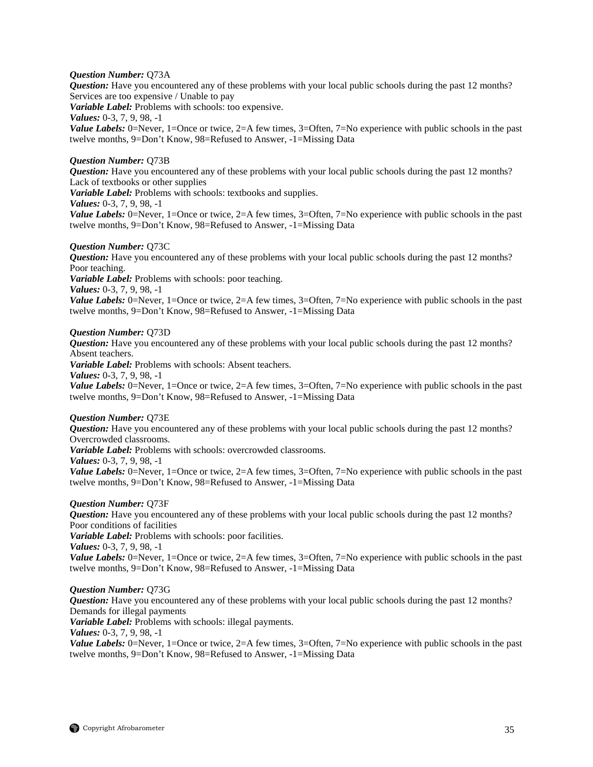## *Question Number:* Q73A

*Question:* Have you encountered any of these problems with your local public schools during the past 12 months? Services are too expensive / Unable to pay

*Variable Label:* Problems with schools: too expensive.

*Values:* 0-3, 7, 9, 98, -1

*Value Labels:* 0=Never, 1=Once or twice, 2=A few times, 3=Often, 7=No experience with public schools in the past twelve months, 9=Don't Know, 98=Refused to Answer, -1=Missing Data

## *Question Number:* Q73B

*Question:* Have you encountered any of these problems with your local public schools during the past 12 months? Lack of textbooks or other supplies

*Variable Label:* Problems with schools: textbooks and supplies.

*Values:* 0-3, 7, 9, 98, -1

*Value Labels:* 0=Never, 1=Once or twice, 2=A few times, 3=Often, 7=No experience with public schools in the past twelve months, 9=Don't Know, 98=Refused to Answer, -1=Missing Data

## *Question Number:* Q73C

*Question:* Have you encountered any of these problems with your local public schools during the past 12 months? Poor teaching.

*Variable Label:* Problems with schools: poor teaching.

*Values:* 0-3, 7, 9, 98, -1

*Value Labels:* 0=Never, 1=Once or twice, 2=A few times, 3=Often, 7=No experience with public schools in the past twelve months, 9=Don't Know, 98=Refused to Answer, -1=Missing Data

## *Question Number:* Q73D

*Question:* Have you encountered any of these problems with your local public schools during the past 12 months? Absent teachers.

*Variable Label:* Problems with schools: Absent teachers.

*Values:* 0-3, 7, 9, 98, -1

*Value Labels:* 0=Never, 1=Once or twice, 2=A few times, 3=Often, 7=No experience with public schools in the past twelve months, 9=Don't Know, 98=Refused to Answer, -1=Missing Data

## *Question Number:* Q73E

*Question:* Have you encountered any of these problems with your local public schools during the past 12 months? Overcrowded classrooms.

*Variable Label:* Problems with schools: overcrowded classrooms.

*Values:* 0-3, 7, 9, 98, -1

*Value Labels:* 0=Never, 1=Once or twice, 2=A few times, 3=Often, 7=No experience with public schools in the past twelve months, 9=Don't Know, 98=Refused to Answer, -1=Missing Data

## *Question Number:* Q73F

*Question:* Have you encountered any of these problems with your local public schools during the past 12 months? Poor conditions of facilities

*Variable Label:* Problems with schools: poor facilities.

*Values:* 0-3, 7, 9, 98, -1

*Value Labels:* 0=Never, 1=Once or twice, 2=A few times, 3=Often, 7=No experience with public schools in the past twelve months, 9=Don't Know, 98=Refused to Answer, -1=Missing Data

## *Question Number:* Q73G

*Question:* Have you encountered any of these problems with your local public schools during the past 12 months? Demands for illegal payments

*Variable Label:* Problems with schools: illegal payments.

*Values:* 0-3, 7, 9, 98, -1

*Value Labels:* 0=Never, 1=Once or twice, 2=A few times, 3=Often, 7=No experience with public schools in the past twelve months, 9=Don't Know, 98=Refused to Answer, -1=Missing Data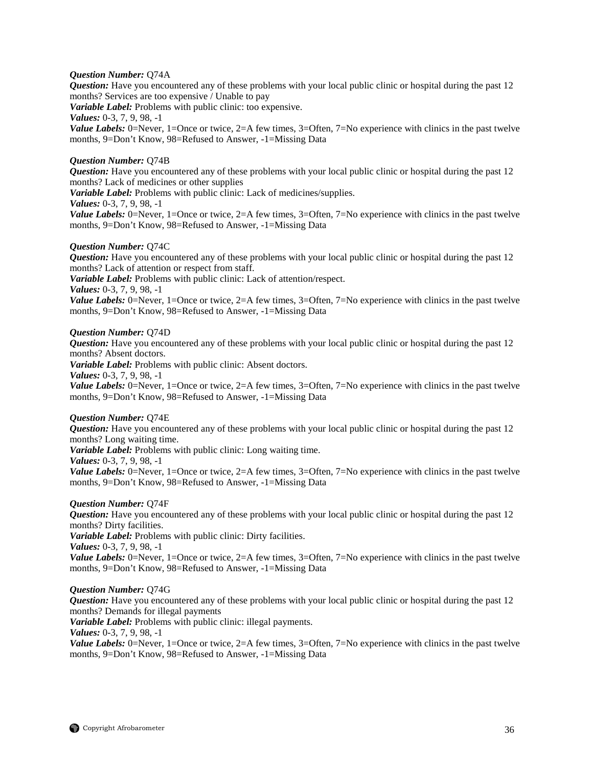## *Question Number:* Q74A

*Question:* Have you encountered any of these problems with your local public clinic or hospital during the past 12 months? Services are too expensive / Unable to pay

*Variable Label:* Problems with public clinic: too expensive.

*Values:* 0-3, 7, 9, 98, -1

*Value Labels:* 0=Never, 1=Once or twice, 2=A few times, 3=Often, 7=No experience with clinics in the past twelve months, 9=Don't Know, 98=Refused to Answer, -1=Missing Data

## *Question Number:* Q74B

*Question:* Have you encountered any of these problems with your local public clinic or hospital during the past 12 months? Lack of medicines or other supplies

*Variable Label:* Problems with public clinic: Lack of medicines/supplies.

*Values:* 0-3, 7, 9, 98, -1

*Value Labels:* 0=Never, 1=Once or twice, 2=A few times, 3=Often, 7=No experience with clinics in the past twelve months, 9=Don't Know, 98=Refused to Answer, -1=Missing Data

#### *Question Number:* Q74C

*Question:* Have you encountered any of these problems with your local public clinic or hospital during the past 12 months? Lack of attention or respect from staff.

*Variable Label:* Problems with public clinic: Lack of attention/respect.

*Values:* 0-3, 7, 9, 98, -1

*Value Labels:* 0=Never, 1=Once or twice, 2=A few times, 3=Often, 7=No experience with clinics in the past twelve months, 9=Don't Know, 98=Refused to Answer, -1=Missing Data

## *Question Number:* Q74D

*Question:* Have you encountered any of these problems with your local public clinic or hospital during the past 12 months? Absent doctors.

*Variable Label:* Problems with public clinic: Absent doctors.

*Values:* 0-3, 7, 9, 98, -1

*Value Labels:* 0=Never, 1=Once or twice, 2=A few times, 3=Often, 7=No experience with clinics in the past twelve months, 9=Don't Know, 98=Refused to Answer, -1=Missing Data

## *Question Number:* Q74E

*Question:* Have you encountered any of these problems with your local public clinic or hospital during the past 12 months? Long waiting time.

*Variable Label:* Problems with public clinic: Long waiting time.

*Values:* 0-3, 7, 9, 98, -1

*Value Labels:* 0=Never, 1=Once or twice, 2=A few times, 3=Often, 7=No experience with clinics in the past twelve months, 9=Don't Know, 98=Refused to Answer, -1=Missing Data

## *Question Number:* Q74F

*Question:* Have you encountered any of these problems with your local public clinic or hospital during the past 12 months? Dirty facilities.

*Variable Label:* Problems with public clinic: Dirty facilities.

*Values:* 0-3, 7, 9, 98, -1

*Value Labels:* 0=Never, 1=Once or twice, 2=A few times, 3=Often, 7=No experience with clinics in the past twelve months, 9=Don't Know, 98=Refused to Answer, -1=Missing Data

## *Question Number:* Q74G

*Question:* Have you encountered any of these problems with your local public clinic or hospital during the past 12 months? Demands for illegal payments

*Variable Label:* Problems with public clinic: illegal payments. *Values:* 0-3, 7, 9, 98, -1

*Value Labels:* 0=Never, 1=Once or twice, 2=A few times, 3=Often, 7=No experience with clinics in the past twelve months, 9=Don't Know, 98=Refused to Answer, -1=Missing Data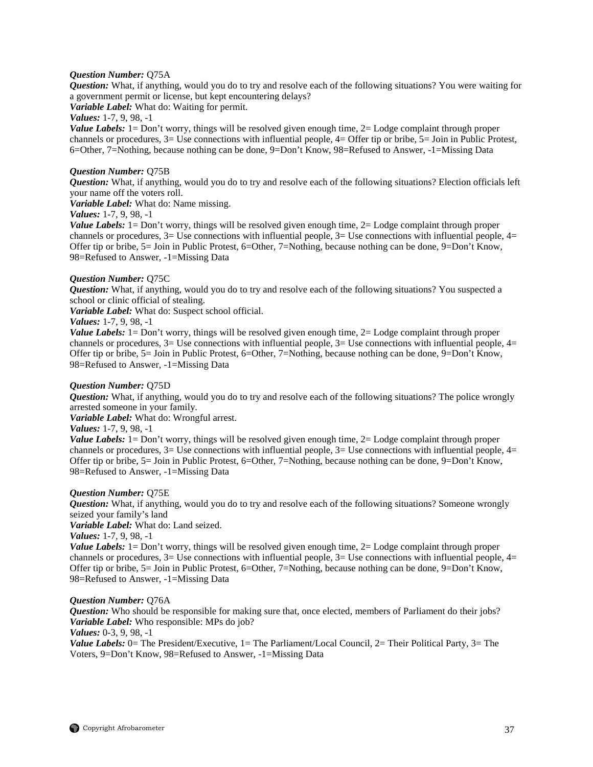## *Question Number:* Q75A

*Question:* What, if anything, would you do to try and resolve each of the following situations? You were waiting for a government permit or license, but kept encountering delays?

*Variable Label:* What do: Waiting for permit.

*Values:* 1-7, 9, 98, -1

*Value Labels:* 1= Don't worry, things will be resolved given enough time, 2= Lodge complaint through proper channels or procedures, 3= Use connections with influential people, 4= Offer tip or bribe, 5= Join in Public Protest, 6=Other, 7=Nothing, because nothing can be done, 9=Don't Know, 98=Refused to Answer, -1=Missing Data

## *Question Number:* Q75B

*Question:* What, if anything, would you do to try and resolve each of the following situations? Election officials left your name off the voters roll.

*Variable Label:* What do: Name missing.

## *Values:* 1-7, 9, 98, -1

*Value Labels:* 1= Don't worry, things will be resolved given enough time, 2= Lodge complaint through proper channels or procedures,  $3=$  Use connections with influential people,  $3=$  Use connections with influential people,  $4=$ Offer tip or bribe, 5= Join in Public Protest, 6=Other, 7=Nothing, because nothing can be done, 9=Don't Know, 98=Refused to Answer, -1=Missing Data

#### *Question Number:* Q75C

*Question:* What, if anything, would you do to try and resolve each of the following situations? You suspected a school or clinic official of stealing.

*Variable Label:* What do: Suspect school official.

## *Values:* 1-7, 9, 98, -1

*Value Labels:* 1= Don't worry, things will be resolved given enough time, 2= Lodge complaint through proper channels or procedures,  $3=$  Use connections with influential people,  $3=$  Use connections with influential people,  $4=$ Offer tip or bribe, 5= Join in Public Protest, 6=Other, 7=Nothing, because nothing can be done, 9=Don't Know, 98=Refused to Answer, -1=Missing Data

## *Question Number:* Q75D

*Question:* What, if anything, would you do to try and resolve each of the following situations? The police wrongly arrested someone in your family.

*Variable Label:* What do: Wrongful arrest.

## *Values:* 1-7, 9, 98, -1

*Value Labels:* 1= Don't worry, things will be resolved given enough time, 2= Lodge complaint through proper channels or procedures,  $3=$  Use connections with influential people,  $3=$  Use connections with influential people,  $4=$ Offer tip or bribe, 5= Join in Public Protest, 6=Other, 7=Nothing, because nothing can be done, 9=Don't Know, 98=Refused to Answer, -1=Missing Data

#### *Question Number:* Q75E

*Question:* What, if anything, would you do to try and resolve each of the following situations? Someone wrongly seized your family's land

*Variable Label:* What do: Land seized.

*Values:* 1-7, 9, 98, -1

*Value Labels:* 1= Don't worry, things will be resolved given enough time, 2= Lodge complaint through proper channels or procedures,  $3=$  Use connections with influential people,  $3=$  Use connections with influential people,  $4=$ Offer tip or bribe, 5= Join in Public Protest, 6=Other, 7=Nothing, because nothing can be done, 9=Don't Know, 98=Refused to Answer, -1=Missing Data

#### *Question Number:* Q76A

*Question:* Who should be responsible for making sure that, once elected, members of Parliament do their jobs? *Variable Label:* Who responsible: MPs do job?

*Values:* 0-3, 9, 98, -1

*Value Labels:* 0 = The President/Executive, 1 = The Parliament/Local Council, 2 = Their Political Party, 3 = The Voters, 9=Don't Know, 98=Refused to Answer, -1=Missing Data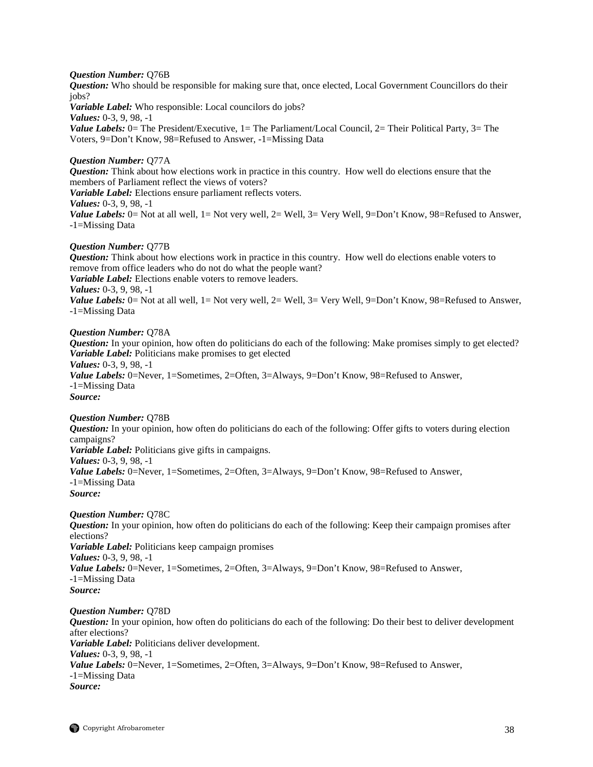## *Question Number:* Q76B

*Question:* Who should be responsible for making sure that, once elected, Local Government Councillors do their jobs?

*Variable Label:* Who responsible: Local councilors do jobs?

*Values:* 0-3, 9, 98, -1

*Value Labels:* 0 = The President/Executive, 1 = The Parliament/Local Council, 2 = Their Political Party, 3 = The Voters, 9=Don't Know, 98=Refused to Answer, -1=Missing Data

## *Question Number:* Q77A

*Question:* Think about how elections work in practice in this country. How well do elections ensure that the members of Parliament reflect the views of voters?

*Variable Label:* Elections ensure parliament reflects voters.

*Values:* 0-3, 9, 98, -1

*Value Labels:* 0= Not at all well, 1= Not very well, 2= Well, 3= Very Well, 9=Don't Know, 98=Refused to Answer, -1=Missing Data

## *Question Number:* Q77B

*Question:* Think about how elections work in practice in this country. How well do elections enable voters to remove from office leaders who do not do what the people want? *Variable Label:* Elections enable voters to remove leaders. *Values:* 0-3, 9, 98, -1 *Value Labels:* 0= Not at all well, 1= Not very well, 2= Well, 3= Very Well, 9=Don't Know, 98=Refused to Answer, -1=Missing Data

## *Question Number:* Q78A

*Question:* In your opinion, how often do politicians do each of the following: Make promises simply to get elected? *Variable Label:* Politicians make promises to get elected *Values:* 0-3, 9, 98, -1 *Value Labels:* 0=Never, 1=Sometimes, 2=Often, 3=Always, 9=Don't Know, 98=Refused to Answer, -1=Missing Data *Source:*

## *Question Number:* Q78B

*Question:* In your opinion, how often do politicians do each of the following: Offer gifts to voters during election campaigns? *Variable Label:* Politicians give gifts in campaigns. *Values:* 0-3, 9, 98, -1 *Value Labels:* 0=Never, 1=Sometimes, 2=Often, 3=Always, 9=Don't Know, 98=Refused to Answer, -1=Missing Data *Source:*

## *Question Number:* Q78C

*Question:* In your opinion, how often do politicians do each of the following: Keep their campaign promises after elections? *Variable Label:* Politicians keep campaign promises *Values:* 0-3, 9, 98, -1 *Value Labels:* 0=Never, 1=Sometimes, 2=Often, 3=Always, 9=Don't Know, 98=Refused to Answer, -1=Missing Data *Source:*

*Question Number:* Q78D

*Question:* In your opinion, how often do politicians do each of the following: Do their best to deliver development after elections? *Variable Label:* Politicians deliver development. *Values:* 0-3, 9, 98, -1 *Value Labels:* 0=Never, 1=Sometimes, 2=Often, 3=Always, 9=Don't Know, 98=Refused to Answer, -1=Missing Data *Source:*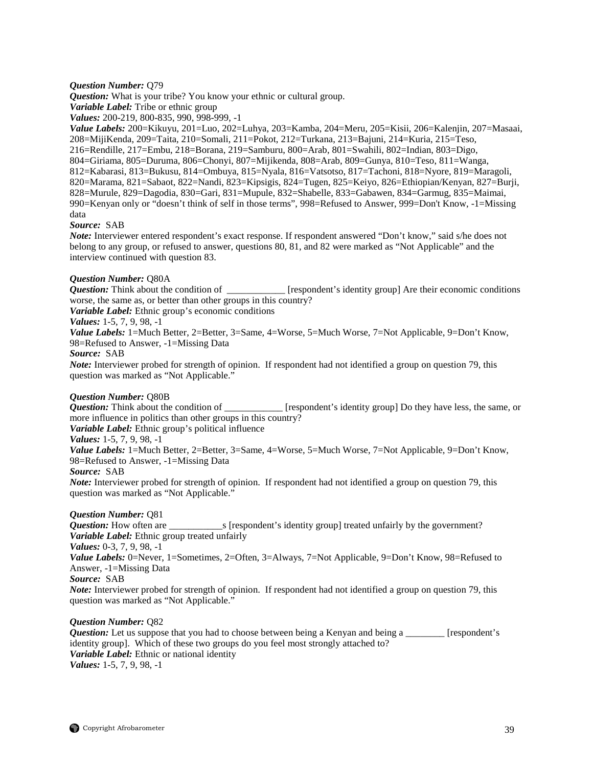## *Question Number:* Q79

*Question:* What is your tribe? You know your ethnic or cultural group.

*Variable Label:* Tribe or ethnic group

*Values:* 200-219, 800-835, 990, 998-999, -1

*Value Labels:* 200=Kikuyu, 201=Luo, 202=Luhya, 203=Kamba, 204=Meru, 205=Kisii, 206=Kalenjin, 207=Masaai, 208=MijiKenda, 209=Taita, 210=Somali, 211=Pokot, 212=Turkana, 213=Bajuni, 214=Kuria, 215=Teso, 216=Rendille, 217=Embu, 218=Borana, 219=Samburu, 800=Arab, 801=Swahili, 802=Indian, 803=Digo, 804=Giriama, 805=Duruma, 806=Chonyi, 807=Mijikenda, 808=Arab, 809=Gunya, 810=Teso, 811=Wanga, 812=Kabarasi, 813=Bukusu, 814=Ombuya, 815=Nyala, 816=Vatsotso, 817=Tachoni, 818=Nyore, 819=Maragoli, 820=Marama, 821=Sabaot, 822=Nandi, 823=Kipsigis, 824=Tugen, 825=Keiyo, 826=Ethiopian/Kenyan, 827=Burji, 828=Murule, 829=Dagodia, 830=Gari, 831=Mupule, 832=Shabelle, 833=Gabawen, 834=Garmug, 835=Maimai, 990=Kenyan only or "doesn't think of self in those terms", 998=Refused to Answer, 999=Don't Know, -1=Missing data

## *Source:* SAB

*Note:* Interviewer entered respondent's exact response. If respondent answered "Don't know," said s/he does not belong to any group, or refused to answer, questions 80, 81, and 82 were marked as "Not Applicable" and the interview continued with question 83.

## *Question Number:* Q80A

*Question:* Think about the condition of  $[$ respondent's identity group] Are their economic conditions worse, the same as, or better than other groups in this country?

*Variable Label:* Ethnic group's economic conditions

## *Values:* 1-5, 7, 9, 98, -1

*Value Labels:* 1=Much Better, 2=Better, 3=Same, 4=Worse, 5=Much Worse, 7=Not Applicable, 9=Don't Know, 98=Refused to Answer, -1=Missing Data

## *Source:* SAB

*Note:* Interviewer probed for strength of opinion. If respondent had not identified a group on question 79, this question was marked as "Not Applicable."

## *Question Number:* Q80B

*Question:* Think about the condition of **Example 1** [respondent's identity group] Do they have less, the same, or more influence in politics than other groups in this country?

*Variable Label:* Ethnic group's political influence

## *Values:* 1-5, 7, 9, 98, -1

*Value Labels:* 1=Much Better, 2=Better, 3=Same, 4=Worse, 5=Much Worse, 7=Not Applicable, 9=Don't Know, 98=Refused to Answer, -1=Missing Data

## *Source:* SAB

*Note:* Interviewer probed for strength of opinion. If respondent had not identified a group on question 79, this question was marked as "Not Applicable."

## *Question Number:* Q81

*Question:* How often are \_\_\_\_\_\_\_\_\_\_\_s [respondent's identity group] treated unfairly by the government? *Variable Label:* Ethnic group treated unfairly

*Values:* 0-3, 7, 9, 98, -1

Value Labels: 0=Never, 1=Sometimes, 2=Often, 3=Always, 7=Not Applicable, 9=Don't Know, 98=Refused to Answer, -1=Missing Data

*Source:* SAB

*Note:* Interviewer probed for strength of opinion. If respondent had not identified a group on question 79, this question was marked as "Not Applicable."

## *Question Number:* Q82

*Question:* Let us suppose that you had to choose between being a Kenyan and being a \_\_\_\_\_\_\_\_ [respondent's identity group]. Which of these two groups do you feel most strongly attached to? *Variable Label:* Ethnic or national identity *Values:* 1-5, 7, 9, 98, -1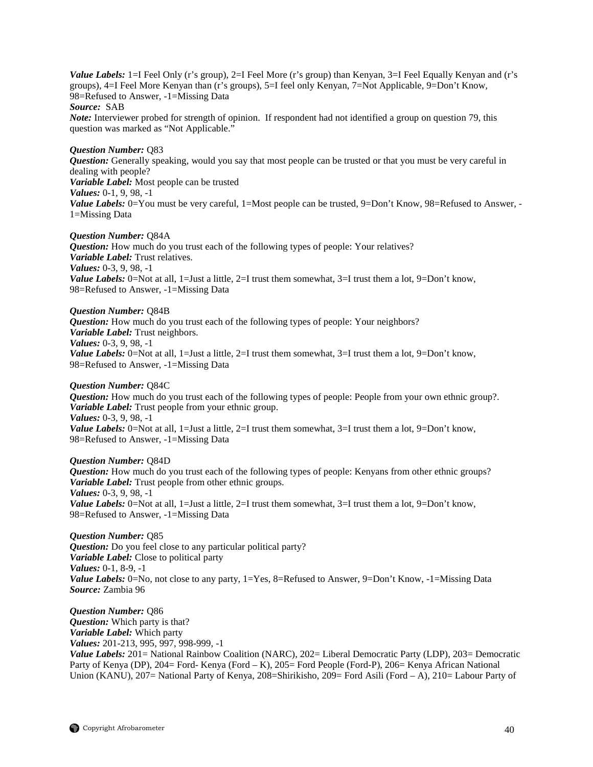*Value Labels:* 1=I Feel Only (r's group), 2=I Feel More (r's group) than Kenyan, 3=I Feel Equally Kenyan and (r's groups), 4=I Feel More Kenyan than (r's groups), 5=I feel only Kenyan, 7=Not Applicable, 9=Don't Know*,*  98=Refused to Answer, -1=Missing Data *Source:* SAB *Note:* Interviewer probed for strength of opinion. If respondent had not identified a group on question 79, this

question was marked as "Not Applicable."

#### *Question Number:* Q83

*Question:* Generally speaking, would you say that most people can be trusted or that you must be very careful in dealing with people? *Variable Label:* Most people can be trusted *Values:* 0-1, 9, 98, -1 *Value Labels:* 0=You must be very careful, 1=Most people can be trusted, 9=Don't Know, 98=Refused to Answer, -1=Missing Data

#### *Question Number:* Q84A

*Question:* How much do you trust each of the following types of people: Your relatives? *Variable Label:* Trust relatives. *Values:* 0-3, 9, 98, -1 *Value Labels:* 0=Not at all, 1=Just a little, 2=I trust them somewhat, 3=I trust them a lot, 9=Don't know, 98=Refused to Answer, -1=Missing Data

#### *Question Number:* Q84B

*Question:* How much do you trust each of the following types of people: Your neighbors? *Variable Label:* Trust neighbors. *Values:* 0-3, 9, 98, -1 *Value Labels:* 0=Not at all, 1=Just a little, 2=I trust them somewhat, 3=I trust them a lot, 9=Don't know, 98=Refused to Answer, -1=Missing Data

## *Question Number:* Q84C

*Question:* How much do you trust each of the following types of people: People from your own ethnic group?. *Variable Label:* Trust people from your ethnic group. *Values:* 0-3, 9, 98, -1 *Value Labels:* 0=Not at all, 1=Just a little, 2=I trust them somewhat, 3=I trust them a lot, 9=Don't know, 98=Refused to Answer, -1=Missing Data

## *Question Number:* Q84D

*Question:* How much do you trust each of the following types of people: Kenyans from other ethnic groups? *Variable Label:* Trust people from other ethnic groups. *Values:* 0-3, 9, 98, -1 *Value Labels:* 0=Not at all, 1=Just a little, 2=I trust them somewhat, 3=I trust them a lot, 9=Don't know, 98=Refused to Answer, -1=Missing Data

*Question Number:* Q85 *Question:* Do you feel close to any particular political party? *Variable Label:* Close to political party *Values:* 0-1, 8-9, -1 *Value Labels:* 0=No, not close to any party, 1=Yes, 8=Refused to Answer, 9=Don't Know, -1=Missing Data *Source:* Zambia 96

*Question Number:* Q86 *Question:* Which party is that? *Variable Label:* Which party *Values:* 201-213, 995, 997, 998-999, -1 *Value Labels:* 201= National Rainbow Coalition (NARC), 202= Liberal Democratic Party (LDP), 203= Democratic Party of Kenya (DP), 204= Ford- Kenya (Ford – K), 205= Ford People (Ford-P), 206= Kenya African National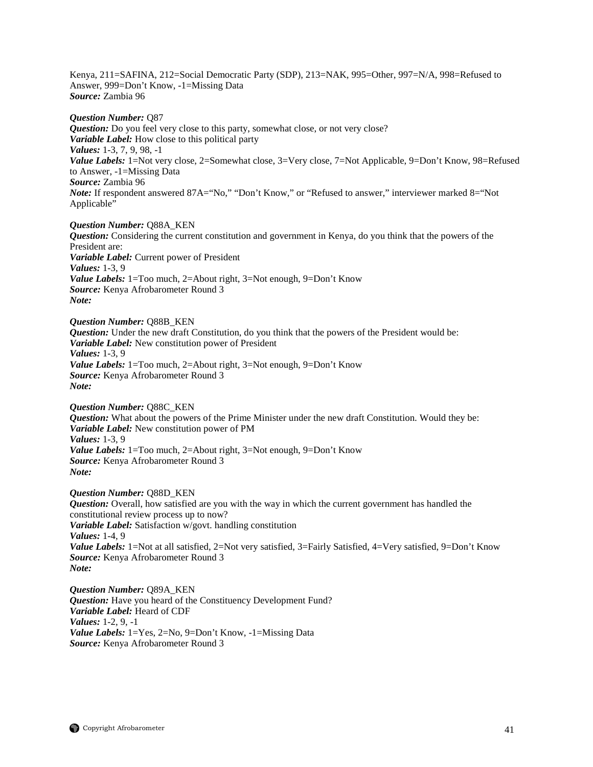Kenya, 211=SAFINA, 212=Social Democratic Party (SDP), 213=NAK, 995=Other, 997=N/A, 998=Refused to Answer, 999=Don't Know, -1=Missing Data *Source:* Zambia 96

*Question Number:* Q87 *Question:* Do you feel very close to this party, somewhat close, or not very close? *Variable Label:* How close to this political party *Values:* 1-3, 7, 9, 98, -1 *Value Labels:* 1=Not very close, 2=Somewhat close, 3=Very close, 7=Not Applicable, 9=Don't Know, 98=Refused to Answer, -1=Missing Data *Source:* Zambia 96 *Note:* If respondent answered 87A="No," "Don't Know," or "Refused to answer," interviewer marked 8="Not Applicable"

*Question Number:* Q88A\_KEN *Question:* Considering the current constitution and government in Kenya, do you think that the powers of the President are: *Variable Label:* Current power of President *Values:* 1-3, 9 *Value Labels:* 1=Too much, 2=About right, 3=Not enough, 9=Don't Know *Source:* Kenya Afrobarometer Round 3 *Note:* 

*Question Number:* Q88B\_KEN *Question:* Under the new draft Constitution, do you think that the powers of the President would be: *Variable Label:* New constitution power of President *Values:* 1-3, 9 *Value Labels:* 1=Too much, 2=About right, 3=Not enough, 9=Don't Know *Source:* Kenya Afrobarometer Round 3 *Note:* 

*Question Number:* Q88C\_KEN *Question:* What about the powers of the Prime Minister under the new draft Constitution. Would they be: *Variable Label:* New constitution power of PM *Values:* 1-3, 9 *Value Labels:* 1=Too much, 2=About right, 3=Not enough, 9=Don't Know *Source:* Kenya Afrobarometer Round 3 *Note:* 

*Question Number:* Q88D\_KEN *Question:* Overall, how satisfied are you with the way in which the current government has handled the constitutional review process up to now? *Variable Label:* Satisfaction w/govt. handling constitution *Values:* 1-4, 9 *Value Labels:* 1=Not at all satisfied, 2=Not very satisfied, 3=Fairly Satisfied, 4=Very satisfied, 9=Don't Know *Source:* Kenya Afrobarometer Round 3 *Note:*

*Question Number:* Q89A\_KEN *Question:* Have you heard of the Constituency Development Fund? *Variable Label:* Heard of CDF *Values:* 1-2, 9, -1 *Value Labels:* 1=Yes, 2=No, 9=Don't Know, -1=Missing Data *Source:* Kenya Afrobarometer Round 3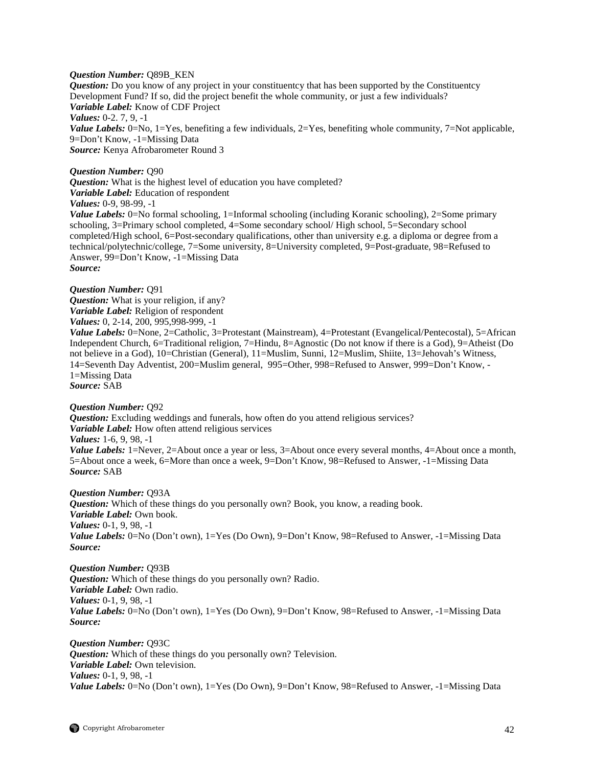## *Question Number:* Q89B\_KEN

*Question:* Do you know of any project in your constituentcy that has been supported by the Constituentcy Development Fund? If so, did the project benefit the whole community, or just a few individuals? *Variable Label:* Know of CDF Project *Values:* 0-2. 7, 9, -1 *Value Labels:* 0=No, 1=Yes, benefiting a few individuals, 2=Yes, benefiting whole community, 7=Not applicable, 9=Don't Know, -1=Missing Data *Source:* Kenya Afrobarometer Round 3

## *Question Number:* Q90

*Question:* What is the highest level of education you have completed? *Variable Label:* Education of respondent *Values:* 0-9, 98-99, -1 *Value Labels:* 0=No formal schooling, 1=Informal schooling (including Koranic schooling), 2=Some primary

schooling, 3=Primary school completed, 4=Some secondary school/ High school, 5=Secondary school completed/High school, 6=Post-secondary qualifications, other than university e.g. a diploma or degree from a technical/polytechnic/college, 7=Some university, 8=University completed, 9=Post-graduate, 98=Refused to Answer, 99=Don't Know, -1=Missing Data *Source:*

*Question Number:* Q91 *Question:* What is your religion, if any? *Variable Label:* Religion of respondent *Values:* 0, 2-14, 200, 995,998-999, -1

*Value Labels:* 0=None, 2=Catholic, 3=Protestant (Mainstream), 4=Protestant (Evangelical/Pentecostal), 5=African Independent Church, 6=Traditional religion, 7=Hindu, 8=Agnostic (Do not know if there is a God), 9=Atheist (Do not believe in a God), 10=Christian (General), 11=Muslim, Sunni, 12=Muslim, Shiite, 13=Jehovah's Witness, 14=Seventh Day Adventist, 200=Muslim general, 995=Other, 998=Refused to Answer, 999=Don't Know, - 1=Missing Data *Source:* SAB

## *Question Number:* Q92

*Question:* Excluding weddings and funerals, how often do you attend religious services? *Variable Label:* How often attend religious services *Values:* 1-6, 9, 98, -1

*Value Labels:* 1=Never, 2=About once a year or less, 3=About once every several months, 4=About once a month, 5=About once a week, 6=More than once a week, 9=Don't Know, 98=Refused to Answer, -1=Missing Data *Source:* SAB

*Question Number:* Q93A *Question:* Which of these things do you personally own? Book, you know, a reading book. *Variable Label:* Own book. *Values:* 0-1, 9, 98, -1 *Value Labels:* 0=No (Don't own), 1=Yes (Do Own), 9=Don't Know, 98=Refused to Answer, -1=Missing Data *Source:*

*Question Number:* Q93B *Question:* Which of these things do you personally own? Radio. *Variable Label:* Own radio. *Values:* 0-1, 9, 98, -1 *Value Labels:* 0=No (Don't own), 1=Yes (Do Own), 9=Don't Know, 98=Refused to Answer, -1=Missing Data *Source:*

*Question Number:* Q93C *Question:* Which of these things do you personally own? Television. *Variable Label:* Own television. *Values:* 0-1, 9, 98, -1 Value Labels: 0=No (Don't own), 1=Yes (Do Own), 9=Don't Know, 98=Refused to Answer, -1=Missing Data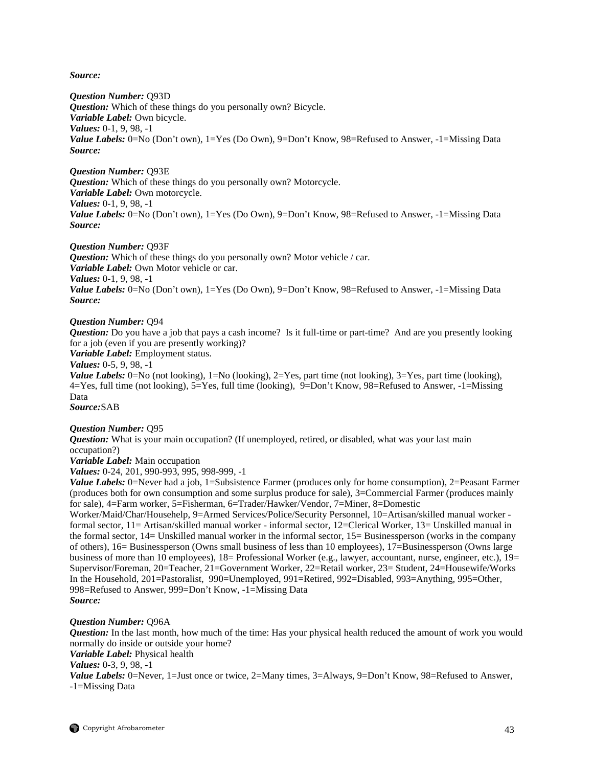*Source:*

*Question Number:* Q93D

*Question:* Which of these things do you personally own? Bicycle. *Variable Label:* Own bicycle. *Values:* 0-1, 9, 98, -1 Value Labels: 0=No (Don't own), 1=Yes (Do Own), 9=Don't Know, 98=Refused to Answer, -1=Missing Data *Source:*

*Question Number:* Q93E *Question:* Which of these things do you personally own? Motorcycle. *Variable Label:* Own motorcycle. *Values:* 0-1, 9, 98, -1 *Value Labels:* 0=No (Don't own), 1=Yes (Do Own), 9=Don't Know, 98=Refused to Answer, -1=Missing Data *Source:*

*Question Number:* Q93F **Question:** Which of these things do you personally own? Motor vehicle / car. *Variable Label:* Own Motor vehicle or car. *Values:* 0-1, 9, 98, -1 *Value Labels:* 0=No (Don't own), 1=Yes (Do Own), 9=Don't Know, 98=Refused to Answer, -1=Missing Data *Source:*

## *Question Number:* Q94

*Question:* Do you have a job that pays a cash income? Is it full-time or part-time? And are you presently looking for a job (even if you are presently working)?

*Variable Label:* Employment status.

*Values:* 0-5, 9, 98, -1

*Value Labels:* 0=No (not looking), 1=No (looking), 2=Yes, part time (not looking), 3=Yes, part time (looking), 4=Yes, full time (not looking), 5=Yes, full time (looking), 9=Don't Know, 98=Refused to Answer, -1=Missing Data

*Source:*SAB

## *Question Number:* Q95

*Question:* What is your main occupation? (If unemployed, retired, or disabled, what was your last main occupation?)

*Variable Label:* Main occupation

*Values:* 0-24, 201, 990-993, 995, 998-999, -1

*Value Labels:* 0=Never had a job, 1=Subsistence Farmer (produces only for home consumption), 2=Peasant Farmer (produces both for own consumption and some surplus produce for sale), 3=Commercial Farmer (produces mainly for sale), 4=Farm worker, 5=Fisherman, 6=Trader/Hawker/Vendor, 7=Miner, 8=Domestic

Worker/Maid/Char/Househelp, 9=Armed Services/Police/Security Personnel, 10=Artisan/skilled manual worker formal sector, 11= Artisan/skilled manual worker - informal sector, 12=Clerical Worker, 13= Unskilled manual in the formal sector, 14= Unskilled manual worker in the informal sector, 15= Businessperson (works in the company of others), 16= Businessperson (Owns small business of less than 10 employees), 17=Businessperson (Owns large business of more than 10 employees),  $18=$  Professional Worker (e.g., lawyer, accountant, nurse, engineer, etc.),  $19=$ Supervisor/Foreman, 20=Teacher, 21=Government Worker, 22=Retail worker, 23= Student, 24=Housewife/Works In the Household, 201=Pastoralist, 990=Unemployed, 991=Retired, 992=Disabled, 993=Anything, 995=Other, 998=Refused to Answer, 999=Don't Know, -1=Missing Data *Source:*

## *Question Number:* Q96A

*Question:* In the last month, how much of the time: Has your physical health reduced the amount of work you would normally do inside or outside your home?

*Variable Label:* Physical health

*Values:* 0-3, 9, 98, -1

*Value Labels:* 0=Never, 1=Just once or twice, 2=Many times, 3=Always, 9=Don't Know, 98=Refused to Answer, -1=Missing Data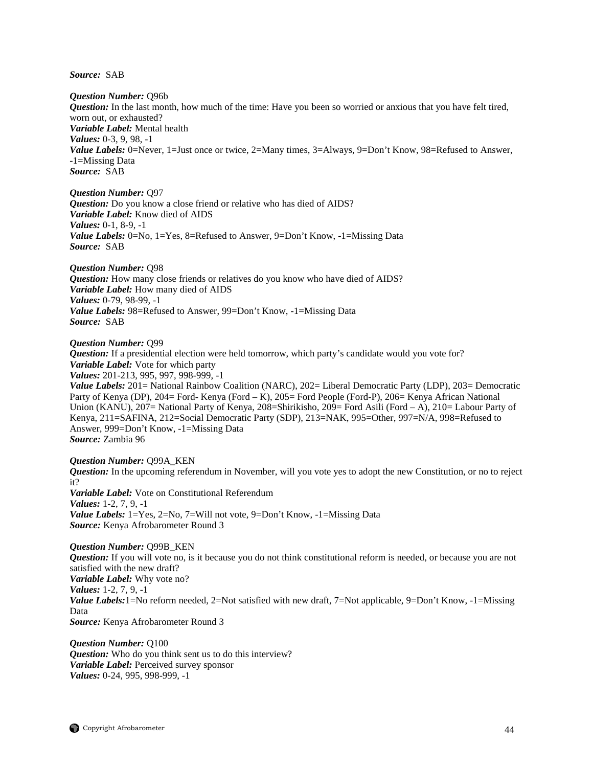*Source:* SAB

*Question Number:* Q96b *Question:* In the last month, how much of the time: Have you been so worried or anxious that you have felt tired, worn out, or exhausted? *Variable Label:* Mental health *Values:* 0-3, 9, 98, -1 Value Labels: 0=Never, 1=Just once or twice, 2=Many times, 3=Always, 9=Don't Know, 98=Refused to Answer, -1=Missing Data *Source:* SAB

*Question Number:* Q97 *Question:* Do you know a close friend or relative who has died of AIDS? *Variable Label:* Know died of AIDS *Values:* 0-1, 8-9, -1 *Value Labels:* 0=No, 1=Yes, 8=Refused to Answer, 9=Don't Know, -1=Missing Data *Source:* SAB

*Question Number:* Q98 *Question:* How many close friends or relatives do you know who have died of AIDS? *Variable Label:* How many died of AIDS *Values:* 0-79, 98-99, -1 *Value Labels:* 98=Refused to Answer, 99=Don't Know, -1=Missing Data *Source:* SAB

*Question Number:* Q99

*Question:* If a presidential election were held tomorrow, which party's candidate would you vote for? *Variable Label:* Vote for which party

*Values:* 201-213, 995, 997, 998-999, -1

*Value Labels:* 201 = National Rainbow Coalition (NARC), 202 = Liberal Democratic Party (LDP), 203 = Democratic Party of Kenya (DP), 204= Ford- Kenya (Ford – K), 205= Ford People (Ford-P), 206= Kenya African National Union (KANU), 207= National Party of Kenya, 208=Shirikisho, 209= Ford Asili (Ford – A), 210= Labour Party of Kenya, 211=SAFINA, 212=Social Democratic Party (SDP), 213=NAK, 995=Other, 997=N/A, 998=Refused to Answer, 999=Don't Know, -1=Missing Data *Source:* Zambia 96

*Question Number:* Q99A\_KEN *Question:* In the upcoming referendum in November, will you vote yes to adopt the new Constitution, or no to reject it? *Variable Label:* Vote on Constitutional Referendum *Values:* 1-2, 7, 9, -1 *Value Labels:* 1=Yes, 2=No, 7=Will not vote, 9=Don't Know, -1=Missing Data *Source:* Kenya Afrobarometer Round 3

*Question Number:* Q99B\_KEN *Question:* If you will vote no, is it because you do not think constitutional reform is needed, or because you are not satisfied with the new draft? *Variable Label:* Why vote no? *Values:* 1-2, 7, 9, -1 *Value Labels:*1=No reform needed, 2=Not satisfied with new draft, 7=Not applicable, 9=Don't Know, -1=Missing Data *Source:* Kenya Afrobarometer Round 3

*Question Number:* Q100 *Question:* Who do you think sent us to do this interview? *Variable Label:* Perceived survey sponsor *Values:* 0-24, 995, 998-999, -1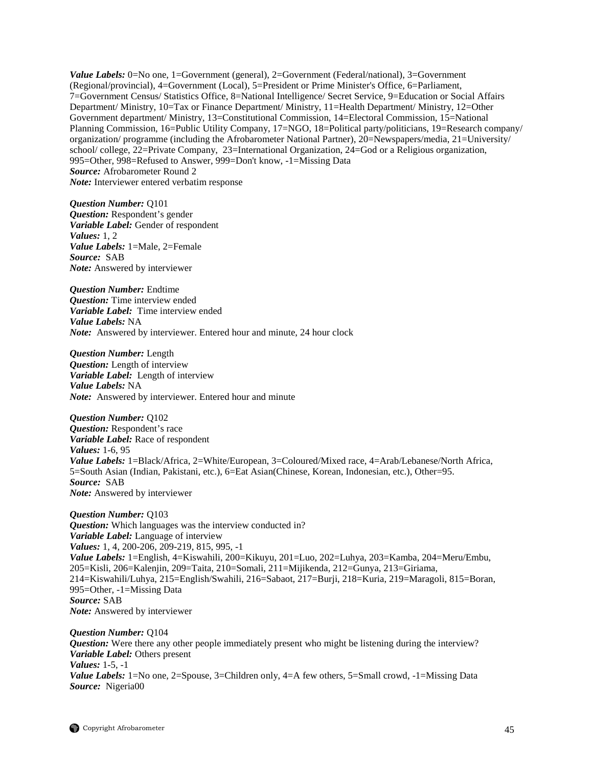*Value Labels:* 0=No one, 1=Government (general), 2=Government (Federal/national), 3=Government (Regional/provincial), 4=Government (Local), 5=President or Prime Minister's Office, 6=Parliament, 7=Government Census/ Statistics Office, 8=National Intelligence/ Secret Service, 9=Education or Social Affairs Department/ Ministry, 10=Tax or Finance Department/ Ministry, 11=Health Department/ Ministry, 12=Other Government department/ Ministry, 13=Constitutional Commission, 14=Electoral Commission, 15=National Planning Commission, 16=Public Utility Company, 17=NGO, 18=Political party/politicians, 19=Research company/ organization/ programme (including the Afrobarometer National Partner), 20=Newspapers/media, 21=University/ school/ college, 22=Private Company, 23=International Organization, 24=God or a Religious organization, 995=Other, 998=Refused to Answer, 999=Don't know, -1=Missing Data *Source:* Afrobarometer Round 2 *Note:* Interviewer entered verbatim response

*Question Number:* Q101 *Question:* Respondent's gender *Variable Label:* Gender of respondent *Values:* 1, 2 *Value Labels:* 1=Male, 2=Female *Source:* SAB *Note:* Answered by interviewer

*Question Number:* Endtime *Question:* Time interview ended *Variable Label:* Time interview ended *Value Labels:* NA *Note:* Answered by interviewer. Entered hour and minute, 24 hour clock

*Question Number:* Length *Question:* Length of interview *Variable Label:* Length of interview *Value Labels:* NA *Note:* Answered by interviewer. Entered hour and minute

*Question Number:* Q102 *Question:* Respondent's race *Variable Label:* Race of respondent *Values:* 1-6, 95 *Value Labels:* 1=Black/Africa, 2=White/European, 3=Coloured/Mixed race, 4=Arab/Lebanese/North Africa, 5=South Asian (Indian, Pakistani, etc.), 6=Eat Asian(Chinese, Korean, Indonesian, etc.), Other=95. *Source:* SAB *Note:* Answered by interviewer

*Question Number:* Q103 *Question:* Which languages was the interview conducted in? *Variable Label:* Language of interview *Values:* 1, 4, 200-206, 209-219, 815, 995, -1 *Value Labels:* 1=English, 4=Kiswahili, 200=Kikuyu, 201=Luo, 202=Luhya, 203=Kamba, 204=Meru/Embu, 205=Kisli, 206=Kalenjin, 209=Taita, 210=Somali, 211=Mijikenda, 212=Gunya, 213=Giriama, 214=Kiswahili/Luhya, 215=English/Swahili, 216=Sabaot, 217=Burji, 218=Kuria, 219=Maragoli, 815=Boran, 995=Other, -1=Missing Data *Source:* SAB *Note:* Answered by interviewer

*Question Number:* Q104 *Question:* Were there any other people immediately present who might be listening during the interview? *Variable Label:* Others present *Values:* 1-5, -1 *Value Labels:* 1=No one, 2=Spouse, 3=Children only, 4=A few others, 5=Small crowd, -1=Missing Data *Source:* Nigeria00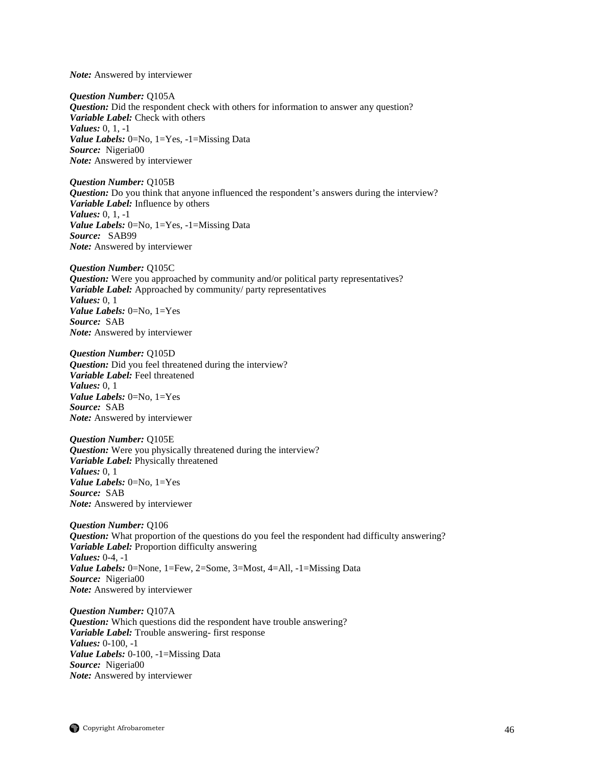*Note:* Answered by interviewer

*Question Number:* Q105A *Question:* Did the respondent check with others for information to answer any question? *Variable Label:* Check with others *Values:* 0, 1, -1 *Value Labels:* 0=No, 1=Yes, -1=Missing Data *Source:* Nigeria00 *Note:* Answered by interviewer

*Question Number:* Q105B *Question:* Do you think that anyone influenced the respondent's answers during the interview? *Variable Label:* Influence by others *Values:* 0, 1, -1 *Value Labels:* 0=No, 1=Yes, -1=Missing Data *Source:* SAB99 *Note:* Answered by interviewer

*Question Number:* Q105C *Question:* Were you approached by community and/or political party representatives? *Variable Label:* Approached by community/ party representatives *Values:* 0, 1 *Value Labels:* 0=No, 1=Yes *Source:* SAB *Note:* Answered by interviewer

*Question Number:* Q105D *Question:* Did you feel threatened during the interview? *Variable Label:* Feel threatened *Values:* 0, 1 *Value Labels:* 0=No, 1=Yes *Source:* SAB *Note:* Answered by interviewer

*Question Number:* Q105E *Question:* Were you physically threatened during the interview? *Variable Label:* Physically threatened *Values:* 0, 1 *Value Labels:* 0=No, 1=Yes *Source:* SAB *Note:* Answered by interviewer

*Question Number:* Q106 *Question:* What proportion of the questions do you feel the respondent had difficulty answering? *Variable Label:* Proportion difficulty answering *Values:* 0-4, -1 *Value Labels:* 0=None, 1=Few, 2=Some, 3=Most, 4=All, -1=Missing Data *Source:* Nigeria00 *Note:* Answered by interviewer

*Question Number:* Q107A *Question:* Which questions did the respondent have trouble answering? *Variable Label:* Trouble answering- first response *Values:* 0-100, -1 *Value Labels:* 0-100, -1=Missing Data *Source:* Nigeria00 *Note:* Answered by interviewer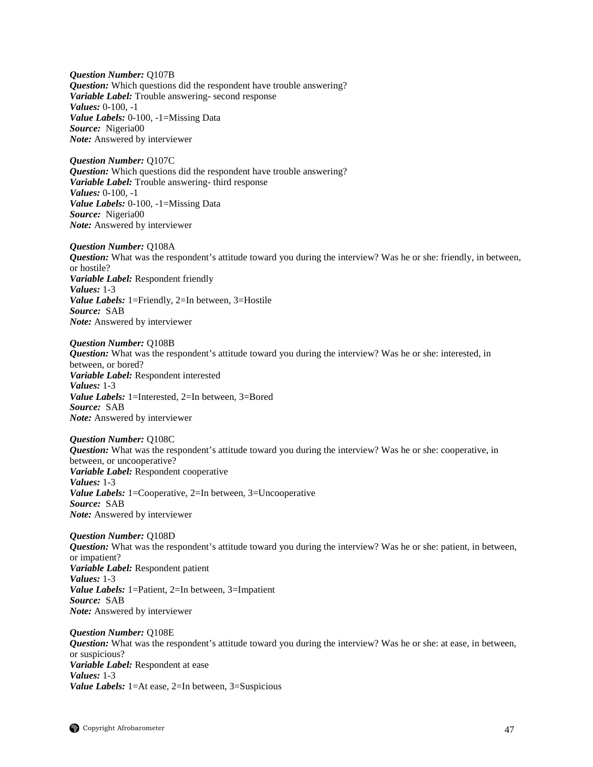*Question Number:* Q107B *Question:* Which questions did the respondent have trouble answering? *Variable Label:* Trouble answering- second response *Values:* 0-100, -1 *Value Labels:* 0-100, -1=Missing Data *Source:* Nigeria00 *Note:* Answered by interviewer

*Question Number:* Q107C *Question:* Which questions did the respondent have trouble answering? *Variable Label:* Trouble answering- third response *Values:* 0-100, -1 *Value Labels:* 0-100, -1=Missing Data *Source:* Nigeria00 *Note:* Answered by interviewer

*Question Number:* Q108A *Question:* What was the respondent's attitude toward you during the interview? Was he or she: friendly, in between, or hostile? *Variable Label:* Respondent friendly *Values:* 1-3 *Value Labels:* 1=Friendly, 2=In between, 3=Hostile *Source:* SAB *Note:* Answered by interviewer

*Question Number:* Q108B *Question:* What was the respondent's attitude toward you during the interview? Was he or she: interested, in between, or bored? *Variable Label:* Respondent interested *Values:* 1-3 *Value Labels:* 1=Interested, 2=In between, 3=Bored *Source:* SAB *Note:* Answered by interviewer

*Question Number:* Q108C *Question:* What was the respondent's attitude toward you during the interview? Was he or she: cooperative, in between, or uncooperative? *Variable Label:* Respondent cooperative *Values:* 1-3 *Value Labels:* 1=Cooperative, 2=In between, 3=Uncooperative *Source:* SAB *Note:* Answered by interviewer

*Question Number:* Q108D *Question:* What was the respondent's attitude toward you during the interview? Was he or she: patient, in between, or impatient? *Variable Label:* Respondent patient *Values:* 1-3 *Value Labels:* 1=Patient, 2=In between, 3=Impatient *Source:* SAB *Note:* Answered by interviewer

*Question Number:* Q108E *Question:* What was the respondent's attitude toward you during the interview? Was he or she: at ease, in between, or suspicious? *Variable Label:* Respondent at ease *Values:* 1-3 *Value Labels:* 1=At ease, 2=In between, 3=Suspicious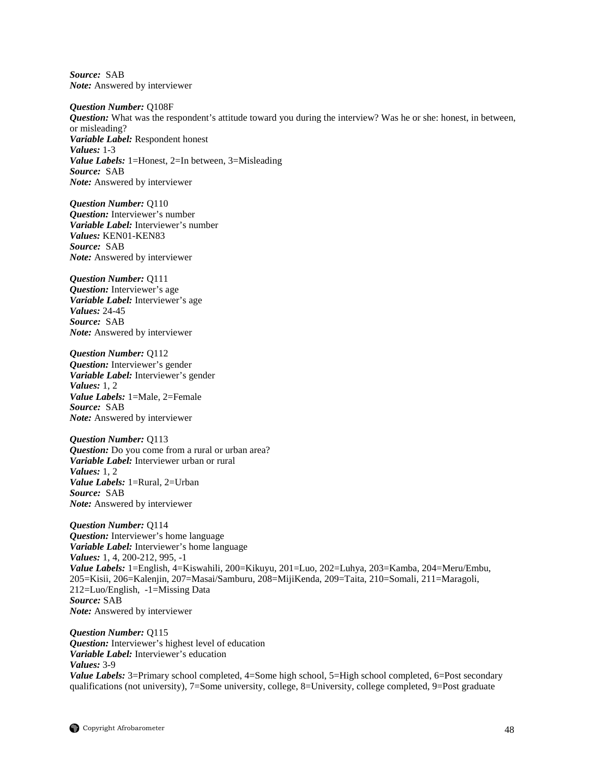*Source:* SAB *Note:* Answered by interviewer

*Question Number:* Q108F *Question:* What was the respondent's attitude toward you during the interview? Was he or she: honest, in between, or misleading? *Variable Label:* Respondent honest *Values:* 1-3 *Value Labels:* 1=Honest, 2=In between, 3=Misleading *Source:* SAB *Note:* Answered by interviewer

*Question Number:* Q110 *Question:* Interviewer's number *Variable Label:* Interviewer's number *Values:* KEN01-KEN83 *Source:* SAB *Note:* Answered by interviewer

*Question Number:* Q111 *Question:* Interviewer's age *Variable Label:* Interviewer's age *Values:* 24-45 *Source:* SAB *Note:* Answered by interviewer

*Question Number:* Q112 *Question:* Interviewer's gender *Variable Label:* Interviewer's gender *Values:* 1, 2 *Value Labels:* 1=Male, 2=Female *Source:* SAB *Note:* Answered by interviewer

*Question Number:* Q113 *Question:* Do you come from a rural or urban area? *Variable Label:* Interviewer urban or rural *Values:* 1, 2 *Value Labels:* 1=Rural, 2=Urban *Source:* SAB *Note:* Answered by interviewer

*Question Number:* Q114 *Question:* Interviewer's home language *Variable Label:* Interviewer's home language *Values:* 1, 4, 200-212, 995, -1 *Value Labels:* 1=English, 4=Kiswahili, 200=Kikuyu, 201=Luo, 202=Luhya, 203=Kamba, 204=Meru/Embu, 205=Kisii, 206=Kalenjin, 207=Masai/Samburu, 208=MijiKenda, 209=Taita, 210=Somali, 211=Maragoli, 212=Luo/English, -1=Missing Data *Source:* SAB *Note:* Answered by interviewer

*Question Number:* Q115 *Question:* Interviewer's highest level of education *Variable Label:* Interviewer's education *Values:* 3-9 *Value Labels:* 3=Primary school completed, 4=Some high school, 5=High school completed, 6=Post secondary qualifications (not university), 7=Some university, college, 8=University, college completed, 9=Post graduate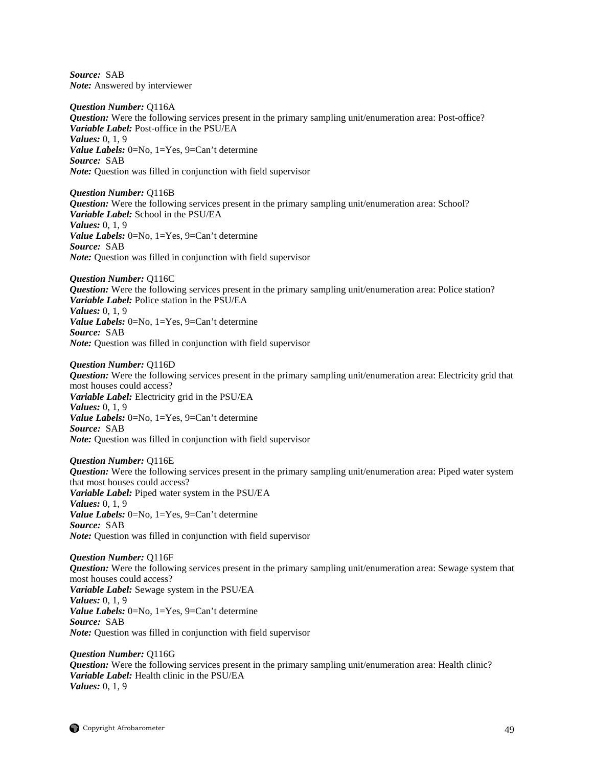*Source:* SAB *Note:* Answered by interviewer

*Question Number:* Q116A *Question:* Were the following services present in the primary sampling unit/enumeration area: Post-office? *Variable Label:* Post-office in the PSU/EA *Values:* 0, 1, 9 *Value Labels:* 0=No, 1=Yes, 9=Can't determine *Source:* SAB *Note:* Question was filled in conjunction with field supervisor

*Question Number:* Q116B *Question:* Were the following services present in the primary sampling unit/enumeration area: School? *Variable Label:* School in the PSU/EA *Values:* 0, 1, 9 *Value Labels:* 0=No, 1=Yes, 9=Can't determine *Source:* SAB *Note:* Question was filled in conjunction with field supervisor

*Question Number:* Q116C *Question:* Were the following services present in the primary sampling unit/enumeration area: Police station? *Variable Label:* Police station in the PSU/EA *Values:* 0, 1, 9 *Value Labels:* 0=No, 1=Yes, 9=Can't determine *Source:* SAB *Note:* Question was filled in conjunction with field supervisor

*Question Number:* Q116D *Question:* Were the following services present in the primary sampling unit/enumeration area: Electricity grid that most houses could access? *Variable Label:* Electricity grid in the PSU/EA *Values:* 0, 1, 9 *Value Labels:* 0=No, 1=Yes, 9=Can't determine *Source:* SAB *Note:* Question was filled in conjunction with field supervisor

*Question Number:* Q116E *Question:* Were the following services present in the primary sampling unit/enumeration area: Piped water system that most houses could access? *Variable Label:* Piped water system in the PSU/EA *Values:* 0, 1, 9 *Value Labels:* 0=No, 1=Yes, 9=Can't determine *Source:* SAB *Note:* Question was filled in conjunction with field supervisor

*Question Number:* Q116F *Question:* Were the following services present in the primary sampling unit/enumeration area: Sewage system that most houses could access? *Variable Label:* Sewage system in the PSU/EA *Values:* 0, 1, 9 *Value Labels:* 0=No, 1=Yes, 9=Can't determine *Source:* SAB *Note:* Question was filled in conjunction with field supervisor

*Question Number:* Q116G *Question:* Were the following services present in the primary sampling unit/enumeration area: Health clinic? *Variable Label:* Health clinic in the PSU/EA *Values:* 0, 1, 9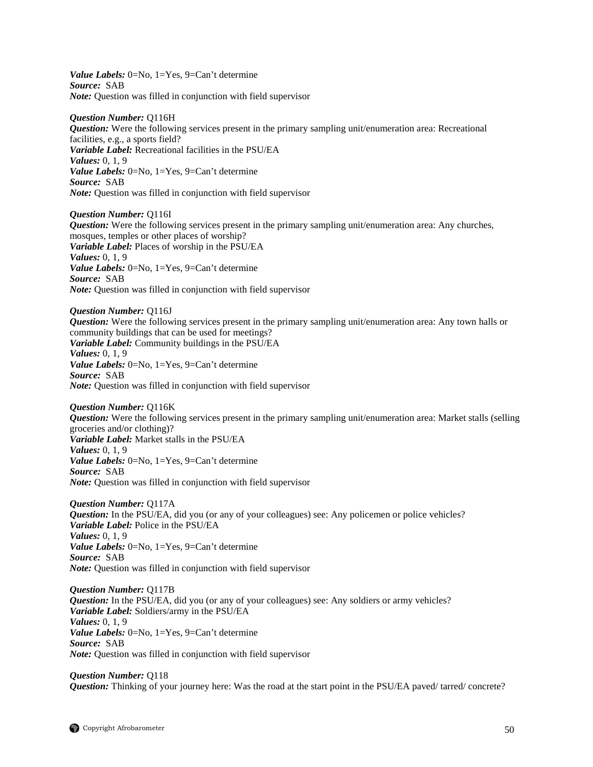*Value Labels:* 0=No, 1=Yes, 9=Can't determine *Source:* SAB *Note:* Question was filled in conjunction with field supervisor

## *Question Number:* Q116H

*Question:* Were the following services present in the primary sampling unit/enumeration area: Recreational facilities, e.g., a sports field? *Variable Label:* Recreational facilities in the PSU/EA *Values:* 0, 1, 9 *Value Labels:* 0=No, 1=Yes, 9=Can't determine *Source:* SAB *Note:* Question was filled in conjunction with field supervisor

*Question Number:* Q116I *Question:* Were the following services present in the primary sampling unit/enumeration area: Any churches, mosques, temples or other places of worship? *Variable Label:* Places of worship in the PSU/EA *Values:* 0, 1, 9 *Value Labels:* 0=No, 1=Yes, 9=Can't determine *Source:* SAB *Note:* Question was filled in conjunction with field supervisor

*Question Number:* Q116J *Question:* Were the following services present in the primary sampling unit/enumeration area: Any town halls or community buildings that can be used for meetings? *Variable Label:* Community buildings in the PSU/EA *Values:* 0, 1, 9 *Value Labels:* 0=No, 1=Yes, 9=Can't determine *Source:* SAB *Note:* Question was filled in conjunction with field supervisor

*Question Number:* Q116K *Question:* Were the following services present in the primary sampling unit/enumeration area: Market stalls (selling groceries and/or clothing)? *Variable Label:* Market stalls in the PSU/EA *Values:* 0, 1, 9 *Value Labels:* 0=No, 1=Yes, 9=Can't determine *Source:* SAB *Note:* Question was filled in conjunction with field supervisor

*Question Number:* Q117A *Question:* In the PSU/EA, did you (or any of your colleagues) see: Any policemen or police vehicles? *Variable Label:* Police in the PSU/EA *Values:* 0, 1, 9 *Value Labels:* 0=No, 1=Yes, 9=Can't determine *Source:* SAB *Note:* Question was filled in conjunction with field supervisor

*Question Number:* Q117B *Question:* In the PSU/EA, did you (or any of your colleagues) see: Any soldiers or army vehicles? *Variable Label:* Soldiers/army in the PSU/EA *Values:* 0, 1, 9 *Value Labels:* 0=No, 1=Yes, 9=Can't determine *Source:* SAB *Note:* Question was filled in conjunction with field supervisor

*Question Number:* Q118 *Question:* Thinking of your journey here: Was the road at the start point in the PSU/EA paved/ tarred/ concrete?